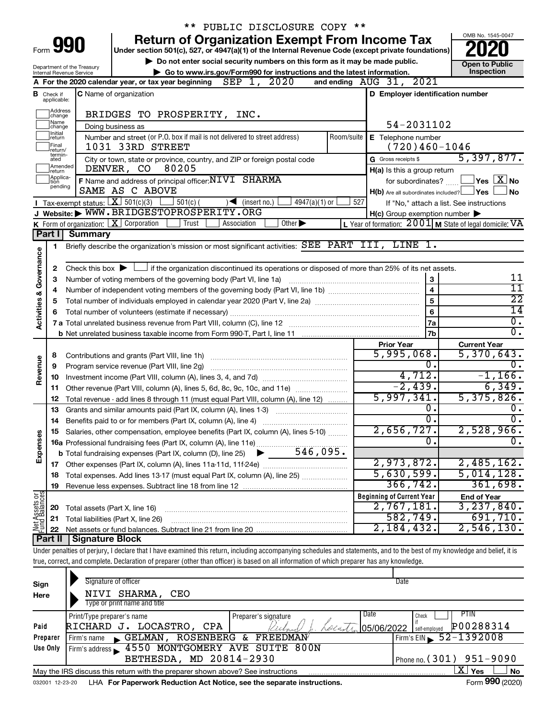|                         |                              |                                                        | ** PUBLIC DISCLOSURE COPY **                                                                                                                                               |                                                                        |                                          |
|-------------------------|------------------------------|--------------------------------------------------------|----------------------------------------------------------------------------------------------------------------------------------------------------------------------------|------------------------------------------------------------------------|------------------------------------------|
|                         |                              |                                                        | <b>Return of Organization Exempt From Income Tax</b>                                                                                                                       |                                                                        | OMB No. 1545-0047                        |
|                         | Form 990                     |                                                        | Under section 501(c), 527, or 4947(a)(1) of the Internal Revenue Code (except private foundations)                                                                         |                                                                        |                                          |
|                         |                              |                                                        | Do not enter social security numbers on this form as it may be made public.                                                                                                |                                                                        | <b>Open to Public</b>                    |
|                         |                              | Department of the Treasury<br>Internal Revenue Service | Go to www.irs.gov/Form990 for instructions and the latest information.                                                                                                     |                                                                        | Inspection                               |
|                         |                              |                                                        | A For the 2020 calendar year, or tax year beginning $\text{SEP}$ 1, 2020                                                                                                   | and ending AUG 31, 2021                                                |                                          |
|                         | Check if                     |                                                        | <b>C</b> Name of organization                                                                                                                                              | D Employer identification number                                       |                                          |
|                         | applicable:                  |                                                        |                                                                                                                                                                            |                                                                        |                                          |
|                         | Address<br>change            |                                                        | BRIDGES TO PROSPERITY, INC.                                                                                                                                                |                                                                        |                                          |
|                         | Name<br> change              |                                                        | Doing business as                                                                                                                                                          | 54-2031102                                                             |                                          |
|                         | Initial<br>∣return           |                                                        | Number and street (or P.O. box if mail is not delivered to street address)<br>Room/suite                                                                                   | E Telephone number                                                     |                                          |
|                         | Final<br>return/             |                                                        | 1031 33RD STREET                                                                                                                                                           | $(720)460 - 1046$                                                      |                                          |
|                         | termin-<br>ated              |                                                        | City or town, state or province, country, and ZIP or foreign postal code                                                                                                   | G Gross receipts \$                                                    | 5,397,877.                               |
|                         | Amended<br>Ireturn           |                                                        | DENVER, CO 80205                                                                                                                                                           | H(a) Is this a group return                                            |                                          |
|                         | Applica-<br>Ition<br>pending |                                                        | F Name and address of principal officer: NIVI SHARMA                                                                                                                       | for subordinates?                                                      | $\Box$ Yes $[\overline{\mathrm{X}}]$ No  |
|                         |                              |                                                        | SAME AS C ABOVE                                                                                                                                                            | $H(b)$ Are all subordinates included? $\Box$ Yes                       | <b>No</b>                                |
|                         |                              |                                                        | <b>I</b> Tax-exempt status: $X \ 501(c)(3)$<br>$\rfloor$ 501(c) (<br>$\sqrt{\frac{1}{1}}$ (insert no.)<br>$4947(a)(1)$ or                                                  | 527                                                                    | If "No," attach a list. See instructions |
|                         |                              |                                                        | J Website: WWW.BRIDGESTOPROSPERITY.ORG                                                                                                                                     | $H(c)$ Group exemption number $\blacktriangleright$                    |                                          |
|                         |                              |                                                        | <b>K</b> Form of organization: $\boxed{\mathbf{X}}$ Corporation<br>Trust<br>Other $\blacktriangleright$<br>Association                                                     | L Year of formation: $2001$ M State of legal domicile: $\overline{VA}$ |                                          |
|                         | Part I                       | Summary                                                |                                                                                                                                                                            |                                                                        |                                          |
|                         | 1                            |                                                        | Briefly describe the organization's mission or most significant activities: SEE PART III, LINE 1.                                                                          |                                                                        |                                          |
|                         |                              |                                                        |                                                                                                                                                                            |                                                                        |                                          |
| Governance              | 2                            |                                                        | Check this box $\blacktriangleright$ $\Box$ if the organization discontinued its operations or disposed of more than 25% of its net assets.                                |                                                                        |                                          |
|                         | З                            |                                                        |                                                                                                                                                                            | 3<br>$\overline{\mathbf{4}}$                                           | 11                                       |
|                         | 4                            |                                                        | 11                                                                                                                                                                         |                                                                        |                                          |
| <b>Activities &amp;</b> | 5                            |                                                        | $\overline{22}$                                                                                                                                                            |                                                                        |                                          |
|                         |                              |                                                        |                                                                                                                                                                            | 6                                                                      | 14                                       |
|                         |                              |                                                        |                                                                                                                                                                            | 7a                                                                     | $\overline{0}$ .<br>σ.                   |
|                         |                              |                                                        |                                                                                                                                                                            | 7 <sub>b</sub>                                                         |                                          |
|                         |                              |                                                        |                                                                                                                                                                            | <b>Prior Year</b><br>5,995,068.                                        | <b>Current Year</b><br>5,370,643.        |
|                         | 8                            |                                                        |                                                                                                                                                                            | 0.                                                                     | 0.                                       |
| Revenue                 | 9                            |                                                        | Program service revenue (Part VIII, line 2g)                                                                                                                               | 4,712.                                                                 | $-1,166$ .                               |
|                         | 10                           |                                                        |                                                                                                                                                                            | $-2,439.$                                                              | 6,349.                                   |
|                         | 11<br>12                     |                                                        | Other revenue (Part VIII, column (A), lines 5, 6d, 8c, 9c, 10c, and 11e)<br>Total revenue - add lines 8 through 11 (must equal Part VIII, column (A), line 12)             | 5,997,341.                                                             | 5,375,826.                               |
|                         | 13                           |                                                        | Grants and similar amounts paid (Part IX, column (A), lines 1-3)                                                                                                           | 0.                                                                     | 0.                                       |
|                         | 14                           |                                                        |                                                                                                                                                                            | 0.                                                                     | σ.                                       |
|                         |                              |                                                        | 15 Salaries, other compensation, employee benefits (Part IX, column (A), lines 5-10)                                                                                       | 2,656,727.                                                             | 2,528,966.                               |
|                         |                              |                                                        |                                                                                                                                                                            | О.                                                                     | $\mathbf{0}$ .                           |
| Expenses                |                              |                                                        |                                                                                                                                                                            |                                                                        |                                          |
|                         |                              |                                                        |                                                                                                                                                                            | 2,973,872.                                                             | 2,485,162.                               |
|                         | 18                           |                                                        | Total expenses. Add lines 13-17 (must equal Part IX, column (A), line 25)                                                                                                  | 5,630,599.                                                             | 5,014,128.                               |
|                         | 19                           |                                                        |                                                                                                                                                                            | 366, 742.                                                              | 361,698.                                 |
| Net Assets or           |                              |                                                        |                                                                                                                                                                            | <b>Beginning of Current Year</b>                                       | <b>End of Year</b>                       |
|                         | 20                           |                                                        | Total assets (Part X, line 16)                                                                                                                                             | 2,767,181.                                                             | 3,237,840.                               |
|                         | 21                           |                                                        | Total liabilities (Part X, line 26)                                                                                                                                        | 582,749.                                                               | 691,710.                                 |
|                         | 22                           |                                                        |                                                                                                                                                                            | 2,184,432.                                                             | $2,546,130$ .                            |
|                         | Part II                      | <b>Signature Block</b>                                 |                                                                                                                                                                            |                                                                        |                                          |
|                         |                              |                                                        | Under penalties of perjury, I declare that I have examined this return, including accompanying schedules and statements, and to the best of my knowledge and belief, it is |                                                                        |                                          |
|                         |                              |                                                        | true, correct, and complete. Declaration of preparer (other than officer) is based on all information of which preparer has any knowledge.                                 |                                                                        |                                          |
|                         |                              |                                                        |                                                                                                                                                                            |                                                                        |                                          |
| Sign                    |                              |                                                        | Signature of officer                                                                                                                                                       | Date                                                                   |                                          |
| Here                    |                              |                                                        | NIVI SHARMA, CEO                                                                                                                                                           |                                                                        |                                          |
|                         |                              |                                                        | Type or print name and title                                                                                                                                               |                                                                        |                                          |
|                         |                              | Print/Type preparer's name                             | Preparer's signature                                                                                                                                                       | Date<br>Check                                                          | PTIN                                     |
| Paid                    |                              |                                                        | Locan<br>RICHARD J. LOCASTRO, CPA                                                                                                                                          | 05/06/2022<br>self-employed                                            | P00288314                                |

| Preparer | Firm's name GELMAN, ROSENBERG & FREEDMAN                                               | $Firm's EIN = 52 - 1392008$  |
|----------|----------------------------------------------------------------------------------------|------------------------------|
| Use Only | Firm's address 1550 MONTGOMERY AVE SUITE 800N                                          |                              |
|          | BETHESDA, MD 20814-2930                                                                | $1$ Phone no. (301) 951-9090 |
|          | May the IRS discuss this return with the preparer shown above? See instructions        | ⊥X   Yes _ '<br>∣No          |
|          | 032001 12-23-20 LHA For Paperwork Reduction Act Notice, see the separate instructions. | Form 990 (2020)              |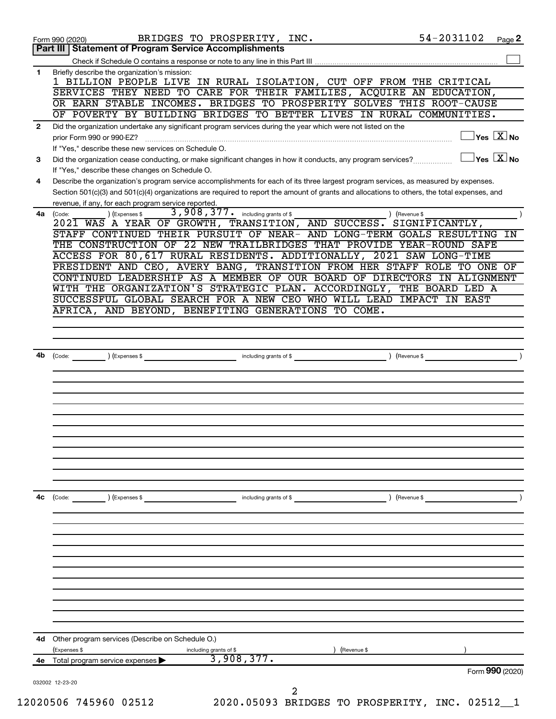|              | 54-2031102<br>BRIDGES TO PROSPERITY, INC.<br>Page 2<br>Form 990 (2020)<br>Part III   Statement of Program Service Accomplishments                                                                                        |
|--------------|--------------------------------------------------------------------------------------------------------------------------------------------------------------------------------------------------------------------------|
|              |                                                                                                                                                                                                                          |
| $\mathbf{1}$ | Briefly describe the organization's mission:                                                                                                                                                                             |
|              | 1 BILLION PEOPLE LIVE IN RURAL ISOLATION, CUT OFF FROM THE CRITICAL                                                                                                                                                      |
|              | SERVICES THEY NEED TO CARE FOR THEIR FAMILIES, ACQUIRE AN EDUCATION,                                                                                                                                                     |
|              | OR EARN STABLE INCOMES. BRIDGES TO PROSPERITY SOLVES THIS ROOT-CAUSE                                                                                                                                                     |
|              | OF POVERTY BY BUILDING BRIDGES TO BETTER LIVES IN RURAL COMMUNITIES.                                                                                                                                                     |
| $\mathbf{2}$ | Did the organization undertake any significant program services during the year which were not listed on the<br>$ {\mathsf Y}\mathsf{es}\ \boxed{{\mathsf X}}$ No                                                        |
|              | prior Form 990 or 990-EZ?                                                                                                                                                                                                |
| 3            | If "Yes," describe these new services on Schedule O.<br>$\overline{\ }$ Yes $\overline{\phantom{a}X}$ No<br>Did the organization cease conducting, or make significant changes in how it conducts, any program services? |
|              | If "Yes," describe these changes on Schedule O.                                                                                                                                                                          |
| 4            | Describe the organization's program service accomplishments for each of its three largest program services, as measured by expenses.                                                                                     |
|              | Section 501(c)(3) and 501(c)(4) organizations are required to report the amount of grants and allocations to others, the total expenses, and                                                                             |
|              | revenue, if any, for each program service reported.                                                                                                                                                                      |
| 4a           | 3,908,377. including grants of \$<br>) (Expenses \$<br>(Code:<br>) (Revenue \$                                                                                                                                           |
|              | 2021 WAS A YEAR OF GROWTH, TRANSITION, AND SUCCESS. SIGNIFICANTLY,                                                                                                                                                       |
|              | STAFF CONTINUED THEIR PURSUIT OF NEAR- AND LONG-TERM GOALS RESULTING<br>IN                                                                                                                                               |
|              | THE CONSTRUCTION OF 22 NEW TRAILBRIDGES THAT PROVIDE YEAR-ROUND SAFE<br>ACCESS FOR 80,617 RURAL RESIDENTS. ADDITIONALLY, 2021 SAW LONG-TIME                                                                              |
|              | PRESIDENT AND CEO, AVERY BANG, TRANSITION FROM HER STAFF ROLE TO ONE OF                                                                                                                                                  |
|              | CONTINUED LEADERSHIP AS A MEMBER OF OUR BOARD OF DIRECTORS IN ALIGNMENT                                                                                                                                                  |
|              | WITH THE ORGANIZATION'S STRATEGIC PLAN. ACCORDINGLY, THE BOARD LED A                                                                                                                                                     |
|              | SUCCESSFUL GLOBAL SEARCH FOR A NEW CEO WHO WILL LEAD IMPACT IN EAST                                                                                                                                                      |
|              | AFRICA, AND BEYOND, BENEFITING GENERATIONS TO COME.                                                                                                                                                                      |
|              |                                                                                                                                                                                                                          |
|              |                                                                                                                                                                                                                          |
|              |                                                                                                                                                                                                                          |
| 4b           | including grants of \$<br>) (Expenses \$<br>) (Revenue \$<br>(Code:                                                                                                                                                      |
|              |                                                                                                                                                                                                                          |
|              |                                                                                                                                                                                                                          |
|              |                                                                                                                                                                                                                          |
|              |                                                                                                                                                                                                                          |
|              |                                                                                                                                                                                                                          |
|              |                                                                                                                                                                                                                          |
|              |                                                                                                                                                                                                                          |
|              |                                                                                                                                                                                                                          |
|              |                                                                                                                                                                                                                          |
|              |                                                                                                                                                                                                                          |
| 4c           |                                                                                                                                                                                                                          |
|              | ) (Revenue \$<br>(Code:<br>(Expenses \$<br>including grants of \$                                                                                                                                                        |
|              |                                                                                                                                                                                                                          |
|              |                                                                                                                                                                                                                          |
|              |                                                                                                                                                                                                                          |
|              |                                                                                                                                                                                                                          |
|              |                                                                                                                                                                                                                          |
|              |                                                                                                                                                                                                                          |
|              |                                                                                                                                                                                                                          |
|              |                                                                                                                                                                                                                          |
|              |                                                                                                                                                                                                                          |
|              |                                                                                                                                                                                                                          |
|              | Other program services (Describe on Schedule O.)                                                                                                                                                                         |
|              |                                                                                                                                                                                                                          |
|              |                                                                                                                                                                                                                          |
| 4d           | (Expenses \$<br>including grants of \$<br>) (Revenue \$<br>3,908,377.                                                                                                                                                    |
|              | 4e Total program service expenses<br>Form 990 (2020)                                                                                                                                                                     |
|              | 032002 12-23-20<br>2                                                                                                                                                                                                     |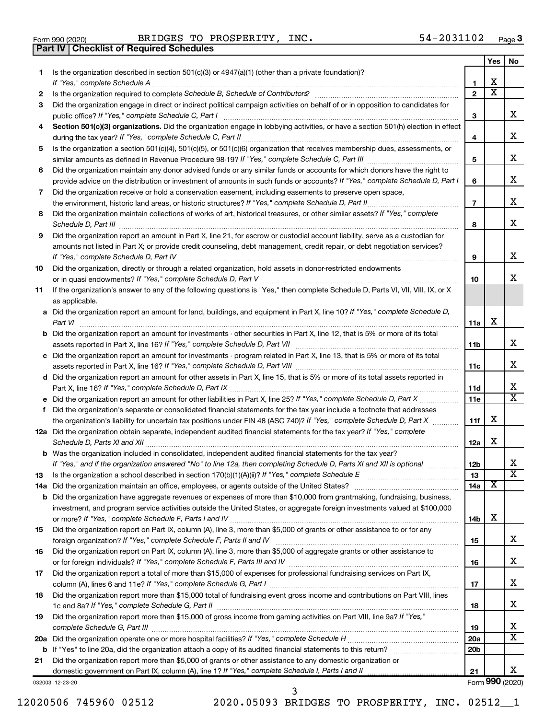|  | Form 990 (2020) |
|--|-----------------|

**Part IV Checklist of Required Schedules**

Form 990 (2020) Page BRIDGES TO PROSPERITY, INC. 54-2031102

|     |                                                                                                                                                                       |                 | Yes | No                      |
|-----|-----------------------------------------------------------------------------------------------------------------------------------------------------------------------|-----------------|-----|-------------------------|
| 1   | Is the organization described in section 501(c)(3) or 4947(a)(1) (other than a private foundation)?                                                                   |                 |     |                         |
|     |                                                                                                                                                                       | 1               | х   |                         |
| 2   | Is the organization required to complete Schedule B, Schedule of Contributors? [111] [12] the organization required to complete Schedule B, Schedule of Contributors? | $\overline{2}$  | x   |                         |
| 3   | Did the organization engage in direct or indirect political campaign activities on behalf of or in opposition to candidates for                                       | 3               |     | x                       |
| 4   | Section 501(c)(3) organizations. Did the organization engage in lobbying activities, or have a section 501(h) election in effect                                      |                 |     |                         |
|     |                                                                                                                                                                       | 4               |     | х                       |
| 5   | Is the organization a section 501(c)(4), 501(c)(5), or 501(c)(6) organization that receives membership dues, assessments, or                                          |                 |     |                         |
|     |                                                                                                                                                                       | 5               |     | x                       |
| 6   | Did the organization maintain any donor advised funds or any similar funds or accounts for which donors have the right to                                             |                 |     |                         |
|     | provide advice on the distribution or investment of amounts in such funds or accounts? If "Yes," complete Schedule D, Part I                                          | 6               |     | x                       |
| 7   | Did the organization receive or hold a conservation easement, including easements to preserve open space,                                                             |                 |     |                         |
|     |                                                                                                                                                                       | $\overline{7}$  |     | x                       |
| 8   | Did the organization maintain collections of works of art, historical treasures, or other similar assets? If "Yes," complete                                          |                 |     |                         |
|     |                                                                                                                                                                       | 8               |     | x                       |
| 9   | Did the organization report an amount in Part X, line 21, for escrow or custodial account liability, serve as a custodian for                                         |                 |     |                         |
|     | amounts not listed in Part X; or provide credit counseling, debt management, credit repair, or debt negotiation services?                                             |                 |     |                         |
|     |                                                                                                                                                                       | 9               |     | x                       |
| 10  | Did the organization, directly or through a related organization, hold assets in donor-restricted endowments                                                          |                 |     |                         |
|     |                                                                                                                                                                       | 10              |     | x                       |
| 11  | If the organization's answer to any of the following questions is "Yes," then complete Schedule D, Parts VI, VII, VIII, IX, or X                                      |                 |     |                         |
|     | as applicable.                                                                                                                                                        |                 |     |                         |
|     | a Did the organization report an amount for land, buildings, and equipment in Part X, line 10? If "Yes," complete Schedule D,                                         |                 |     |                         |
|     |                                                                                                                                                                       | 11a             | X   |                         |
|     | <b>b</b> Did the organization report an amount for investments - other securities in Part X, line 12, that is 5% or more of its total                                 |                 |     |                         |
|     |                                                                                                                                                                       | 11b             |     | x                       |
|     | c Did the organization report an amount for investments - program related in Part X, line 13, that is 5% or more of its total                                         |                 |     |                         |
|     |                                                                                                                                                                       | 11c             |     | х                       |
|     | d Did the organization report an amount for other assets in Part X, line 15, that is 5% or more of its total assets reported in                                       |                 |     |                         |
|     |                                                                                                                                                                       | 11d             |     | х                       |
|     |                                                                                                                                                                       | 11e             |     | x                       |
|     | f Did the organization's separate or consolidated financial statements for the tax year include a footnote that addresses                                             |                 |     |                         |
|     | the organization's liability for uncertain tax positions under FIN 48 (ASC 740)? If "Yes," complete Schedule D, Part X                                                | 11f             | X   |                         |
|     | 12a Did the organization obtain separate, independent audited financial statements for the tax year? If "Yes," complete                                               |                 |     |                         |
|     |                                                                                                                                                                       | 12a             | X   |                         |
|     | <b>b</b> Was the organization included in consolidated, independent audited financial statements for the tax year?                                                    |                 |     |                         |
|     | If "Yes," and if the organization answered "No" to line 12a, then completing Schedule D, Parts XI and XII is optional                                                 | 12 <sub>b</sub> |     | х                       |
| 13  |                                                                                                                                                                       | 13              |     | $\overline{\mathbf{X}}$ |
| 14a |                                                                                                                                                                       | 14a             | х   |                         |
| b   | Did the organization have aggregate revenues or expenses of more than \$10,000 from grantmaking, fundraising, business,                                               |                 |     |                         |
|     | investment, and program service activities outside the United States, or aggregate foreign investments valued at \$100,000                                            |                 |     |                         |
|     |                                                                                                                                                                       | 14b             | х   |                         |
| 15  | Did the organization report on Part IX, column (A), line 3, more than \$5,000 of grants or other assistance to or for any                                             |                 |     |                         |
|     |                                                                                                                                                                       | 15              |     | х                       |
| 16  | Did the organization report on Part IX, column (A), line 3, more than \$5,000 of aggregate grants or other assistance to                                              |                 |     |                         |
|     |                                                                                                                                                                       | 16              |     | х                       |
| 17  | Did the organization report a total of more than \$15,000 of expenses for professional fundraising services on Part IX,                                               |                 |     |                         |
|     |                                                                                                                                                                       | 17              |     | х                       |
| 18  | Did the organization report more than \$15,000 total of fundraising event gross income and contributions on Part VIII, lines                                          | 18              |     | х                       |
| 19  | Did the organization report more than \$15,000 of gross income from gaming activities on Part VIII, line 9a? If "Yes,"                                                |                 |     |                         |
|     |                                                                                                                                                                       | 19              |     | х                       |
| 20a |                                                                                                                                                                       | 20a             |     | x                       |
| b   |                                                                                                                                                                       | 20 <sub>b</sub> |     |                         |
| 21  | Did the organization report more than \$5,000 of grants or other assistance to any domestic organization or                                                           |                 |     |                         |
|     |                                                                                                                                                                       | 21              |     | х                       |
|     | 032003 12-23-20                                                                                                                                                       |                 |     | Form 990 (2020)         |

12020506 745960 02512 2020.05093 BRIDGES TO PROSPERITY, INC. 02512\_\_1 3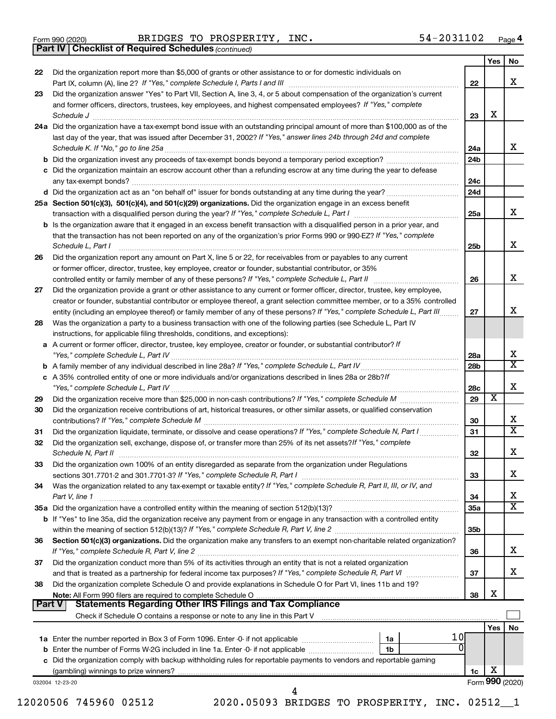|  | Form 990 (2020) |
|--|-----------------|
|  |                 |

Form 990 (2020) Page BRIDGES TO PROSPERITY, INC. 54-2031102

*(continued)* **Part IV Checklist of Required Schedules**

| 22 | Did the organization report more than \$5,000 of grants or other assistance to or for domestic individuals on                                                                                                                                                                                                                                                                            |                 | Yes             | No                      |
|----|------------------------------------------------------------------------------------------------------------------------------------------------------------------------------------------------------------------------------------------------------------------------------------------------------------------------------------------------------------------------------------------|-----------------|-----------------|-------------------------|
|    | Part IX, column (A), line 2? If "Yes," complete Schedule I, Parts I and III [11]] [11]] [11] [11] [11] [11] [1                                                                                                                                                                                                                                                                           | 22              |                 | X                       |
| 23 | Did the organization answer "Yes" to Part VII, Section A, line 3, 4, or 5 about compensation of the organization's current                                                                                                                                                                                                                                                               |                 |                 |                         |
|    | and former officers, directors, trustees, key employees, and highest compensated employees? If "Yes," complete                                                                                                                                                                                                                                                                           |                 |                 |                         |
|    | $\textit{Schedule J} \textit{ \textbf{} \textbf{} \textbf{} \textbf{} \textbf{} \textbf{} \textbf{} \textbf{} \textbf{} \textbf{} \textbf{} \textbf{} \textbf{} \textbf{} \textbf{} \textbf{} \textbf{} \textbf{} \textbf{} \textbf{} \textbf{} \textbf{} \textbf{} \textbf{} \textbf{} \textbf{} \textbf{} \textbf{} \textbf{} \textbf{} \textbf{} \textbf{} \textbf{} \textbf{} \text$ | 23              | X               |                         |
|    | 24a Did the organization have a tax-exempt bond issue with an outstanding principal amount of more than \$100,000 as of the                                                                                                                                                                                                                                                              |                 |                 |                         |
|    | last day of the year, that was issued after December 31, 2002? If "Yes," answer lines 24b through 24d and complete                                                                                                                                                                                                                                                                       | 24a             |                 | x                       |
|    |                                                                                                                                                                                                                                                                                                                                                                                          | 24b             |                 |                         |
|    | c Did the organization maintain an escrow account other than a refunding escrow at any time during the year to defease                                                                                                                                                                                                                                                                   |                 |                 |                         |
|    |                                                                                                                                                                                                                                                                                                                                                                                          | 24c             |                 |                         |
|    |                                                                                                                                                                                                                                                                                                                                                                                          | 24d             |                 |                         |
|    | 25a Section 501(c)(3), 501(c)(4), and 501(c)(29) organizations. Did the organization engage in an excess benefit                                                                                                                                                                                                                                                                         |                 |                 |                         |
|    | transaction with a disqualified person during the year? If "Yes," complete Schedule L, Part I manufaction with a disqualified person during the year? If "Yes," complete Schedule L, Part I                                                                                                                                                                                              | 25a             |                 | x                       |
|    | <b>b</b> Is the organization aware that it engaged in an excess benefit transaction with a disqualified person in a prior year, and                                                                                                                                                                                                                                                      |                 |                 |                         |
|    | that the transaction has not been reported on any of the organization's prior Forms 990 or 990-EZ? If "Yes," complete                                                                                                                                                                                                                                                                    |                 |                 |                         |
|    | Schedule L, Part I                                                                                                                                                                                                                                                                                                                                                                       | 25b             |                 | X                       |
| 26 | Did the organization report any amount on Part X, line 5 or 22, for receivables from or payables to any current<br>or former officer, director, trustee, key employee, creator or founder, substantial contributor, or 35%                                                                                                                                                               |                 |                 |                         |
|    |                                                                                                                                                                                                                                                                                                                                                                                          | 26              |                 | X                       |
| 27 | Did the organization provide a grant or other assistance to any current or former officer, director, trustee, key employee,                                                                                                                                                                                                                                                              |                 |                 |                         |
|    | creator or founder, substantial contributor or employee thereof, a grant selection committee member, or to a 35% controlled                                                                                                                                                                                                                                                              |                 |                 |                         |
|    | entity (including an employee thereof) or family member of any of these persons? If "Yes," complete Schedule L, Part III                                                                                                                                                                                                                                                                 | 27              |                 | X                       |
| 28 | Was the organization a party to a business transaction with one of the following parties (see Schedule L, Part IV                                                                                                                                                                                                                                                                        |                 |                 |                         |
|    | instructions, for applicable filing thresholds, conditions, and exceptions):                                                                                                                                                                                                                                                                                                             |                 |                 |                         |
|    | a A current or former officer, director, trustee, key employee, creator or founder, or substantial contributor? If                                                                                                                                                                                                                                                                       |                 |                 |                         |
|    |                                                                                                                                                                                                                                                                                                                                                                                          | 28a             |                 | х                       |
|    |                                                                                                                                                                                                                                                                                                                                                                                          | 28 <sub>b</sub> |                 | $\overline{\mathbf{X}}$ |
|    | c A 35% controlled entity of one or more individuals and/or organizations described in lines 28a or 28b?lf                                                                                                                                                                                                                                                                               |                 |                 | Х                       |
| 29 |                                                                                                                                                                                                                                                                                                                                                                                          | 28c<br>29       | X               |                         |
| 30 | Did the organization receive contributions of art, historical treasures, or other similar assets, or qualified conservation                                                                                                                                                                                                                                                              |                 |                 |                         |
|    |                                                                                                                                                                                                                                                                                                                                                                                          | 30              |                 | х                       |
| 31 | Did the organization liquidate, terminate, or dissolve and cease operations? If "Yes," complete Schedule N, Part I                                                                                                                                                                                                                                                                       | 31              |                 | $\overline{\mathbf{X}}$ |
| 32 | Did the organization sell, exchange, dispose of, or transfer more than 25% of its net assets? If "Yes," complete                                                                                                                                                                                                                                                                         |                 |                 |                         |
|    | Schedule N, Part II                                                                                                                                                                                                                                                                                                                                                                      | 32              |                 | х                       |
| 33 | Did the organization own 100% of an entity disregarded as separate from the organization under Regulations                                                                                                                                                                                                                                                                               |                 |                 |                         |
|    |                                                                                                                                                                                                                                                                                                                                                                                          | 33              |                 | x                       |
| 34 | Was the organization related to any tax-exempt or taxable entity? If "Yes," complete Schedule R, Part II, III, or IV, and                                                                                                                                                                                                                                                                |                 |                 |                         |
|    | Part V, line 1                                                                                                                                                                                                                                                                                                                                                                           | 34              |                 | х<br>x                  |
|    |                                                                                                                                                                                                                                                                                                                                                                                          | 35a             |                 |                         |
|    | <b>b</b> If "Yes" to line 35a, did the organization receive any payment from or engage in any transaction with a controlled entity                                                                                                                                                                                                                                                       | 35 <sub>b</sub> |                 |                         |
| 36 | Section 501(c)(3) organizations. Did the organization make any transfers to an exempt non-charitable related organization?                                                                                                                                                                                                                                                               |                 |                 |                         |
|    |                                                                                                                                                                                                                                                                                                                                                                                          | 36              |                 | x                       |
| 37 | Did the organization conduct more than 5% of its activities through an entity that is not a related organization                                                                                                                                                                                                                                                                         |                 |                 |                         |
|    |                                                                                                                                                                                                                                                                                                                                                                                          | 37              |                 | х                       |
| 38 | Did the organization complete Schedule O and provide explanations in Schedule O for Part VI, lines 11b and 19?                                                                                                                                                                                                                                                                           |                 |                 |                         |
|    | Note: All Form 990 filers are required to complete Schedule O                                                                                                                                                                                                                                                                                                                            | 38              | X               |                         |
|    | <b>Statements Regarding Other IRS Filings and Tax Compliance</b><br>Part V                                                                                                                                                                                                                                                                                                               |                 |                 |                         |
|    |                                                                                                                                                                                                                                                                                                                                                                                          |                 | Yes             | No                      |
|    | 10<br>1a                                                                                                                                                                                                                                                                                                                                                                                 |                 |                 |                         |
|    | 0<br>1 <sub>b</sub>                                                                                                                                                                                                                                                                                                                                                                      |                 |                 |                         |
|    | c Did the organization comply with backup withholding rules for reportable payments to vendors and reportable gaming                                                                                                                                                                                                                                                                     |                 |                 |                         |
|    |                                                                                                                                                                                                                                                                                                                                                                                          | 1c              | х               |                         |
|    | 032004 12-23-20                                                                                                                                                                                                                                                                                                                                                                          |                 | Form 990 (2020) |                         |
|    |                                                                                                                                                                                                                                                                                                                                                                                          |                 |                 |                         |
|    | 12020506 745960 02512<br>2020.05093 BRIDGES TO PROSPERITY, INC. 02512_1                                                                                                                                                                                                                                                                                                                  |                 |                 |                         |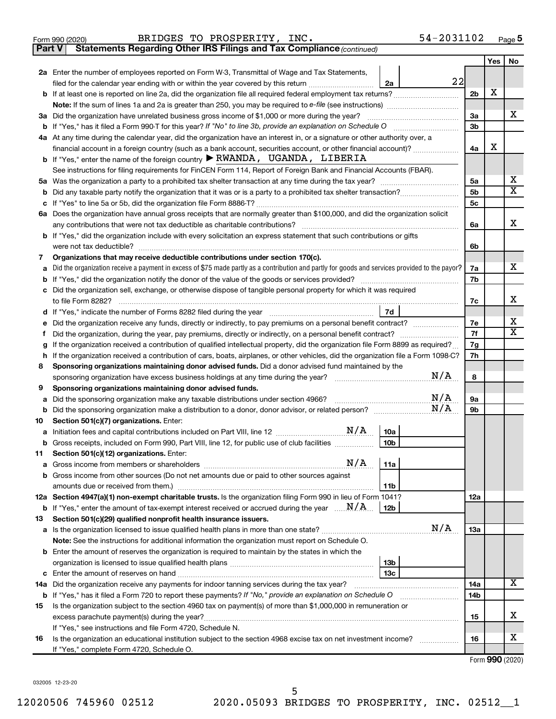|  | Form 990 (2020) |
|--|-----------------|
|  |                 |

**Part V** Statements Regarding Other IRS Filings and Tax Compliance (continued)

|    |                                                                                                                                                                                                                                                                             |                | Yes | No                      |  |  |
|----|-----------------------------------------------------------------------------------------------------------------------------------------------------------------------------------------------------------------------------------------------------------------------------|----------------|-----|-------------------------|--|--|
|    | 2a Enter the number of employees reported on Form W-3, Transmittal of Wage and Tax Statements,                                                                                                                                                                              |                |     |                         |  |  |
|    | 22<br>filed for the calendar year ending with or within the year covered by this return<br>2a                                                                                                                                                                               |                | х   |                         |  |  |
|    | <b>b</b> If at least one is reported on line 2a, did the organization file all required federal employment tax returns?                                                                                                                                                     |                |     |                         |  |  |
|    |                                                                                                                                                                                                                                                                             |                |     |                         |  |  |
|    | 3a Did the organization have unrelated business gross income of \$1,000 or more during the year?                                                                                                                                                                            | 3a             |     | х                       |  |  |
|    |                                                                                                                                                                                                                                                                             |                |     |                         |  |  |
|    | 4a At any time during the calendar year, did the organization have an interest in, or a signature or other authority over, a                                                                                                                                                |                |     |                         |  |  |
|    | financial account in a foreign country (such as a bank account, securities account, or other financial account)?                                                                                                                                                            | 4a             | х   |                         |  |  |
|    | <b>b</b> If "Yes," enter the name of the foreign country $\blacktriangleright$ RWANDA, UGANDA, LIBERIA                                                                                                                                                                      |                |     |                         |  |  |
|    | See instructions for filing requirements for FinCEN Form 114, Report of Foreign Bank and Financial Accounts (FBAR).                                                                                                                                                         |                |     |                         |  |  |
|    |                                                                                                                                                                                                                                                                             | 5a             |     | х                       |  |  |
|    |                                                                                                                                                                                                                                                                             | 5b             |     | $\overline{\mathbf{X}}$ |  |  |
|    |                                                                                                                                                                                                                                                                             | 5 <sub>c</sub> |     |                         |  |  |
|    | 6a Does the organization have annual gross receipts that are normally greater than \$100,000, and did the organization solicit                                                                                                                                              |                |     |                         |  |  |
|    |                                                                                                                                                                                                                                                                             | 6a             |     | х                       |  |  |
|    | <b>b</b> If "Yes," did the organization include with every solicitation an express statement that such contributions or gifts                                                                                                                                               |                |     |                         |  |  |
|    |                                                                                                                                                                                                                                                                             | 6b             |     |                         |  |  |
| 7  | Organizations that may receive deductible contributions under section 170(c).                                                                                                                                                                                               |                |     |                         |  |  |
| a  | Did the organization receive a payment in excess of \$75 made partly as a contribution and partly for goods and services provided to the payor?                                                                                                                             | 7a             |     | х                       |  |  |
|    |                                                                                                                                                                                                                                                                             | 7b             |     |                         |  |  |
|    | c Did the organization sell, exchange, or otherwise dispose of tangible personal property for which it was required                                                                                                                                                         |                |     |                         |  |  |
|    |                                                                                                                                                                                                                                                                             | 7c             |     | х                       |  |  |
|    | 7d                                                                                                                                                                                                                                                                          |                |     | х                       |  |  |
| е  | Did the organization receive any funds, directly or indirectly, to pay premiums on a personal benefit contract?                                                                                                                                                             | 7e             |     | $\mathbf x$             |  |  |
| f  | Did the organization, during the year, pay premiums, directly or indirectly, on a personal benefit contract?                                                                                                                                                                | 7f<br>7g       |     |                         |  |  |
| h  | If the organization received a contribution of qualified intellectual property, did the organization file Form 8899 as required?<br>g<br>If the organization received a contribution of cars, boats, airplanes, or other vehicles, did the organization file a Form 1098-C? |                |     |                         |  |  |
| 8  | Sponsoring organizations maintaining donor advised funds. Did a donor advised fund maintained by the                                                                                                                                                                        |                |     |                         |  |  |
|    | N/A                                                                                                                                                                                                                                                                         |                |     |                         |  |  |
| 9  | Sponsoring organizations maintaining donor advised funds.                                                                                                                                                                                                                   |                |     |                         |  |  |
| a  | N/A<br>Did the sponsoring organization make any taxable distributions under section 4966?                                                                                                                                                                                   | 9а             |     |                         |  |  |
|    | N/A                                                                                                                                                                                                                                                                         | 9b             |     |                         |  |  |
| 10 | Section 501(c)(7) organizations. Enter:                                                                                                                                                                                                                                     |                |     |                         |  |  |
|    | 10a                                                                                                                                                                                                                                                                         |                |     |                         |  |  |
|    | 10 <sub>b</sub><br>b Gross receipts, included on Form 990, Part VIII, line 12, for public use of club facilities                                                                                                                                                            |                |     |                         |  |  |
|    | 11 Section 501(c)(12) organizations. Enter:                                                                                                                                                                                                                                 |                |     |                         |  |  |
|    |                                                                                                                                                                                                                                                                             |                |     |                         |  |  |
|    | b Gross income from other sources (Do not net amounts due or paid to other sources against                                                                                                                                                                                  |                |     |                         |  |  |
|    | 11 <sub>b</sub>                                                                                                                                                                                                                                                             |                |     |                         |  |  |
|    | 12a Section 4947(a)(1) non-exempt charitable trusts. Is the organization filing Form 990 in lieu of Form 1041?                                                                                                                                                              | 12a            |     |                         |  |  |
|    | <b>b</b> If "Yes," enter the amount of tax-exempt interest received or accrued during the year $\ldots \mathbf{N}/\mathbf{A}$<br>12b                                                                                                                                        |                |     |                         |  |  |
| 13 | Section 501(c)(29) qualified nonprofit health insurance issuers.                                                                                                                                                                                                            |                |     |                         |  |  |
|    | N/A<br>a Is the organization licensed to issue qualified health plans in more than one state?                                                                                                                                                                               | 13a            |     |                         |  |  |
|    | Note: See the instructions for additional information the organization must report on Schedule O.                                                                                                                                                                           |                |     |                         |  |  |
|    | <b>b</b> Enter the amount of reserves the organization is required to maintain by the states in which the                                                                                                                                                                   |                |     |                         |  |  |
|    | 13 <sub>b</sub>                                                                                                                                                                                                                                                             |                |     |                         |  |  |
|    | 13 <sub>c</sub>                                                                                                                                                                                                                                                             |                |     | x                       |  |  |
|    | 14a Did the organization receive any payments for indoor tanning services during the tax year?                                                                                                                                                                              | 14a            |     |                         |  |  |
|    | <b>b</b> If "Yes," has it filed a Form 720 to report these payments? If "No," provide an explanation on Schedule O                                                                                                                                                          | 14b            |     |                         |  |  |
| 15 | Is the organization subject to the section 4960 tax on payment(s) of more than \$1,000,000 in remuneration or                                                                                                                                                               |                |     | x                       |  |  |
|    | excess parachute payment(s) during the year?<br>If "Yes," see instructions and file Form 4720, Schedule N.                                                                                                                                                                  | 15             |     |                         |  |  |
| 16 | Is the organization an educational institution subject to the section 4968 excise tax on net investment income?                                                                                                                                                             | 16             |     | x                       |  |  |
|    | If "Yes," complete Form 4720, Schedule O.                                                                                                                                                                                                                                   |                |     |                         |  |  |
|    |                                                                                                                                                                                                                                                                             |                |     |                         |  |  |

Form (2020) **990**

032005 12-23-20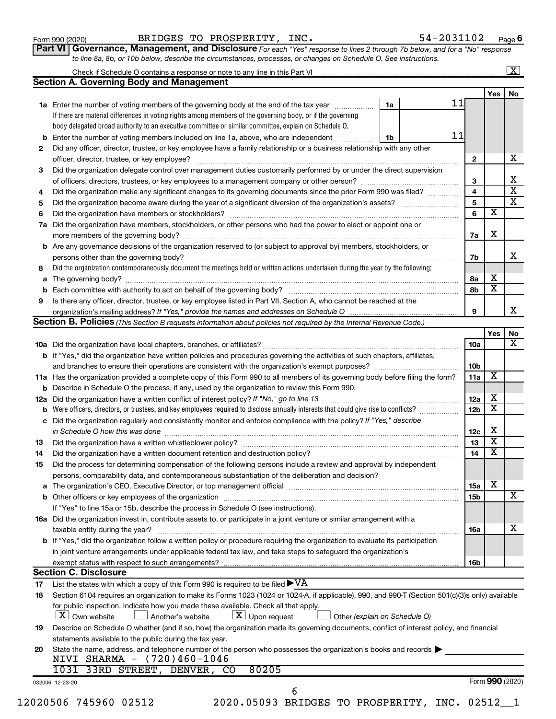| Form 990 (2020) |  |
|-----------------|--|
|-----------------|--|

Form 990 (2020) Page BRIDGES TO PROSPERITY, INC. 54-2031102

**Part VI** Governance, Management, and Disclosure For each "Yes" response to lines 2 through 7b below, and for a "No" response *to line 8a, 8b, or 10b below, describe the circumstances, processes, or changes on Schedule O. See instructions.*

|                | Check if Schedule O contains a response or note to any line in this Part VI                                                                                               |    |    |                         |                         |    |
|----------------|---------------------------------------------------------------------------------------------------------------------------------------------------------------------------|----|----|-------------------------|-------------------------|----|
|                | <b>Section A. Governing Body and Management</b>                                                                                                                           |    |    |                         |                         | No |
|                |                                                                                                                                                                           |    | 11 |                         | Yes                     |    |
|                | 1a Enter the number of voting members of the governing body at the end of the tax year <i>manumum</i>                                                                     | 1a |    |                         |                         |    |
|                | If there are material differences in voting rights among members of the governing body, or if the governing                                                               |    |    |                         |                         |    |
|                | body delegated broad authority to an executive committee or similar committee, explain on Schedule O.                                                                     |    |    |                         |                         |    |
| b              | Enter the number of voting members included on line 1a, above, who are independent                                                                                        | 1b | 11 |                         |                         |    |
| 2              | Did any officer, director, trustee, or key employee have a family relationship or a business relationship with any other                                                  |    |    |                         |                         |    |
|                |                                                                                                                                                                           |    |    | $\mathbf{2}$            |                         |    |
| З              | Did the organization delegate control over management duties customarily performed by or under the direct supervision                                                     |    |    |                         |                         |    |
|                | of officers, directors, trustees, or key employees to a management company or other person?                                                                               |    |    | 3                       |                         |    |
| 4              | Did the organization make any significant changes to its governing documents since the prior Form 990 was filed?                                                          |    |    | $\overline{\mathbf{4}}$ |                         |    |
| 5              |                                                                                                                                                                           |    |    | 5                       |                         |    |
| 6              |                                                                                                                                                                           |    |    | 6                       | $\overline{\textbf{x}}$ |    |
| 7a             | Did the organization have members, stockholders, or other persons who had the power to elect or appoint one or                                                            |    |    |                         |                         |    |
|                |                                                                                                                                                                           |    |    | 7а                      | X                       |    |
|                | <b>b</b> Are any governance decisions of the organization reserved to (or subject to approval by) members, stockholders, or                                               |    |    |                         |                         |    |
|                |                                                                                                                                                                           |    |    | 7b                      |                         |    |
|                | persons other than the governing body?                                                                                                                                    |    |    |                         |                         |    |
| 8              | Did the organization contemporaneously document the meetings held or written actions undertaken during the year by the following:                                         |    |    |                         | X                       |    |
| а              |                                                                                                                                                                           |    |    | 8а                      |                         |    |
|                |                                                                                                                                                                           |    |    | 8b                      | $\overline{\textbf{x}}$ |    |
| 9              | Is there any officer, director, trustee, or key employee listed in Part VII, Section A, who cannot be reached at the                                                      |    |    |                         |                         |    |
|                |                                                                                                                                                                           |    |    | 9                       |                         |    |
|                | Section B. Policies (This Section B requests information about policies not required by the Internal Revenue Code.)                                                       |    |    |                         |                         |    |
|                |                                                                                                                                                                           |    |    |                         | Yes                     |    |
|                |                                                                                                                                                                           |    |    | 10a                     |                         |    |
|                | b If "Yes," did the organization have written policies and procedures governing the activities of such chapters, affiliates,                                              |    |    |                         |                         |    |
|                |                                                                                                                                                                           |    |    | 10 <sub>b</sub>         |                         |    |
|                | 11a Has the organization provided a complete copy of this Form 990 to all members of its governing body before filing the form?                                           |    |    | 11a                     | х                       |    |
|                | <b>b</b> Describe in Schedule O the process, if any, used by the organization to review this Form 990.                                                                    |    |    |                         |                         |    |
| 12a            |                                                                                                                                                                           |    |    | 12a                     | х                       |    |
|                | Were officers, directors, or trustees, and key employees required to disclose annually interests that could give rise to conflicts?                                       |    |    | 12 <sub>b</sub>         | $\overline{\textbf{x}}$ |    |
| с              | Did the organization regularly and consistently monitor and enforce compliance with the policy? If "Yes," describe                                                        |    |    |                         |                         |    |
|                | in Schedule O how this was done <i>maching and accordinational content of the schedule O how this was done</i> maching and accordination and schedule O how this was done |    |    | 12c                     | X                       |    |
| 13             |                                                                                                                                                                           |    |    | 13                      | $\overline{\textbf{x}}$ |    |
|                |                                                                                                                                                                           |    |    | 14                      | $\overline{\textbf{x}}$ |    |
| 14             |                                                                                                                                                                           |    |    |                         |                         |    |
| 15             | Did the process for determining compensation of the following persons include a review and approval by independent                                                        |    |    |                         |                         |    |
|                | persons, comparability data, and contemporaneous substantiation of the deliberation and decision?                                                                         |    |    |                         |                         |    |
|                |                                                                                                                                                                           |    |    | <b>15a</b>              | х                       |    |
|                |                                                                                                                                                                           |    |    | 15 <sub>b</sub>         |                         |    |
|                | If "Yes" to line 15a or 15b, describe the process in Schedule O (see instructions).                                                                                       |    |    |                         |                         |    |
|                | 16a Did the organization invest in, contribute assets to, or participate in a joint venture or similar arrangement with a                                                 |    |    |                         |                         |    |
|                | taxable entity during the year?                                                                                                                                           |    |    | 16a                     |                         |    |
|                | <b>b</b> If "Yes," did the organization follow a written policy or procedure requiring the organization to evaluate its participation                                     |    |    |                         |                         |    |
|                | in joint venture arrangements under applicable federal tax law, and take steps to safeguard the organization's                                                            |    |    |                         |                         |    |
|                | exempt status with respect to such arrangements?                                                                                                                          |    |    | 16 <sub>b</sub>         |                         |    |
|                |                                                                                                                                                                           |    |    |                         |                         |    |
|                |                                                                                                                                                                           |    |    |                         |                         |    |
|                | <b>Section C. Disclosure</b>                                                                                                                                              |    |    |                         |                         |    |
|                | List the states with which a copy of this Form 990 is required to be filed $\blacktriangleright\mathrm{VA}$                                                               |    |    |                         |                         |    |
|                | Section 6104 requires an organization to make its Forms 1023 (1024 or 1024-A, if applicable), 990, and 990-T (Section 501(c)(3)s only) available                          |    |    |                         |                         |    |
|                | for public inspection. Indicate how you made these available. Check all that apply.                                                                                       |    |    |                         |                         |    |
|                | X Own website<br>$\lfloor x \rfloor$ Upon request<br>Another's website<br>Other (explain on Schedule O)                                                                   |    |    |                         |                         |    |
| 17<br>18<br>19 | Describe on Schedule O whether (and if so, how) the organization made its governing documents, conflict of interest policy, and financial                                 |    |    |                         |                         |    |
|                | statements available to the public during the tax year.                                                                                                                   |    |    |                         |                         |    |
| 20             | State the name, address, and telephone number of the person who possesses the organization's books and records                                                            |    |    |                         |                         |    |
|                | NIVI SHARMA - (720)460-1046                                                                                                                                               |    |    |                         |                         |    |
|                | 80205<br>1031 33RD STREET, DENVER, CO                                                                                                                                     |    |    |                         |                         |    |
|                | 032006 12-23-20<br>6                                                                                                                                                      |    |    |                         | Form 990 (2020)         |    |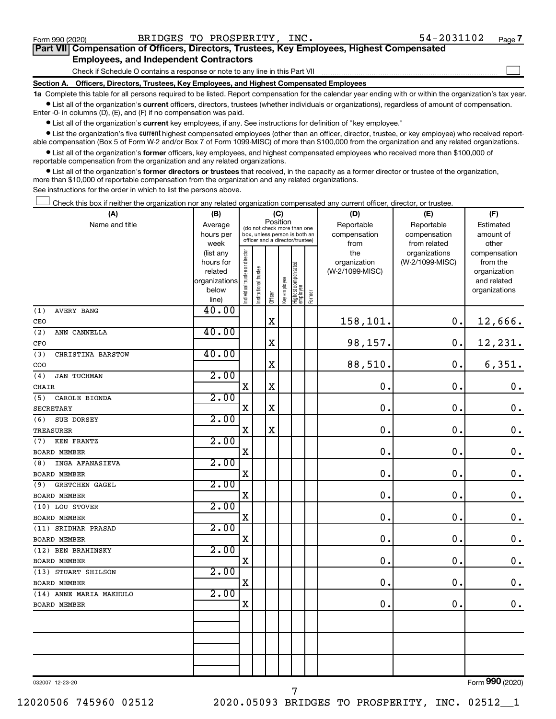$\Box$ 

| Part VII Compensation of Officers, Directors, Trustees, Key Employees, Highest Compensated |  |  |
|--------------------------------------------------------------------------------------------|--|--|
| <b>Employees, and Independent Contractors</b>                                              |  |  |

Check if Schedule O contains a response or note to any line in this Part VII

**Section A. Officers, Directors, Trustees, Key Employees, and Highest Compensated Employees**

**1a**  Complete this table for all persons required to be listed. Report compensation for the calendar year ending with or within the organization's tax year.  $\bullet$  List all of the organization's current officers, directors, trustees (whether individuals or organizations), regardless of amount of compensation.

Enter -0- in columns (D), (E), and (F) if no compensation was paid.

**•** List all of the organization's current key employees, if any. See instructions for definition of "key employee."

• List the organization's five *current* highest compensated employees (other than an officer, director, trustee, or key employee) who received reportable compensation (Box 5 of Form W-2 and/or Box 7 of Form 1099-MISC) of more than \$100,000 from the organization and any related organizations.

 $\bullet$  List all of the organization's former officers, key employees, and highest compensated employees who received more than \$100,000 of reportable compensation from the organization and any related organizations.

**•** List all of the organization's former directors or trustees that received, in the capacity as a former director or trustee of the organization, more than \$10,000 of reportable compensation from the organization and any related organizations.

See instructions for the order in which to list the persons above.

Check this box if neither the organization nor any related organization compensated any current officer, director, or trustee.  $\Box$ 

| (A)                          | (B)                    |                                |                                                                  | (C)     |              |                                   |        | (D)                 | (E)                              | (F)                      |
|------------------------------|------------------------|--------------------------------|------------------------------------------------------------------|---------|--------------|-----------------------------------|--------|---------------------|----------------------------------|--------------------------|
| Name and title               | Average                |                                | (do not check more than one                                      |         | Position     |                                   |        | Reportable          | Reportable                       | Estimated                |
|                              | hours per              |                                | box, unless person is both an<br>officer and a director/trustee) |         |              |                                   |        | compensation        | compensation                     | amount of                |
|                              | week                   |                                |                                                                  |         |              |                                   |        | from                | from related                     | other                    |
|                              | (list any<br>hours for |                                |                                                                  |         |              |                                   |        | the<br>organization | organizations<br>(W-2/1099-MISC) | compensation<br>from the |
|                              | related                |                                |                                                                  |         |              |                                   |        | (W-2/1099-MISC)     |                                  | organization             |
|                              | organizations          |                                |                                                                  |         |              |                                   |        |                     |                                  | and related              |
|                              | below                  | Individual trustee or director | Institutional trustee                                            |         | Key employee |                                   |        |                     |                                  | organizations            |
|                              | line)                  |                                |                                                                  | Officer |              | Highest compensated<br>  employee | Former |                     |                                  |                          |
| (1)<br><b>AVERY BANG</b>     | 40.00                  |                                |                                                                  |         |              |                                   |        |                     |                                  |                          |
| CEO                          |                        |                                |                                                                  | X       |              |                                   |        | 158,101.            | 0.                               | 12,666.                  |
| (2)<br>ANN CANNELLA          | 40.00                  |                                |                                                                  |         |              |                                   |        |                     |                                  |                          |
| CFO                          |                        |                                |                                                                  | X       |              |                                   |        | 98,157.             | $\mathbf 0$ .                    | 12,231.                  |
| (3)<br>CHRISTINA BARSTOW     | 40.00                  |                                |                                                                  |         |              |                                   |        |                     |                                  |                          |
| COO                          |                        |                                |                                                                  | X       |              |                                   |        | 88,510.             | $\mathbf 0$ .                    | 6,351.                   |
| (4)<br>JAN TUCHMAN           | 2.00                   |                                |                                                                  |         |              |                                   |        |                     |                                  |                          |
| CHAIR                        |                        | $\mathbf X$                    |                                                                  | X       |              |                                   |        | $\mathbf 0$ .       | 0.                               | $\mathbf 0$ .            |
| (5)<br>CAROLE BIONDA         | 2.00                   |                                |                                                                  |         |              |                                   |        |                     |                                  |                          |
| <b>SECRETARY</b>             |                        | $\mathbf X$                    |                                                                  | X       |              |                                   |        | $\mathbf 0$ .       | $\mathbf 0$ .                    | $\boldsymbol{0}$ .       |
| (6)<br>SUE DORSEY            | 2.00                   |                                |                                                                  |         |              |                                   |        |                     |                                  |                          |
| TREASURER                    |                        | $\mathbf X$                    |                                                                  | X       |              |                                   |        | $\mathbf 0$ .       | $\mathbf 0$ .                    | $\mathbf 0$ .            |
| (7)<br>KEN FRANTZ            | 2.00                   |                                |                                                                  |         |              |                                   |        |                     |                                  |                          |
| <b>BOARD MEMBER</b>          |                        | $\mathbf X$                    |                                                                  |         |              |                                   |        | $\mathbf 0$ .       | 0.                               | $\mathbf 0$ .            |
| INGA AFANASIEVA<br>(8)       | 2.00                   |                                |                                                                  |         |              |                                   |        |                     |                                  |                          |
| BOARD MEMBER                 |                        | $\mathbf X$                    |                                                                  |         |              |                                   |        | $\mathbf 0$ .       | $\mathbf 0$ .                    | $\mathbf 0$ .            |
| (9)<br><b>GRETCHEN GAGEL</b> | 2.00                   |                                |                                                                  |         |              |                                   |        |                     |                                  |                          |
| BOARD MEMBER                 |                        | $\mathbf X$                    |                                                                  |         |              |                                   |        | $\mathbf 0$ .       | $\mathbf 0$ .                    | $\boldsymbol{0}$ .       |
| (10) LOU STOVER              | 2.00                   |                                |                                                                  |         |              |                                   |        |                     |                                  |                          |
| BOARD MEMBER                 |                        | $\mathbf X$                    |                                                                  |         |              |                                   |        | $\mathbf 0$ .       | $\mathbf 0$ .                    | $\mathbf 0$ .            |
| (11) SRIDHAR PRASAD          | 2.00                   |                                |                                                                  |         |              |                                   |        |                     |                                  |                          |
| BOARD MEMBER                 |                        | $\mathbf X$                    |                                                                  |         |              |                                   |        | $\mathbf 0$ .       | 0.                               | $\boldsymbol{0}$ .       |
| (12) BEN BRAHINSKY           | 2.00                   |                                |                                                                  |         |              |                                   |        |                     |                                  |                          |
| BOARD MEMBER                 |                        | $\mathbf X$                    |                                                                  |         |              |                                   |        | $\mathbf 0$ .       | $\mathbf 0$ .                    | $\mathbf 0$ .            |
| (13) STUART SHILSON          | 2.00                   |                                |                                                                  |         |              |                                   |        |                     |                                  |                          |
| BOARD MEMBER                 |                        | $\mathbf X$                    |                                                                  |         |              |                                   |        | $\mathbf 0$ .       | $\mathbf 0$ .                    | $\mathbf 0$ .            |
| (14) ANNE MARIA MAKHULO      | 2.00                   |                                |                                                                  |         |              |                                   |        |                     |                                  |                          |
| BOARD MEMBER                 |                        | $\mathbf X$                    |                                                                  |         |              |                                   |        | $\mathbf 0$ .       | $\mathbf 0$ .                    | $0$ .                    |
|                              |                        |                                |                                                                  |         |              |                                   |        |                     |                                  |                          |
|                              |                        |                                |                                                                  |         |              |                                   |        |                     |                                  |                          |
|                              |                        |                                |                                                                  |         |              |                                   |        |                     |                                  |                          |
|                              |                        |                                |                                                                  |         |              |                                   |        |                     |                                  |                          |
|                              |                        |                                |                                                                  |         |              |                                   |        |                     |                                  |                          |
|                              |                        |                                |                                                                  |         |              |                                   |        |                     |                                  |                          |

7

032007 12-23-20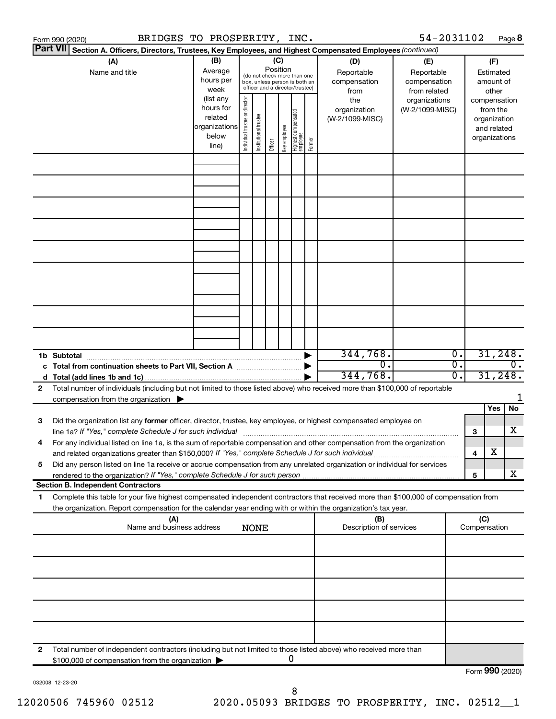|   | BRIDGES TO PROSPERITY, INC.<br>Form 990 (2020)                                                                                                                                                                                                                     |                                                          |                                |                       |                 |              |                                                                                                 |        |                                                  | 54-2031102                                                         |          |                     |                                                          | Page 8                      |
|---|--------------------------------------------------------------------------------------------------------------------------------------------------------------------------------------------------------------------------------------------------------------------|----------------------------------------------------------|--------------------------------|-----------------------|-----------------|--------------|-------------------------------------------------------------------------------------------------|--------|--------------------------------------------------|--------------------------------------------------------------------|----------|---------------------|----------------------------------------------------------|-----------------------------|
|   | <b>Part VII</b><br>Section A. Officers, Directors, Trustees, Key Employees, and Highest Compensated Employees (continued)                                                                                                                                          |                                                          |                                |                       |                 |              |                                                                                                 |        |                                                  |                                                                    |          |                     |                                                          |                             |
|   | (A)<br>Name and title                                                                                                                                                                                                                                              | (B)<br>Average<br>hours per<br>week<br>(list any         |                                |                       | (C)<br>Position |              | (do not check more than one<br>box, unless person is both an<br>officer and a director/trustee) |        | (D)<br>Reportable<br>compensation<br>from<br>the | (E)<br>Reportable<br>compensation<br>from related<br>organizations |          | compensation        | (F)<br>Estimated<br>amount of<br>other                   |                             |
|   |                                                                                                                                                                                                                                                                    | hours for<br>related<br> organizations<br>below<br>line) | Individual trustee or director | Institutional trustee | Officer         | Key employee | Highest compensated<br>  employee                                                               | Former | organization<br>(W-2/1099-MISC)                  | (W-2/1099-MISC)                                                    |          |                     | from the<br>organization<br>and related<br>organizations |                             |
|   |                                                                                                                                                                                                                                                                    |                                                          |                                |                       |                 |              |                                                                                                 |        |                                                  |                                                                    |          |                     |                                                          |                             |
|   |                                                                                                                                                                                                                                                                    |                                                          |                                |                       |                 |              |                                                                                                 |        |                                                  |                                                                    |          |                     |                                                          |                             |
|   |                                                                                                                                                                                                                                                                    |                                                          |                                |                       |                 |              |                                                                                                 |        |                                                  |                                                                    |          |                     |                                                          |                             |
|   |                                                                                                                                                                                                                                                                    |                                                          |                                |                       |                 |              |                                                                                                 |        |                                                  |                                                                    |          |                     |                                                          |                             |
|   |                                                                                                                                                                                                                                                                    |                                                          |                                |                       |                 |              |                                                                                                 |        |                                                  |                                                                    |          |                     |                                                          |                             |
|   |                                                                                                                                                                                                                                                                    |                                                          |                                |                       |                 |              |                                                                                                 |        |                                                  |                                                                    |          |                     |                                                          |                             |
|   |                                                                                                                                                                                                                                                                    |                                                          |                                |                       |                 |              |                                                                                                 |        |                                                  |                                                                    |          |                     |                                                          |                             |
|   | 1b Subtotal                                                                                                                                                                                                                                                        |                                                          |                                |                       |                 |              |                                                                                                 |        | 344,768.<br>$\overline{0}$ .                     |                                                                    | 0.<br>σ. |                     |                                                          | 31,248.<br>$\overline{0}$ . |
| 2 | Total number of individuals (including but not limited to those listed above) who received more than \$100,000 of reportable                                                                                                                                       |                                                          |                                |                       |                 |              |                                                                                                 |        | 344,768.                                         |                                                                    | σ.       |                     | 31,248.                                                  |                             |
|   | compensation from the organization $\blacktriangleright$                                                                                                                                                                                                           |                                                          |                                |                       |                 |              |                                                                                                 |        |                                                  |                                                                    |          |                     | Yes                                                      | 1<br>No.                    |
| 3 | Did the organization list any former officer, director, trustee, key employee, or highest compensated employee on<br>line 1a? If "Yes," complete Schedule J for such individual [11] manufacture manufacture 1a? If "Yes," complete Schedule J for such individual |                                                          |                                |                       |                 |              |                                                                                                 |        |                                                  |                                                                    |          | 3                   |                                                          | x                           |
|   | For any individual listed on line 1a, is the sum of reportable compensation and other compensation from the organization<br>and related organizations greater than \$150,000? If "Yes," complete Schedule J for such individual                                    |                                                          |                                |                       |                 |              |                                                                                                 |        |                                                  |                                                                    |          | 4                   | х                                                        |                             |
| 5 | Did any person listed on line 1a receive or accrue compensation from any unrelated organization or individual for services<br>rendered to the organization? If "Yes," complete Schedule J for such person<br><b>Section B. Independent Contractors</b>             |                                                          |                                |                       |                 |              |                                                                                                 |        |                                                  |                                                                    |          | 5                   |                                                          | x                           |
| 1 | Complete this table for your five highest compensated independent contractors that received more than \$100,000 of compensation from<br>the organization. Report compensation for the calendar year ending with or within the organization's tax year.             |                                                          |                                |                       |                 |              |                                                                                                 |        |                                                  |                                                                    |          |                     |                                                          |                             |
|   | (A)<br>Name and business address                                                                                                                                                                                                                                   |                                                          |                                | <b>NONE</b>           |                 |              |                                                                                                 |        | (B)<br>Description of services                   |                                                                    |          | (C)<br>Compensation |                                                          |                             |
|   |                                                                                                                                                                                                                                                                    |                                                          |                                |                       |                 |              |                                                                                                 |        |                                                  |                                                                    |          |                     |                                                          |                             |
|   |                                                                                                                                                                                                                                                                    |                                                          |                                |                       |                 |              |                                                                                                 |        |                                                  |                                                                    |          |                     |                                                          |                             |
|   |                                                                                                                                                                                                                                                                    |                                                          |                                |                       |                 |              |                                                                                                 |        |                                                  |                                                                    |          |                     |                                                          |                             |
|   |                                                                                                                                                                                                                                                                    |                                                          |                                |                       |                 |              |                                                                                                 |        |                                                  |                                                                    |          |                     |                                                          |                             |
| 2 | Total number of independent contractors (including but not limited to those listed above) who received more than<br>\$100,000 of compensation from the organization                                                                                                |                                                          |                                |                       |                 |              | 0                                                                                               |        |                                                  |                                                                    |          | Eorm $990(2020)$    |                                                          |                             |

032008 12-23-20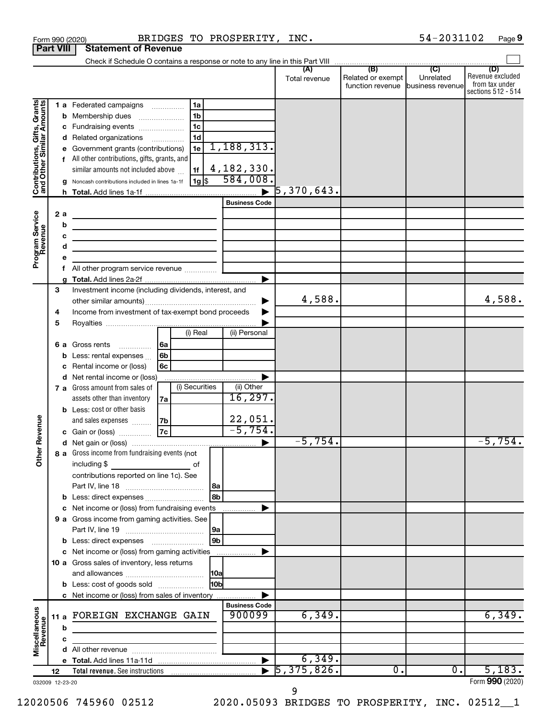| <b>Part VIII</b>                                                                                  |             |         | <b>Statement of Revenue</b>                                                                                                                                                                                                                                                                                                                                                                                 |                                                                 |                            |                                       |                               |                                                                 |
|---------------------------------------------------------------------------------------------------|-------------|---------|-------------------------------------------------------------------------------------------------------------------------------------------------------------------------------------------------------------------------------------------------------------------------------------------------------------------------------------------------------------------------------------------------------------|-----------------------------------------------------------------|----------------------------|---------------------------------------|-------------------------------|-----------------------------------------------------------------|
|                                                                                                   |             |         |                                                                                                                                                                                                                                                                                                                                                                                                             |                                                                 |                            |                                       |                               |                                                                 |
|                                                                                                   |             |         |                                                                                                                                                                                                                                                                                                                                                                                                             |                                                                 | Total revenue              | Related or exempt<br>function revenue | Unrelated<br>business revenue | (D)<br>Revenue excluded<br>from tax under<br>sections 512 - 514 |
| Grants<br>Contributions, Gifts, Grants<br>and Other Similar Amounts<br>Program Service<br>Revenue |             | 2a<br>b | 1 a Federated campaigns<br>1a<br>1 <sub>b</sub><br><b>b</b> Membership dues<br>1c<br>c Fundraising events<br>1d<br>d Related organizations<br>1e<br>e Government grants (contributions)<br>f All other contributions, gifts, grants, and<br>similar amounts not included above<br>1f<br>$1g$ \$<br>Noncash contributions included in lines 1a-1f<br><u> 1980 - Johann Barbara, martin amerikan basar da</u> | 1, 188, 313.<br>4, 182, 330.<br>584,008<br><b>Business Code</b> | $\overline{5}$ ,370,643.   |                                       |                               |                                                                 |
|                                                                                                   |             | с       | the control of the control of the control of the control of the control of                                                                                                                                                                                                                                                                                                                                  |                                                                 |                            |                                       |                               |                                                                 |
|                                                                                                   |             | d       | <u> 1980 - Johann Barbara, martin a</u>                                                                                                                                                                                                                                                                                                                                                                     |                                                                 |                            |                                       |                               |                                                                 |
|                                                                                                   |             | е       |                                                                                                                                                                                                                                                                                                                                                                                                             |                                                                 |                            |                                       |                               |                                                                 |
|                                                                                                   |             | f       | All other program service revenue                                                                                                                                                                                                                                                                                                                                                                           |                                                                 |                            |                                       |                               |                                                                 |
|                                                                                                   | 3<br>4<br>5 |         | Investment income (including dividends, interest, and<br>Income from investment of tax-exempt bond proceeds                                                                                                                                                                                                                                                                                                 |                                                                 | 4,588.                     |                                       |                               | 4,588.                                                          |
|                                                                                                   |             |         | (i) Real                                                                                                                                                                                                                                                                                                                                                                                                    | (ii) Personal                                                   |                            |                                       |                               |                                                                 |
|                                                                                                   |             |         | <b>6 a</b> Gross rents<br>l6a<br>6b<br><b>b</b> Less: rental expenses $\ldots$<br>6с<br>c Rental income or (loss)                                                                                                                                                                                                                                                                                           |                                                                 |                            |                                       |                               |                                                                 |
|                                                                                                   |             |         | d Net rental income or (loss)<br>(i) Securities<br>7 a Gross amount from sales of<br>assets other than inventory<br>7a<br><b>b</b> Less: cost or other basis                                                                                                                                                                                                                                                | (ii) Other<br>16, 297.                                          |                            |                                       |                               |                                                                 |
| Revenue                                                                                           |             |         | 7b<br>and sales expenses<br> 7c <br>c Gain or (loss)                                                                                                                                                                                                                                                                                                                                                        | 22,051.<br>$-5,754.$                                            | $-5,754.$                  |                                       |                               | $-5,754.$                                                       |
| ត<br>$\check{\bar{\epsilon}}$                                                                     |             |         | 8 a Gross income from fundraising events (not<br>including \$<br>оf<br>contributions reported on line 1c). See<br> 8a                                                                                                                                                                                                                                                                                       |                                                                 |                            |                                       |                               |                                                                 |
|                                                                                                   |             |         | 8b<br><b>b</b> Less: direct expenses <b>contained b</b>                                                                                                                                                                                                                                                                                                                                                     |                                                                 |                            |                                       |                               |                                                                 |
|                                                                                                   |             |         | c Net income or (loss) from fundraising events                                                                                                                                                                                                                                                                                                                                                              | .                                                               |                            |                                       |                               |                                                                 |
|                                                                                                   |             |         | 9 a Gross income from gaming activities. See<br> 9a<br>9 <sub>b</sub>                                                                                                                                                                                                                                                                                                                                       |                                                                 |                            |                                       |                               |                                                                 |
|                                                                                                   |             |         | c Net income or (loss) from gaming activities                                                                                                                                                                                                                                                                                                                                                               |                                                                 |                            |                                       |                               |                                                                 |
|                                                                                                   |             |         | 10 a Gross sales of inventory, less returns<br> 10a                                                                                                                                                                                                                                                                                                                                                         |                                                                 |                            |                                       |                               |                                                                 |
|                                                                                                   |             |         | 10b<br><b>b</b> Less: cost of goods sold                                                                                                                                                                                                                                                                                                                                                                    |                                                                 |                            |                                       |                               |                                                                 |
|                                                                                                   |             |         | c Net income or (loss) from sales of inventory                                                                                                                                                                                                                                                                                                                                                              | <b>Business Code</b>                                            |                            |                                       |                               |                                                                 |
| Miscellaneous<br>Revenue                                                                          |             | b       | 11 a FOREIGN EXCHANGE GAIN                                                                                                                                                                                                                                                                                                                                                                                  | 900099                                                          | 6,349.                     |                                       |                               | 6,349.                                                          |
|                                                                                                   |             | c       |                                                                                                                                                                                                                                                                                                                                                                                                             |                                                                 |                            |                                       |                               |                                                                 |
|                                                                                                   |             |         |                                                                                                                                                                                                                                                                                                                                                                                                             |                                                                 |                            |                                       |                               |                                                                 |
|                                                                                                   |             |         |                                                                                                                                                                                                                                                                                                                                                                                                             | $\blacktriangleright$                                           | 6,349.                     |                                       |                               |                                                                 |
|                                                                                                   | 12          |         |                                                                                                                                                                                                                                                                                                                                                                                                             |                                                                 | $\overline{5, 375, 826}$ . | о.                                    | $\overline{0}$ .              | 5,183.<br>Form 990 (2020)                                       |
| 032009 12-23-20                                                                                   |             |         |                                                                                                                                                                                                                                                                                                                                                                                                             |                                                                 |                            |                                       |                               |                                                                 |

Form 990 (2020) BRIDGES TO PROSPERITY, INC.  $54-2031102$  Page

54-2031102 Page 9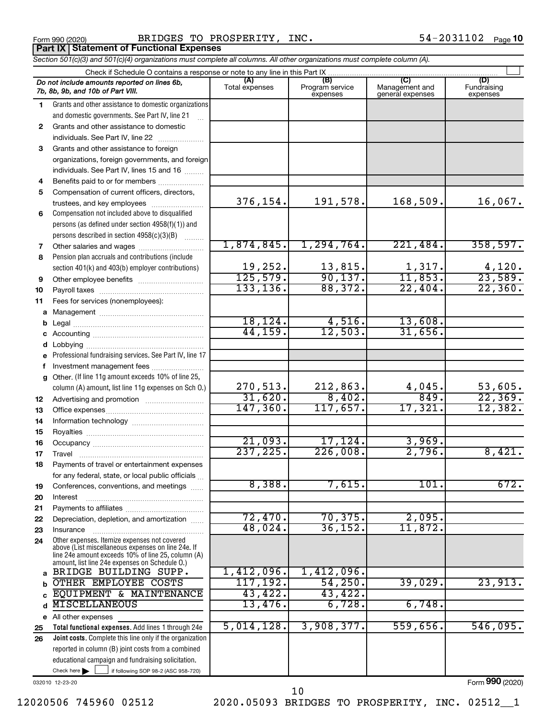**Part IX Statement of Functional Expenses**

Form 990 (2020) BRIDGES TO PROSPERITY, INC.  $54-2031102$  Page

*Section 501(c)(3) and 501(c)(4) organizations must complete all columns. All other organizations must complete column (A).*

|              | Do not include amounts reported on lines 6b,<br>7b, 8b, 9b, and 10b of Part VIII.                        | (A)<br>Total expenses | (B)<br>Program service<br>expenses | (C)<br>Management and<br>general expenses | (D)<br>Fundraising<br>expenses |
|--------------|----------------------------------------------------------------------------------------------------------|-----------------------|------------------------------------|-------------------------------------------|--------------------------------|
| 1.           | Grants and other assistance to domestic organizations                                                    |                       |                                    |                                           |                                |
|              | and domestic governments. See Part IV, line 21                                                           |                       |                                    |                                           |                                |
| $\mathbf{2}$ | Grants and other assistance to domestic                                                                  |                       |                                    |                                           |                                |
|              | individuals. See Part IV, line 22                                                                        |                       |                                    |                                           |                                |
| 3            | Grants and other assistance to foreign                                                                   |                       |                                    |                                           |                                |
|              | organizations, foreign governments, and foreign                                                          |                       |                                    |                                           |                                |
|              | individuals. See Part IV, lines 15 and 16                                                                |                       |                                    |                                           |                                |
| 4            | Benefits paid to or for members                                                                          |                       |                                    |                                           |                                |
| 5            | Compensation of current officers, directors,                                                             |                       |                                    |                                           |                                |
|              | trustees, and key employees                                                                              | 376,154.              | 191,578.                           | 168,509.                                  | 16,067.                        |
| 6            | Compensation not included above to disqualified                                                          |                       |                                    |                                           |                                |
|              | persons (as defined under section 4958(f)(1)) and                                                        |                       |                                    |                                           |                                |
|              | persons described in section 4958(c)(3)(B)                                                               |                       |                                    |                                           |                                |
| 7            | Other salaries and wages                                                                                 | 1,874,845.            | 1,294,764.                         | 221,484.                                  | 358,597.                       |
| 8            | Pension plan accruals and contributions (include                                                         |                       |                                    |                                           |                                |
|              | section 401(k) and 403(b) employer contributions)                                                        | 19,252.               | 13,815.                            | 1,317.                                    | 4,120.                         |
| 9            |                                                                                                          | 125,579.              | 90, 137.                           | 11,853.<br>22,404.                        | 23,589.<br>22,360.             |
| 10           |                                                                                                          | 133, 136.             | 88,372.                            |                                           |                                |
| 11           | Fees for services (nonemployees):                                                                        |                       |                                    |                                           |                                |
| a            |                                                                                                          |                       | 4,516.                             | 13,608.                                   |                                |
| b            |                                                                                                          | 18, 124.<br>44,159.   | 12,503.                            | 31,656.                                   |                                |
| с            |                                                                                                          |                       |                                    |                                           |                                |
| d            |                                                                                                          |                       |                                    |                                           |                                |
| e            | Professional fundraising services. See Part IV, line 17                                                  |                       |                                    |                                           |                                |
| f            | Investment management fees<br>Other. (If line 11g amount exceeds 10% of line 25,                         |                       |                                    |                                           |                                |
| g            | column (A) amount, list line 11g expenses on Sch O.)                                                     | 270,513.              | 212,863.                           |                                           | 53,605.                        |
|              |                                                                                                          | 31,620.               | 8,402.                             | $\frac{4,045}{849}$ .                     | 22, 369.                       |
| 12           |                                                                                                          | 147, 360.             | 117,657.                           | 17,321.                                   | 12,382.                        |
| 13<br>14     |                                                                                                          |                       |                                    |                                           |                                |
| 15           |                                                                                                          |                       |                                    |                                           |                                |
| 16           |                                                                                                          | 21,093.               | 17, 124.                           | 3,969.                                    |                                |
| 17           | Travel                                                                                                   | 237, 225.             | 226,008.                           | 2,796.                                    | 8,421.                         |
| 18           | Payments of travel or entertainment expenses                                                             |                       |                                    |                                           |                                |
|              | for any federal, state, or local public officials                                                        |                       |                                    |                                           |                                |
| 19           | Conferences, conventions, and meetings                                                                   | 8,388.                | 7,615.                             | 101.                                      | 672.                           |
| 20           | Interest                                                                                                 |                       |                                    |                                           |                                |
| 21           |                                                                                                          |                       |                                    |                                           |                                |
| 22           | Depreciation, depletion, and amortization                                                                | 72,470.               | 70, 375.                           | 2,095.                                    |                                |
| 23           | Insurance                                                                                                | 48,024.               | 36, 152.                           | 11,872.                                   |                                |
| 24           | Other expenses. Itemize expenses not covered                                                             |                       |                                    |                                           |                                |
|              | above (List miscellaneous expenses on line 24e. If<br>line 24e amount exceeds 10% of line 25, column (A) |                       |                                    |                                           |                                |
|              | amount, list line 24e expenses on Schedule O.)                                                           |                       |                                    |                                           |                                |
| a            | BRIDGE BUILDING SUPP.                                                                                    | 1,412,096.            | 1,412,096.                         |                                           |                                |
| b            | OTHER EMPLOYEE COSTS                                                                                     | 117, 192.             | 54, 250.                           | 39,029.                                   | 23,913.                        |
| C            | EQUIPMENT & MAINTENANCE                                                                                  | 43,422.               | 43,422.                            |                                           |                                |
| d            | <b>MISCELLANEOUS</b>                                                                                     | 13,476.               | 6,728.                             | 6,748.                                    |                                |
|              | e All other expenses                                                                                     |                       |                                    |                                           |                                |
| 25           | Total functional expenses. Add lines 1 through 24e                                                       | 5,014,128.            | 3,908,377.                         | 559,656.                                  | 546,095.                       |
| 26           | Joint costs. Complete this line only if the organization                                                 |                       |                                    |                                           |                                |
|              | reported in column (B) joint costs from a combined                                                       |                       |                                    |                                           |                                |
|              | educational campaign and fundraising solicitation.                                                       |                       |                                    |                                           |                                |
|              | Check here $\blacktriangleright$<br>if following SOP 98-2 (ASC 958-720)                                  |                       |                                    |                                           |                                |

032010 12-23-20

Form (2020) **990**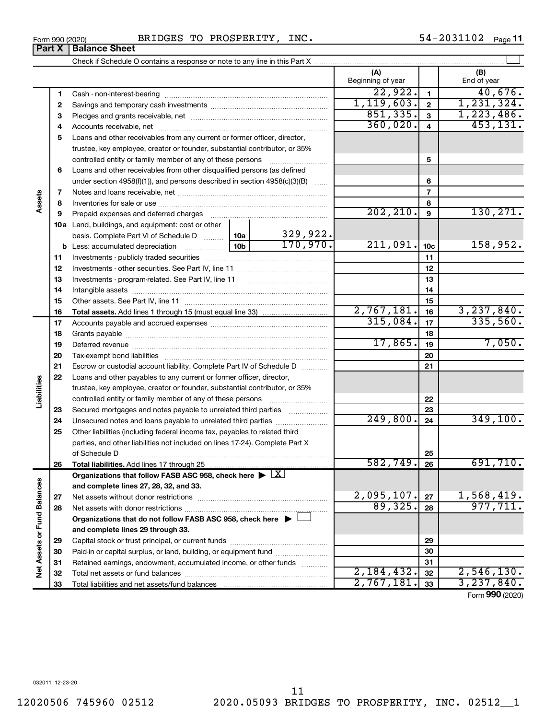|                             | 6  | Loans and other receivables from other disqualified persons (as defined               |                 |                           |                              |                 |                               |
|-----------------------------|----|---------------------------------------------------------------------------------------|-----------------|---------------------------|------------------------------|-----------------|-------------------------------|
|                             |    | under section $4958(f)(1)$ , and persons described in section $4958(c)(3)(B)$         |                 | $\overline{1}$            |                              | 6               |                               |
|                             | 7  |                                                                                       |                 |                           |                              | $\overline{7}$  |                               |
| Assets                      | 8  |                                                                                       |                 |                           |                              | 8               |                               |
|                             | 9  | Prepaid expenses and deferred charges                                                 |                 |                           | 202, 210.                    | 9               | 130, 271.                     |
|                             |    | <b>10a</b> Land, buildings, and equipment: cost or other                              |                 |                           |                              |                 |                               |
|                             |    | basis. Complete Part VI of Schedule D  10a                                            |                 |                           |                              |                 |                               |
|                             |    | <b>b</b> Less: accumulated depreciation                                               | 10 <sub>b</sub> | $\frac{329,922}{170,970}$ | 211,091.                     | 10 <sub>c</sub> | 158,952.                      |
|                             | 11 |                                                                                       |                 |                           |                              | 11              |                               |
|                             | 12 |                                                                                       |                 |                           |                              | 12              |                               |
|                             | 13 |                                                                                       |                 |                           | 13                           |                 |                               |
|                             | 14 |                                                                                       |                 |                           | 14                           |                 |                               |
|                             | 15 |                                                                                       |                 |                           | 15                           |                 |                               |
|                             | 16 |                                                                                       |                 |                           | 2,767,181.                   | 16              | 3,237,840.                    |
|                             | 17 |                                                                                       | 315,084.        | 17                        | 335,560.                     |                 |                               |
|                             | 18 |                                                                                       |                 |                           | 18                           |                 |                               |
|                             | 19 |                                                                                       |                 | 17,865.                   | 19                           | 7,050.          |                               |
|                             | 20 |                                                                                       |                 |                           | 20                           |                 |                               |
|                             | 21 | Escrow or custodial account liability. Complete Part IV of Schedule D                 |                 |                           |                              | 21              |                               |
|                             | 22 | Loans and other payables to any current or former officer, director,                  |                 |                           |                              |                 |                               |
| Liabilities                 |    | trustee, key employee, creator or founder, substantial contributor, or 35%            |                 |                           |                              |                 |                               |
|                             |    | controlled entity or family member of any of these persons                            |                 |                           | 22                           |                 |                               |
|                             | 23 | Secured mortgages and notes payable to unrelated third parties                        |                 |                           |                              | 23              |                               |
|                             | 24 | Unsecured notes and loans payable to unrelated third parties                          |                 |                           | 249,800.                     | 24              | 349,100.                      |
|                             | 25 | Other liabilities (including federal income tax, payables to related third            |                 |                           |                              |                 |                               |
|                             |    | parties, and other liabilities not included on lines 17-24). Complete Part X          |                 |                           |                              |                 |                               |
|                             |    | of Schedule D                                                                         |                 |                           |                              | 25              |                               |
|                             | 26 |                                                                                       |                 |                           | 582,749.                     | 26              | 691,710.                      |
|                             |    | Organizations that follow FASB ASC 958, check here $\triangleright \lfloor X \rfloor$ |                 |                           |                              |                 |                               |
|                             |    | and complete lines 27, 28, 32, and 33.                                                |                 |                           |                              |                 |                               |
|                             | 27 |                                                                                       |                 |                           | $\frac{2,095,107.}{89,325.}$ | 27              | $\frac{1,568,419.}{977,711.}$ |
|                             | 28 |                                                                                       |                 |                           |                              | 28              |                               |
|                             |    | Organizations that do not follow FASB ASC 958, check here ▶ □                         |                 |                           |                              |                 |                               |
|                             |    | and complete lines 29 through 33.                                                     |                 |                           |                              |                 |                               |
| Net Assets or Fund Balances | 29 |                                                                                       |                 |                           |                              | 29              |                               |
|                             | 30 | Paid-in or capital surplus, or land, building, or equipment fund                      |                 |                           | 30                           |                 |                               |
|                             | 31 | Retained earnings, endowment, accumulated income, or other funds                      |                 |                           | 31                           |                 |                               |
|                             | 32 |                                                                                       |                 |                           | 2,184,432.                   | 32              | 2,546,130.                    |
|                             | 33 | Total liabilities and net assets/fund balances                                        |                 |                           | 2,767,181                    | 33              | 3, 237, 840.                  |

Form 990 (2020) BRIDGES TO PROSPERITY, INC.  $54-2031102$  Page

 Cash - non-interest-bearing ~~~~~~~~~~~~~~~~~~~~~~~~~ Savings and temporary cash investments ~~~~~~~~~~~~~~~~~~ Pledges and grants receivable, net ~~~~~~~~~~~~~~~~~~~~~ Accounts receivable, net ~~~~~~~~~~~~~~~~~~~~~~~~~~ Loans and other receivables from any current or former officer, director,

trustee, key employee, creator or founder, substantial contributor, or 35% controlled entity or family member of any of these persons ~~~~~~~~~

Check if Schedule O contains a response or note to any line in this Part X

54-2031102 Page 11

 $\perp$ 

Form (2020) **990**

**(A) (B)**

Beginning of year  $\parallel$  | End of year

 $22,922.$   $1$   $40,676.$  $1,119,603.$  2 | 1,231,324  $851,335.$  3 1,223,486.  $360,020.$  4 453,131.

**5**

**Part X** | **Balance Sheet**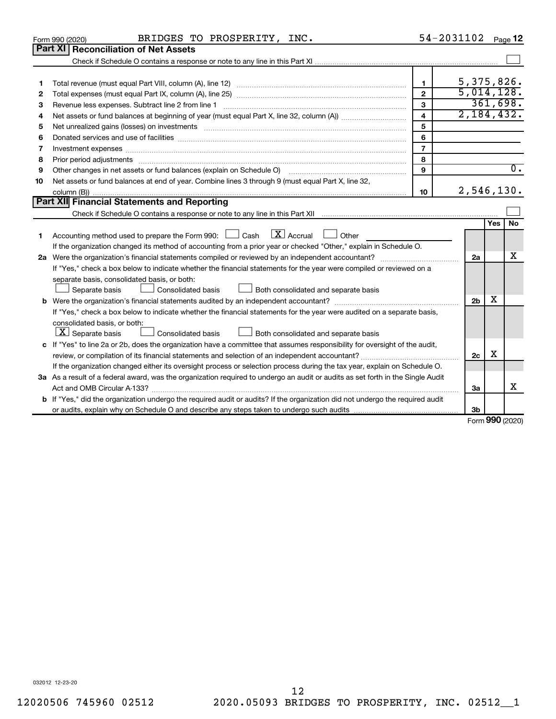|    |                | BRIDGES TO PROSPERITY, INC.<br>Form 990 (2020)                                                                                                                                                                                 |                         | 54-2031102 Page 12 |                |     |                  |
|----|----------------|--------------------------------------------------------------------------------------------------------------------------------------------------------------------------------------------------------------------------------|-------------------------|--------------------|----------------|-----|------------------|
|    | <b>Part XI</b> | <b>Reconciliation of Net Assets</b>                                                                                                                                                                                            |                         |                    |                |     |                  |
|    |                |                                                                                                                                                                                                                                |                         |                    |                |     |                  |
|    |                |                                                                                                                                                                                                                                |                         |                    |                |     |                  |
| 1  |                |                                                                                                                                                                                                                                | $\mathbf{1}$            |                    |                |     | 5, 375, 826.     |
| 2  |                |                                                                                                                                                                                                                                | $\overline{2}$          |                    |                |     | 5,014,128.       |
| 3  |                | Revenue less expenses. Subtract line 2 from line 1                                                                                                                                                                             | 3                       |                    |                |     | 361,698.         |
| 4  |                |                                                                                                                                                                                                                                | $\overline{\mathbf{4}}$ |                    |                |     | 2,184,432.       |
| 5  |                | Net unrealized gains (losses) on investments [11] matter contracts and the state of the state of the state of the state of the state of the state of the state of the state of the state of the state of the state of the stat | 5                       |                    |                |     |                  |
| 6  |                |                                                                                                                                                                                                                                | 6                       |                    |                |     |                  |
| 7  |                | Investment expenses [[11] has a series and a series of the series of the series and series and series and series and series and series and series and series and series and series and series and series and series and series | $\overline{7}$          |                    |                |     |                  |
| 8  |                | Prior period adjustments www.communication.communication.com/news/communication.com/news/communication.com/new                                                                                                                 | 8                       |                    |                |     |                  |
| 9  |                | Other changes in net assets or fund balances (explain on Schedule O)                                                                                                                                                           | 9                       |                    |                |     | $\overline{0}$ . |
| 10 |                | Net assets or fund balances at end of year. Combine lines 3 through 9 (must equal Part X, line 32,                                                                                                                             |                         |                    |                |     |                  |
|    |                |                                                                                                                                                                                                                                | 10                      |                    |                |     | 2,546,130.       |
|    |                | Part XII Financial Statements and Reporting                                                                                                                                                                                    |                         |                    |                |     |                  |
|    |                |                                                                                                                                                                                                                                |                         |                    |                |     |                  |
| 1. |                | $\boxed{\mathbf{X}}$ Accrual $\boxed{\phantom{0}}$ Other<br>Accounting method used to prepare the Form 990: $\Box$ Cash                                                                                                        |                         |                    |                | Yes | <b>No</b>        |
|    |                | If the organization changed its method of accounting from a prior year or checked "Other," explain in Schedule O.                                                                                                              |                         |                    | 2a             |     | х                |
|    |                | If "Yes," check a box below to indicate whether the financial statements for the year were compiled or reviewed on a                                                                                                           |                         |                    |                |     |                  |
|    |                | separate basis, consolidated basis, or both:                                                                                                                                                                                   |                         |                    |                |     |                  |
|    |                | Separate basis<br><b>Consolidated basis</b><br>Both consolidated and separate basis                                                                                                                                            |                         |                    |                |     |                  |
|    |                |                                                                                                                                                                                                                                |                         |                    | 2 <sub>b</sub> | х   |                  |
|    |                | If "Yes," check a box below to indicate whether the financial statements for the year were audited on a separate basis,                                                                                                        |                         |                    |                |     |                  |
|    |                | consolidated basis, or both:                                                                                                                                                                                                   |                         |                    |                |     |                  |
|    |                | $ \mathbf{X} $ Separate basis<br>Consolidated basis<br>Both consolidated and separate basis                                                                                                                                    |                         |                    |                |     |                  |
|    |                | c If "Yes" to line 2a or 2b, does the organization have a committee that assumes responsibility for oversight of the audit,                                                                                                    |                         |                    |                |     |                  |
|    |                |                                                                                                                                                                                                                                |                         |                    | 2c             | x.  |                  |
|    |                | If the organization changed either its oversight process or selection process during the tax year, explain on Schedule O.                                                                                                      |                         |                    |                |     |                  |
|    |                | 3a As a result of a federal award, was the organization required to undergo an audit or audits as set forth in the Single Audit                                                                                                |                         |                    |                |     |                  |
|    |                |                                                                                                                                                                                                                                |                         |                    | 3a             |     | x                |
|    |                | b If "Yes," did the organization undergo the required audit or audits? If the organization did not undergo the required audit                                                                                                  |                         |                    |                |     |                  |
|    |                |                                                                                                                                                                                                                                |                         |                    | 3b             |     |                  |
|    |                |                                                                                                                                                                                                                                |                         |                    |                |     | Form 990 (2020)  |

032012 12-23-20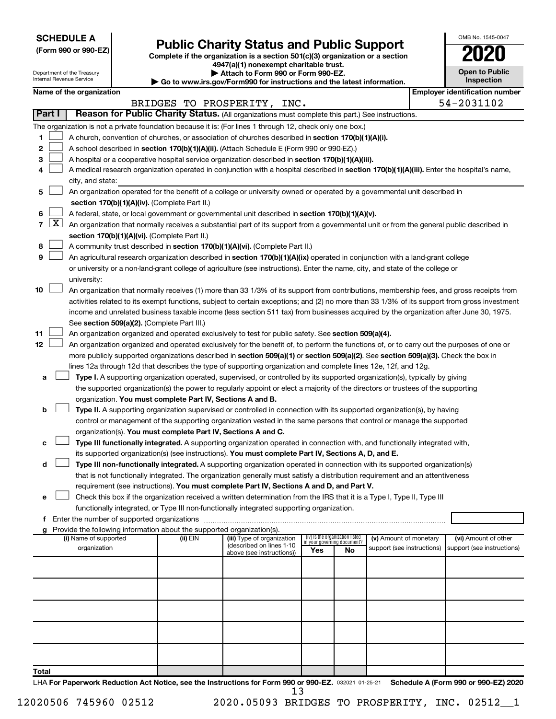**SCHEDULE A**

# **Public Charity Status and Public Support**

**(Form 990 or 990-EZ) Complete if the organization is a section 501(c)(3) organization or a section**

**4947(a)(1) nonexempt charitable trust.**

|    | <b>Open to Public</b><br>Inspection |
|----|-------------------------------------|
| ۲ŕ | identification numbe                |

OMB No. 1545-0047

|    |                     | Department of the Treasury<br>Internal Revenue Service |                                                                        | Attach to Form 990 or Form 990-EZ.<br>Go to www.irs.gov/Form990 for instructions and the latest information.                                 |     |                                                                |                            | <b>Open to Public</b><br>Inspection   |  |
|----|---------------------|--------------------------------------------------------|------------------------------------------------------------------------|----------------------------------------------------------------------------------------------------------------------------------------------|-----|----------------------------------------------------------------|----------------------------|---------------------------------------|--|
|    |                     | Name of the organization                               |                                                                        |                                                                                                                                              |     |                                                                |                            | <b>Employer identification number</b> |  |
|    |                     |                                                        |                                                                        | BRIDGES TO PROSPERITY, INC.                                                                                                                  |     |                                                                |                            | 54-2031102                            |  |
|    | Part I              |                                                        |                                                                        | Reason for Public Charity Status. (All organizations must complete this part.) See instructions.                                             |     |                                                                |                            |                                       |  |
|    |                     |                                                        |                                                                        | The organization is not a private foundation because it is: (For lines 1 through 12, check only one box.)                                    |     |                                                                |                            |                                       |  |
| 1  |                     |                                                        |                                                                        | A church, convention of churches, or association of churches described in section 170(b)(1)(A)(i).                                           |     |                                                                |                            |                                       |  |
| 2  |                     |                                                        |                                                                        | A school described in section 170(b)(1)(A)(ii). (Attach Schedule E (Form 990 or 990-EZ).)                                                    |     |                                                                |                            |                                       |  |
| 3  |                     |                                                        |                                                                        | A hospital or a cooperative hospital service organization described in section 170(b)(1)(A)(iii).                                            |     |                                                                |                            |                                       |  |
| 4  |                     |                                                        |                                                                        | A medical research organization operated in conjunction with a hospital described in section 170(b)(1)(A)(iii). Enter the hospital's name,   |     |                                                                |                            |                                       |  |
|    |                     | city, and state:                                       |                                                                        |                                                                                                                                              |     |                                                                |                            |                                       |  |
| 5  |                     |                                                        |                                                                        | An organization operated for the benefit of a college or university owned or operated by a governmental unit described in                    |     |                                                                |                            |                                       |  |
|    |                     |                                                        | section 170(b)(1)(A)(iv). (Complete Part II.)                          |                                                                                                                                              |     |                                                                |                            |                                       |  |
| 6  |                     |                                                        |                                                                        | A federal, state, or local government or governmental unit described in section 170(b)(1)(A)(v).                                             |     |                                                                |                            |                                       |  |
| 7  | $\lfloor x \rfloor$ |                                                        |                                                                        | An organization that normally receives a substantial part of its support from a governmental unit or from the general public described in    |     |                                                                |                            |                                       |  |
|    |                     |                                                        | section 170(b)(1)(A)(vi). (Complete Part II.)                          |                                                                                                                                              |     |                                                                |                            |                                       |  |
| 8  |                     |                                                        |                                                                        | A community trust described in section 170(b)(1)(A)(vi). (Complete Part II.)                                                                 |     |                                                                |                            |                                       |  |
| 9  |                     |                                                        |                                                                        | An agricultural research organization described in section 170(b)(1)(A)(ix) operated in conjunction with a land-grant college                |     |                                                                |                            |                                       |  |
|    |                     |                                                        |                                                                        | or university or a non-land-grant college of agriculture (see instructions). Enter the name, city, and state of the college or               |     |                                                                |                            |                                       |  |
|    |                     | university:                                            |                                                                        |                                                                                                                                              |     |                                                                |                            |                                       |  |
| 10 |                     |                                                        |                                                                        | An organization that normally receives (1) more than 33 1/3% of its support from contributions, membership fees, and gross receipts from     |     |                                                                |                            |                                       |  |
|    |                     |                                                        |                                                                        | activities related to its exempt functions, subject to certain exceptions; and (2) no more than 33 1/3% of its support from gross investment |     |                                                                |                            |                                       |  |
|    |                     |                                                        |                                                                        | income and unrelated business taxable income (less section 511 tax) from businesses acquired by the organization after June 30, 1975.        |     |                                                                |                            |                                       |  |
|    |                     |                                                        | See section 509(a)(2). (Complete Part III.)                            |                                                                                                                                              |     |                                                                |                            |                                       |  |
| 11 |                     |                                                        |                                                                        | An organization organized and operated exclusively to test for public safety. See section 509(a)(4).                                         |     |                                                                |                            |                                       |  |
| 12 |                     |                                                        |                                                                        | An organization organized and operated exclusively for the benefit of, to perform the functions of, or to carry out the purposes of one or   |     |                                                                |                            |                                       |  |
|    |                     |                                                        |                                                                        | more publicly supported organizations described in section 509(a)(1) or section 509(a)(2). See section 509(a)(3). Check the box in           |     |                                                                |                            |                                       |  |
|    |                     |                                                        |                                                                        | lines 12a through 12d that describes the type of supporting organization and complete lines 12e, 12f, and 12g.                               |     |                                                                |                            |                                       |  |
|    |                     |                                                        |                                                                        |                                                                                                                                              |     |                                                                |                            |                                       |  |
| а  |                     |                                                        |                                                                        | Type I. A supporting organization operated, supervised, or controlled by its supported organization(s), typically by giving                  |     |                                                                |                            |                                       |  |
|    |                     |                                                        |                                                                        | the supported organization(s) the power to regularly appoint or elect a majority of the directors or trustees of the supporting              |     |                                                                |                            |                                       |  |
|    |                     |                                                        | organization. You must complete Part IV, Sections A and B.             |                                                                                                                                              |     |                                                                |                            |                                       |  |
| b  |                     |                                                        |                                                                        | Type II. A supporting organization supervised or controlled in connection with its supported organization(s), by having                      |     |                                                                |                            |                                       |  |
|    |                     |                                                        |                                                                        | control or management of the supporting organization vested in the same persons that control or manage the supported                         |     |                                                                |                            |                                       |  |
|    |                     |                                                        | organization(s). You must complete Part IV, Sections A and C.          |                                                                                                                                              |     |                                                                |                            |                                       |  |
| с  |                     |                                                        |                                                                        | Type III functionally integrated. A supporting organization operated in connection with, and functionally integrated with,                   |     |                                                                |                            |                                       |  |
|    |                     |                                                        |                                                                        | its supported organization(s) (see instructions). You must complete Part IV, Sections A, D, and E.                                           |     |                                                                |                            |                                       |  |
| d  |                     |                                                        |                                                                        | Type III non-functionally integrated. A supporting organization operated in connection with its supported organization(s)                    |     |                                                                |                            |                                       |  |
|    |                     |                                                        |                                                                        | that is not functionally integrated. The organization generally must satisfy a distribution requirement and an attentiveness                 |     |                                                                |                            |                                       |  |
|    |                     |                                                        |                                                                        | requirement (see instructions). You must complete Part IV, Sections A and D, and Part V.                                                     |     |                                                                |                            |                                       |  |
| е  |                     |                                                        |                                                                        | Check this box if the organization received a written determination from the IRS that it is a Type I, Type II, Type III                      |     |                                                                |                            |                                       |  |
|    |                     |                                                        |                                                                        | functionally integrated, or Type III non-functionally integrated supporting organization.                                                    |     |                                                                |                            |                                       |  |
|    |                     | f Enter the number of supported organizations          |                                                                        |                                                                                                                                              |     |                                                                |                            |                                       |  |
| g  |                     |                                                        | Provide the following information about the supported organization(s). |                                                                                                                                              |     |                                                                |                            |                                       |  |
|    |                     | (i) Name of supported                                  | (ii) EIN                                                               | (iii) Type of organization<br>(described on lines 1-10                                                                                       |     | (iv) Is the organization listed<br>in your governing document? | (v) Amount of monetary     | (vi) Amount of other                  |  |
|    |                     | organization                                           |                                                                        | above (see instructions))                                                                                                                    | Yes | No                                                             | support (see instructions) | support (see instructions)            |  |
|    |                     |                                                        |                                                                        |                                                                                                                                              |     |                                                                |                            |                                       |  |
|    |                     |                                                        |                                                                        |                                                                                                                                              |     |                                                                |                            |                                       |  |
|    |                     |                                                        |                                                                        |                                                                                                                                              |     |                                                                |                            |                                       |  |
|    |                     |                                                        |                                                                        |                                                                                                                                              |     |                                                                |                            |                                       |  |
|    |                     |                                                        |                                                                        |                                                                                                                                              |     |                                                                |                            |                                       |  |
|    |                     |                                                        |                                                                        |                                                                                                                                              |     |                                                                |                            |                                       |  |
|    |                     |                                                        |                                                                        |                                                                                                                                              |     |                                                                |                            |                                       |  |
|    |                     |                                                        |                                                                        |                                                                                                                                              |     |                                                                |                            |                                       |  |
|    |                     |                                                        |                                                                        |                                                                                                                                              |     |                                                                |                            |                                       |  |
|    |                     |                                                        |                                                                        |                                                                                                                                              |     |                                                                |                            |                                       |  |

**Total**

LHA For Paperwork Reduction Act Notice, see the Instructions for Form 990 or 990-EZ. 032021 01-25-21 Schedule A (Form 990 or 990-EZ) 2020 13

12020506 745960 02512 2020.05093 BRIDGES TO PROSPERITY, INC. 02512\_\_1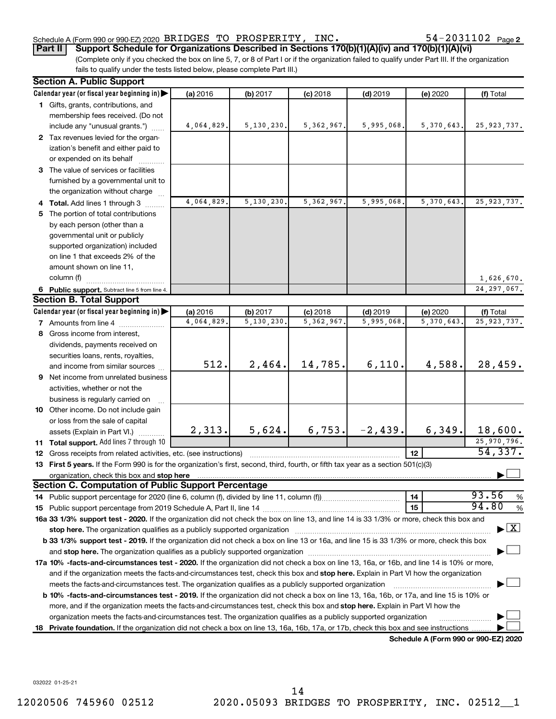# Schedule A (Form 990 or 990-EZ) 2020 Page BRIDGES TO PROSPERITY, INC. 54-2031102

54-2031102 Page 2

(Complete only if you checked the box on line 5, 7, or 8 of Part I or if the organization failed to qualify under Part III. If the organization fails to qualify under the tests listed below, please complete Part III.) **Part II Support Schedule for Organizations Described in Sections 170(b)(1)(A)(iv) and 170(b)(1)(A)(vi)**

|    | <b>Section A. Public Support</b>                                                                                                                                                                                               |            |              |              |            |                                      |                                          |
|----|--------------------------------------------------------------------------------------------------------------------------------------------------------------------------------------------------------------------------------|------------|--------------|--------------|------------|--------------------------------------|------------------------------------------|
|    | Calendar year (or fiscal year beginning in)                                                                                                                                                                                    | (a) 2016   | (b) 2017     | $(c)$ 2018   | $(d)$ 2019 | (e) 2020                             | (f) Total                                |
|    | 1 Gifts, grants, contributions, and                                                                                                                                                                                            |            |              |              |            |                                      |                                          |
|    | membership fees received. (Do not                                                                                                                                                                                              |            |              |              |            |                                      |                                          |
|    | include any "unusual grants.")                                                                                                                                                                                                 | 4,064,829. | 5, 130, 230. | 5, 362, 967. | 5,995,068. | 5,370,643.                           | 25, 923, 737.                            |
|    | 2 Tax revenues levied for the organ-                                                                                                                                                                                           |            |              |              |            |                                      |                                          |
|    | ization's benefit and either paid to                                                                                                                                                                                           |            |              |              |            |                                      |                                          |
|    | or expended on its behalf                                                                                                                                                                                                      |            |              |              |            |                                      |                                          |
|    | 3 The value of services or facilities                                                                                                                                                                                          |            |              |              |            |                                      |                                          |
|    | furnished by a governmental unit to                                                                                                                                                                                            |            |              |              |            |                                      |                                          |
|    | the organization without charge                                                                                                                                                                                                |            |              |              |            |                                      |                                          |
|    | 4 Total. Add lines 1 through 3                                                                                                                                                                                                 | 4,064,829. | 5, 130, 230. | 5, 362, 967. | 5,995,068. | 5,370,643.                           | 25, 923, 737.                            |
| 5. | The portion of total contributions                                                                                                                                                                                             |            |              |              |            |                                      |                                          |
|    | by each person (other than a                                                                                                                                                                                                   |            |              |              |            |                                      |                                          |
|    | governmental unit or publicly                                                                                                                                                                                                  |            |              |              |            |                                      |                                          |
|    | supported organization) included                                                                                                                                                                                               |            |              |              |            |                                      |                                          |
|    | on line 1 that exceeds 2% of the                                                                                                                                                                                               |            |              |              |            |                                      |                                          |
|    | amount shown on line 11,                                                                                                                                                                                                       |            |              |              |            |                                      |                                          |
|    | column (f)                                                                                                                                                                                                                     |            |              |              |            |                                      | 1,626,670.                               |
|    | 6 Public support. Subtract line 5 from line 4.                                                                                                                                                                                 |            |              |              |            |                                      | 24, 297, 067.                            |
|    | <b>Section B. Total Support</b>                                                                                                                                                                                                |            |              |              |            |                                      |                                          |
|    | Calendar year (or fiscal year beginning in)                                                                                                                                                                                    | (a) 2016   | (b) 2017     | $(c)$ 2018   | $(d)$ 2019 | (e) 2020                             | (f) Total                                |
|    | 7 Amounts from line 4                                                                                                                                                                                                          | 4,064,829  | 5,130,230.   | 5, 362, 967. | 5,995,068  | 5, 370, 643.                         | 25, 923, 737.                            |
|    | 8 Gross income from interest,                                                                                                                                                                                                  |            |              |              |            |                                      |                                          |
|    | dividends, payments received on                                                                                                                                                                                                |            |              |              |            |                                      |                                          |
|    | securities loans, rents, royalties,                                                                                                                                                                                            |            |              |              |            |                                      |                                          |
|    | and income from similar sources                                                                                                                                                                                                | 512.       | 2,464.       | 14,785.      | 6,110.     | 4,588.                               | 28,459.                                  |
|    | <b>9</b> Net income from unrelated business                                                                                                                                                                                    |            |              |              |            |                                      |                                          |
|    | activities, whether or not the                                                                                                                                                                                                 |            |              |              |            |                                      |                                          |
|    | business is regularly carried on                                                                                                                                                                                               |            |              |              |            |                                      |                                          |
|    | 10 Other income. Do not include gain                                                                                                                                                                                           |            |              |              |            |                                      |                                          |
|    | or loss from the sale of capital                                                                                                                                                                                               |            |              |              |            |                                      |                                          |
|    | assets (Explain in Part VI.)                                                                                                                                                                                                   | 2,313.     | 5,624.       | 6,753.       | $-2,439.$  | 6,349.                               | 18,600.                                  |
|    | 11 Total support. Add lines 7 through 10                                                                                                                                                                                       |            |              |              |            |                                      | 25,970,796.<br>54,337.                   |
|    | 12 Gross receipts from related activities, etc. (see instructions)                                                                                                                                                             |            |              |              |            | 12                                   |                                          |
|    | 13 First 5 years. If the Form 990 is for the organization's first, second, third, fourth, or fifth tax year as a section 501(c)(3)                                                                                             |            |              |              |            |                                      |                                          |
|    | organization, check this box and stop here<br><b>Section C. Computation of Public Support Percentage</b>                                                                                                                       |            |              |              |            |                                      |                                          |
|    |                                                                                                                                                                                                                                |            |              |              |            | 14                                   | 93.56<br>%                               |
|    |                                                                                                                                                                                                                                |            |              |              |            | 15                                   | 94.80<br>%                               |
|    | 16a 33 1/3% support test - 2020. If the organization did not check the box on line 13, and line 14 is 33 1/3% or more, check this box and                                                                                      |            |              |              |            |                                      |                                          |
|    | stop here. The organization qualifies as a publicly supported organization manufaction manufacture content and the state of the state of the state of the state of the state of the state of the state of the state of the sta |            |              |              |            |                                      | $\blacktriangleright$ $\boxed{\text{X}}$ |
|    | b 33 1/3% support test - 2019. If the organization did not check a box on line 13 or 16a, and line 15 is 33 1/3% or more, check this box                                                                                       |            |              |              |            |                                      |                                          |
|    |                                                                                                                                                                                                                                |            |              |              |            |                                      |                                          |
|    | 17a 10% -facts-and-circumstances test - 2020. If the organization did not check a box on line 13, 16a, or 16b, and line 14 is 10% or more,                                                                                     |            |              |              |            |                                      |                                          |
|    | and if the organization meets the facts-and-circumstances test, check this box and stop here. Explain in Part VI how the organization                                                                                          |            |              |              |            |                                      |                                          |
|    | meets the facts-and-circumstances test. The organization qualifies as a publicly supported organization                                                                                                                        |            |              |              |            |                                      |                                          |
|    | b 10% -facts-and-circumstances test - 2019. If the organization did not check a box on line 13, 16a, 16b, or 17a, and line 15 is 10% or                                                                                        |            |              |              |            |                                      |                                          |
|    | more, and if the organization meets the facts-and-circumstances test, check this box and stop here. Explain in Part VI how the                                                                                                 |            |              |              |            |                                      |                                          |
|    | organization meets the facts-and-circumstances test. The organization qualifies as a publicly supported organization                                                                                                           |            |              |              |            |                                      |                                          |
| 18 | Private foundation. If the organization did not check a box on line 13, 16a, 16b, 17a, or 17b, check this box and see instructions.                                                                                            |            |              |              |            |                                      |                                          |
|    |                                                                                                                                                                                                                                |            |              |              |            | Schedule A (Form 990 or 990-EZ) 2020 |                                          |

032022 01-25-21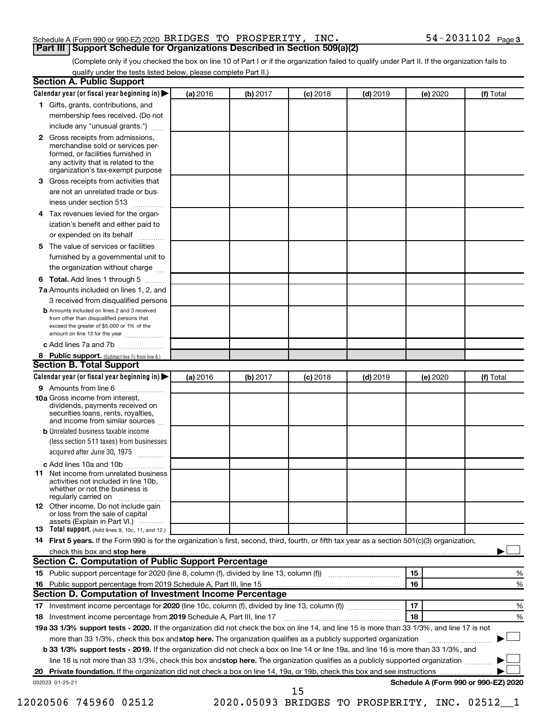### Schedule A (Form 990 or 990-EZ) 2020 Page BRIDGES TO PROSPERITY, INC. 54-2031102 **Part III Support Schedule for Organizations Described in Section 509(a)(2)**

(Complete only if you checked the box on line 10 of Part I or if the organization failed to qualify under Part II. If the organization fails to qualify under the tests listed below, please complete Part II.)

| Calendar year (or fiscal year beginning in)                                                                                                                                                                                   | (a) 2016 | (b) 2017 | $(c)$ 2018                                     | $(d)$ 2019 | (e) 2020 |                                      | (f) Total |
|-------------------------------------------------------------------------------------------------------------------------------------------------------------------------------------------------------------------------------|----------|----------|------------------------------------------------|------------|----------|--------------------------------------|-----------|
| 1 Gifts, grants, contributions, and                                                                                                                                                                                           |          |          |                                                |            |          |                                      |           |
| membership fees received. (Do not                                                                                                                                                                                             |          |          |                                                |            |          |                                      |           |
| include any "unusual grants.")                                                                                                                                                                                                |          |          |                                                |            |          |                                      |           |
| 2 Gross receipts from admissions,                                                                                                                                                                                             |          |          |                                                |            |          |                                      |           |
| merchandise sold or services per-                                                                                                                                                                                             |          |          |                                                |            |          |                                      |           |
| formed, or facilities furnished in<br>any activity that is related to the                                                                                                                                                     |          |          |                                                |            |          |                                      |           |
| organization's tax-exempt purpose                                                                                                                                                                                             |          |          |                                                |            |          |                                      |           |
| Gross receipts from activities that<br>з                                                                                                                                                                                      |          |          |                                                |            |          |                                      |           |
| are not an unrelated trade or bus-                                                                                                                                                                                            |          |          |                                                |            |          |                                      |           |
| iness under section 513                                                                                                                                                                                                       |          |          |                                                |            |          |                                      |           |
| Tax revenues levied for the organ-<br>4                                                                                                                                                                                       |          |          |                                                |            |          |                                      |           |
| ization's benefit and either paid to                                                                                                                                                                                          |          |          |                                                |            |          |                                      |           |
| or expended on its behalf<br>.                                                                                                                                                                                                |          |          |                                                |            |          |                                      |           |
| The value of services or facilities<br>5                                                                                                                                                                                      |          |          |                                                |            |          |                                      |           |
| furnished by a governmental unit to                                                                                                                                                                                           |          |          |                                                |            |          |                                      |           |
| the organization without charge                                                                                                                                                                                               |          |          |                                                |            |          |                                      |           |
| Total. Add lines 1 through 5<br>6                                                                                                                                                                                             |          |          |                                                |            |          |                                      |           |
| 7a Amounts included on lines 1, 2, and                                                                                                                                                                                        |          |          |                                                |            |          |                                      |           |
| 3 received from disqualified persons                                                                                                                                                                                          |          |          |                                                |            |          |                                      |           |
| <b>b</b> Amounts included on lines 2 and 3 received                                                                                                                                                                           |          |          |                                                |            |          |                                      |           |
| from other than disqualified persons that<br>exceed the greater of \$5,000 or 1% of the                                                                                                                                       |          |          |                                                |            |          |                                      |           |
| amount on line 13 for the year                                                                                                                                                                                                |          |          |                                                |            |          |                                      |           |
| c Add lines 7a and 7b                                                                                                                                                                                                         |          |          |                                                |            |          |                                      |           |
| 8 Public support. (Subtract line 7c from line 6.)                                                                                                                                                                             |          |          |                                                |            |          |                                      |           |
| <b>Section B. Total Support</b>                                                                                                                                                                                               |          |          |                                                |            |          |                                      |           |
| Calendar year (or fiscal year beginning in)                                                                                                                                                                                   | (a) 2016 | (b) 2017 | $(c)$ 2018                                     | $(d)$ 2019 | (e) 2020 |                                      | (f) Total |
| 9 Amounts from line 6                                                                                                                                                                                                         |          |          |                                                |            |          |                                      |           |
| <b>10a</b> Gross income from interest,<br>dividends, payments received on<br>securities loans, rents, royalties,<br>and income from similar sources                                                                           |          |          |                                                |            |          |                                      |           |
| <b>b</b> Unrelated business taxable income                                                                                                                                                                                    |          |          |                                                |            |          |                                      |           |
| (less section 511 taxes) from businesses                                                                                                                                                                                      |          |          |                                                |            |          |                                      |           |
| acquired after June 30, 1975                                                                                                                                                                                                  |          |          |                                                |            |          |                                      |           |
| c Add lines 10a and 10b                                                                                                                                                                                                       |          |          |                                                |            |          |                                      |           |
| <b>11</b> Net income from unrelated business                                                                                                                                                                                  |          |          |                                                |            |          |                                      |           |
| activities not included in line 10b.<br>whether or not the business is<br>regularly carried on                                                                                                                                |          |          |                                                |            |          |                                      |           |
| 12 Other income. Do not include gain                                                                                                                                                                                          |          |          |                                                |            |          |                                      |           |
| or loss from the sale of capital                                                                                                                                                                                              |          |          |                                                |            |          |                                      |           |
| assets (Explain in Part VI.)<br>13 Total support. (Add lines 9, 10c, 11, and 12.)                                                                                                                                             |          |          |                                                |            |          |                                      |           |
| 14 First 5 years. If the Form 990 is for the organization's first, second, third, fourth, or fifth tax year as a section 501(c)(3) organization,                                                                              |          |          |                                                |            |          |                                      |           |
| check this box and stop here measurements and the contract of the state of the state of the state of the state of the state of the state of the state of the state of the state of the state of the state of the state of the |          |          |                                                |            |          |                                      |           |
| <b>Section C. Computation of Public Support Percentage</b>                                                                                                                                                                    |          |          |                                                |            |          |                                      |           |
|                                                                                                                                                                                                                               |          |          |                                                |            | 15       |                                      | %         |
|                                                                                                                                                                                                                               |          |          |                                                |            | 16       |                                      | %         |
| Section D. Computation of Investment Income Percentage                                                                                                                                                                        |          |          |                                                |            |          |                                      |           |
|                                                                                                                                                                                                                               |          |          |                                                |            | 17       |                                      | %         |
|                                                                                                                                                                                                                               |          |          |                                                |            | 18       |                                      | %         |
| 19a 33 1/3% support tests - 2020. If the organization did not check the box on line 14, and line 15 is more than 33 1/3%, and line 17 is not                                                                                  |          |          |                                                |            |          |                                      |           |
| more than 33 1/3%, check this box and stop here. The organization qualifies as a publicly supported organization                                                                                                              |          |          |                                                |            |          |                                      |           |
| <b>b 33 1/3% support tests - 2019.</b> If the organization did not check a box on line 14 or line 19a, and line 16 is more than 33 1/3%, and                                                                                  |          |          |                                                |            |          |                                      |           |
| line 18 is not more than 33 1/3%, check this box and stop here. The organization qualifies as a publicly supported organization                                                                                               |          |          |                                                |            |          |                                      |           |
|                                                                                                                                                                                                                               |          |          |                                                |            |          |                                      |           |
| 032023 01-25-21                                                                                                                                                                                                               |          |          |                                                |            |          | Schedule A (Form 990 or 990-EZ) 2020 |           |
|                                                                                                                                                                                                                               |          |          | 15                                             |            |          |                                      |           |
| 12020506 745960 02512                                                                                                                                                                                                         |          |          | 2020.05093 BRIDGES TO PROSPERITY, INC. 02512_1 |            |          |                                      |           |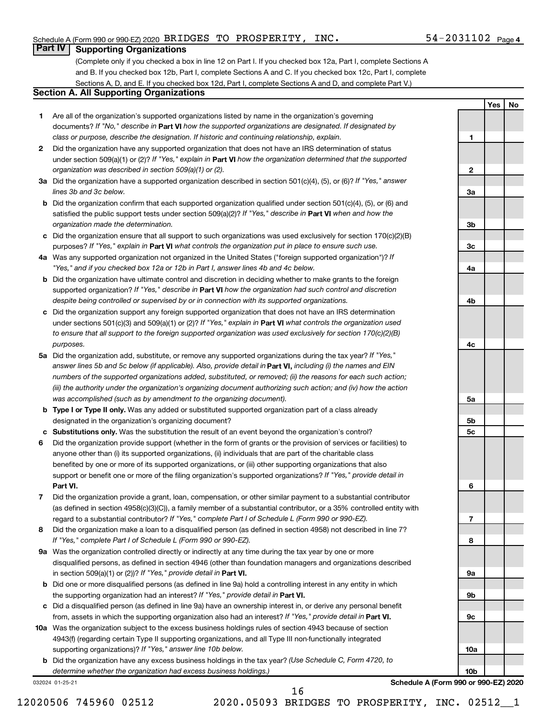**1**

**2**

**3a**

**3b**

**3c**

**4a**

**4b**

**4c**

**5a**

**5b 5c**

**6**

**7**

**8**

**9a**

**9b**

**9c**

**10a**

**10b**

**Yes No**

# **Part IV Supporting Organizations**

(Complete only if you checked a box in line 12 on Part I. If you checked box 12a, Part I, complete Sections A and B. If you checked box 12b, Part I, complete Sections A and C. If you checked box 12c, Part I, complete Sections A, D, and E. If you checked box 12d, Part I, complete Sections A and D, and complete Part V.)

# **Section A. All Supporting Organizations**

- **1** Are all of the organization's supported organizations listed by name in the organization's governing documents? If "No," describe in Part VI how the supported organizations are designated. If designated by *class or purpose, describe the designation. If historic and continuing relationship, explain.*
- **2** Did the organization have any supported organization that does not have an IRS determination of status under section 509(a)(1) or (2)? If "Yes," explain in Part **VI** how the organization determined that the supported *organization was described in section 509(a)(1) or (2).*
- **3a** Did the organization have a supported organization described in section 501(c)(4), (5), or (6)? If "Yes," answer *lines 3b and 3c below.*
- **b** Did the organization confirm that each supported organization qualified under section 501(c)(4), (5), or (6) and satisfied the public support tests under section 509(a)(2)? If "Yes," describe in Part VI when and how the *organization made the determination.*
- **c** Did the organization ensure that all support to such organizations was used exclusively for section 170(c)(2)(B) purposes? If "Yes," explain in Part VI what controls the organization put in place to ensure such use.
- **4 a** *If* Was any supported organization not organized in the United States ("foreign supported organization")? *"Yes," and if you checked box 12a or 12b in Part I, answer lines 4b and 4c below.*
- **b** Did the organization have ultimate control and discretion in deciding whether to make grants to the foreign supported organization? If "Yes," describe in Part VI how the organization had such control and discretion *despite being controlled or supervised by or in connection with its supported organizations.*
- **c** Did the organization support any foreign supported organization that does not have an IRS determination under sections 501(c)(3) and 509(a)(1) or (2)? If "Yes," explain in Part VI what controls the organization used *to ensure that all support to the foreign supported organization was used exclusively for section 170(c)(2)(B) purposes.*
- **5a** Did the organization add, substitute, or remove any supported organizations during the tax year? If "Yes," answer lines 5b and 5c below (if applicable). Also, provide detail in **Part VI,** including (i) the names and EIN *numbers of the supported organizations added, substituted, or removed; (ii) the reasons for each such action; (iii) the authority under the organization's organizing document authorizing such action; and (iv) how the action was accomplished (such as by amendment to the organizing document).*
- **b** Type I or Type II only. Was any added or substituted supported organization part of a class already designated in the organization's organizing document?
- **c Substitutions only.**  Was the substitution the result of an event beyond the organization's control?
- **6** Did the organization provide support (whether in the form of grants or the provision of services or facilities) to **Part VI.** support or benefit one or more of the filing organization's supported organizations? If "Yes," provide detail in anyone other than (i) its supported organizations, (ii) individuals that are part of the charitable class benefited by one or more of its supported organizations, or (iii) other supporting organizations that also
- **7** Did the organization provide a grant, loan, compensation, or other similar payment to a substantial contributor regard to a substantial contributor? If "Yes," complete Part I of Schedule L (Form 990 or 990-EZ). (as defined in section 4958(c)(3)(C)), a family member of a substantial contributor, or a 35% controlled entity with
- **8** Did the organization make a loan to a disqualified person (as defined in section 4958) not described in line 7? *If "Yes," complete Part I of Schedule L (Form 990 or 990-EZ).*
- **9 a** Was the organization controlled directly or indirectly at any time during the tax year by one or more in section 509(a)(1) or (2))? If "Yes," provide detail in **Part VI.** disqualified persons, as defined in section 4946 (other than foundation managers and organizations described
- **b** Did one or more disqualified persons (as defined in line 9a) hold a controlling interest in any entity in which the supporting organization had an interest? If "Yes," provide detail in Part VI.
- **c** Did a disqualified person (as defined in line 9a) have an ownership interest in, or derive any personal benefit from, assets in which the supporting organization also had an interest? If "Yes," provide detail in Part VI.
- **10 a** Was the organization subject to the excess business holdings rules of section 4943 because of section supporting organizations)? If "Yes," answer line 10b below. 4943(f) (regarding certain Type II supporting organizations, and all Type III non-functionally integrated
	- **b** Did the organization have any excess business holdings in the tax year? (Use Schedule C, Form 4720, to *determine whether the organization had excess business holdings.)*

032024 01-25-21

**Schedule A (Form 990 or 990-EZ) 2020**

12020506 745960 02512 2020.05093 BRIDGES TO PROSPERITY, INC. 02512\_\_1

16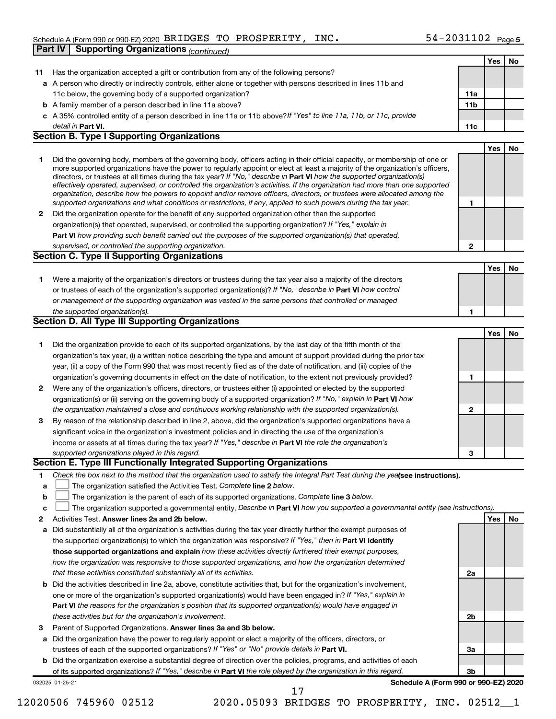# Schedule A (Form 990 or 990-EZ) 2020 Page BRIDGES TO PROSPERITY, INC. 54-2031102 **Part IV Supporting Organizations** *(continued)*

|        |                                                                                                                                                                                                                                                          |                 | Yes        | No        |
|--------|----------------------------------------------------------------------------------------------------------------------------------------------------------------------------------------------------------------------------------------------------------|-----------------|------------|-----------|
| 11     | Has the organization accepted a gift or contribution from any of the following persons?                                                                                                                                                                  |                 |            |           |
|        | a A person who directly or indirectly controls, either alone or together with persons described in lines 11b and                                                                                                                                         |                 |            |           |
|        | 11c below, the governing body of a supported organization?                                                                                                                                                                                               | 11a             |            |           |
|        | <b>b</b> A family member of a person described in line 11a above?                                                                                                                                                                                        | 11 <sub>b</sub> |            |           |
|        | c A 35% controlled entity of a person described in line 11a or 11b above? If "Yes" to line 11a, 11b, or 11c, provide                                                                                                                                     |                 |            |           |
|        | detail in <b>Part VI.</b>                                                                                                                                                                                                                                | 11c             |            |           |
|        | <b>Section B. Type I Supporting Organizations</b>                                                                                                                                                                                                        |                 |            |           |
|        |                                                                                                                                                                                                                                                          |                 | Yes        | <b>No</b> |
| 1      | Did the governing body, members of the governing body, officers acting in their official capacity, or membership of one or                                                                                                                               |                 |            |           |
|        | more supported organizations have the power to regularly appoint or elect at least a majority of the organization's officers,<br>directors, or trustees at all times during the tax year? If "No," describe in Part VI how the supported organization(s) |                 |            |           |
|        | effectively operated, supervised, or controlled the organization's activities. If the organization had more than one supported                                                                                                                           |                 |            |           |
|        | organization, describe how the powers to appoint and/or remove officers, directors, or trustees were allocated among the                                                                                                                                 |                 |            |           |
|        | supported organizations and what conditions or restrictions, if any, applied to such powers during the tax year.                                                                                                                                         | 1               |            |           |
| 2      | Did the organization operate for the benefit of any supported organization other than the supported                                                                                                                                                      |                 |            |           |
|        | organization(s) that operated, supervised, or controlled the supporting organization? If "Yes," explain in                                                                                                                                               |                 |            |           |
|        | Part VI how providing such benefit carried out the purposes of the supported organization(s) that operated,<br>supervised, or controlled the supporting organization.                                                                                    | 2               |            |           |
|        | <b>Section C. Type II Supporting Organizations</b>                                                                                                                                                                                                       |                 |            |           |
|        |                                                                                                                                                                                                                                                          |                 | <b>Yes</b> | No        |
| 1.     | Were a majority of the organization's directors or trustees during the tax year also a majority of the directors                                                                                                                                         |                 |            |           |
|        | or trustees of each of the organization's supported organization(s)? If "No," describe in Part VI how control                                                                                                                                            |                 |            |           |
|        | or management of the supporting organization was vested in the same persons that controlled or managed                                                                                                                                                   |                 |            |           |
|        | the supported organization(s).                                                                                                                                                                                                                           | 1               |            |           |
|        | <b>Section D. All Type III Supporting Organizations</b>                                                                                                                                                                                                  |                 |            |           |
|        |                                                                                                                                                                                                                                                          |                 | Yes        | No        |
| 1      | Did the organization provide to each of its supported organizations, by the last day of the fifth month of the                                                                                                                                           |                 |            |           |
|        | organization's tax year, (i) a written notice describing the type and amount of support provided during the prior tax                                                                                                                                    |                 |            |           |
|        | year, (ii) a copy of the Form 990 that was most recently filed as of the date of notification, and (iii) copies of the                                                                                                                                   |                 |            |           |
|        | organization's governing documents in effect on the date of notification, to the extent not previously provided?                                                                                                                                         | 1               |            |           |
| 2      | Were any of the organization's officers, directors, or trustees either (i) appointed or elected by the supported                                                                                                                                         |                 |            |           |
|        | organization(s) or (ii) serving on the governing body of a supported organization? If "No," explain in Part VI how                                                                                                                                       |                 |            |           |
|        | the organization maintained a close and continuous working relationship with the supported organization(s).                                                                                                                                              | 2               |            |           |
| 3      | By reason of the relationship described in line 2, above, did the organization's supported organizations have a                                                                                                                                          |                 |            |           |
|        | significant voice in the organization's investment policies and in directing the use of the organization's                                                                                                                                               |                 |            |           |
|        | income or assets at all times during the tax year? If "Yes," describe in Part VI the role the organization's                                                                                                                                             |                 |            |           |
|        | supported organizations played in this regard.                                                                                                                                                                                                           | 3               |            |           |
|        | Section E. Type III Functionally Integrated Supporting Organizations                                                                                                                                                                                     |                 |            |           |
| 1      | Check the box next to the method that the organization used to satisfy the Integral Part Test during the yealsee instructions).                                                                                                                          |                 |            |           |
| а      | The organization satisfied the Activities Test. Complete line 2 below.                                                                                                                                                                                   |                 |            |           |
| b      | The organization is the parent of each of its supported organizations. Complete line 3 below.<br>The organization supported a governmental entity. Describe in Part VI how you supported a governmental entity (see instructions).                       |                 |            |           |
| с<br>2 | Activities Test. Answer lines 2a and 2b below.                                                                                                                                                                                                           |                 | Yes        | No        |
| а      | Did substantially all of the organization's activities during the tax year directly further the exempt purposes of                                                                                                                                       |                 |            |           |
|        | the supported organization(s) to which the organization was responsive? If "Yes," then in Part VI identify                                                                                                                                               |                 |            |           |
|        | those supported organizations and explain how these activities directly furthered their exempt purposes,                                                                                                                                                 |                 |            |           |
|        | how the organization was responsive to those supported organizations, and how the organization determined                                                                                                                                                |                 |            |           |
|        | that these activities constituted substantially all of its activities.                                                                                                                                                                                   | 2a              |            |           |
| b      | Did the activities described in line 2a, above, constitute activities that, but for the organization's involvement,                                                                                                                                      |                 |            |           |
|        | one or more of the organization's supported organization(s) would have been engaged in? If "Yes," explain in                                                                                                                                             |                 |            |           |
|        | Part VI the reasons for the organization's position that its supported organization(s) would have engaged in                                                                                                                                             |                 |            |           |
|        | these activities but for the organization's involvement.                                                                                                                                                                                                 | 2b              |            |           |
| 3      | Parent of Supported Organizations. Answer lines 3a and 3b below.                                                                                                                                                                                         |                 |            |           |
| а      | Did the organization have the power to regularly appoint or elect a majority of the officers, directors, or                                                                                                                                              |                 |            |           |
|        | trustees of each of the supported organizations? If "Yes" or "No" provide details in Part VI.                                                                                                                                                            | За              |            |           |
|        | <b>b</b> Did the organization exercise a substantial degree of direction over the policies, programs, and activities of each                                                                                                                             |                 |            |           |
|        | of its supported organizations? If "Yes," describe in Part VI the role played by the organization in this regard.                                                                                                                                        | 3b              |            |           |
|        | Schedule A (Form 990 or 990-EZ) 2020<br>032025 01-25-21<br>17                                                                                                                                                                                            |                 |            |           |
|        |                                                                                                                                                                                                                                                          |                 |            |           |

<sup>12020506 745960 02512 2020.05093</sup> BRIDGES TO PROSPERITY, INC. 02512\_\_1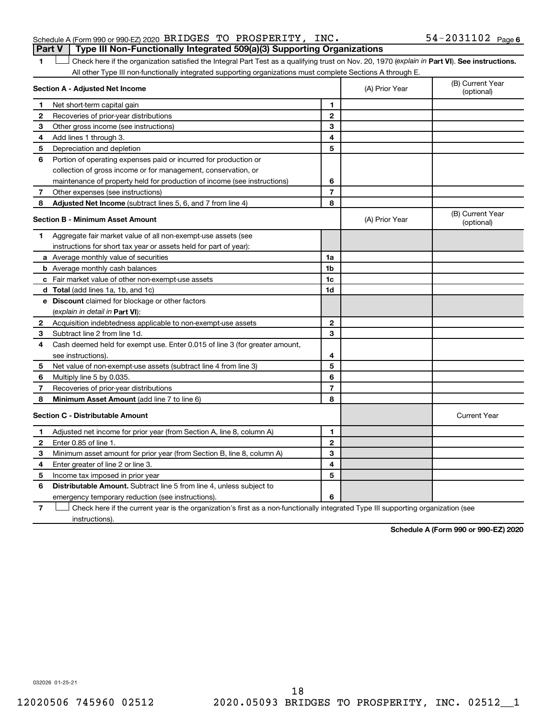| Schedule A (Form 990 or 990-EZ) 2020 $\,$ BRIDGES $\,$ TO $\,$ PROSPERITY, $\,$ INC $\,$ |  |  | $54 - 2031102$ Page 6 |  |
|------------------------------------------------------------------------------------------|--|--|-----------------------|--|
| Part V   Type III Non-Functionally Integrated 509(a)(3) Supporting Organizations         |  |  |                       |  |

1 **Letter See instructions.** Check here if the organization satisfied the Integral Part Test as a qualifying trust on Nov. 20, 1970 (*explain in* Part **VI**). See instructions. All other Type III non-functionally integrated supporting organizations must complete Sections A through E.

|   | Section A - Adjusted Net Income                                                                                                   |                | (A) Prior Year | (B) Current Year<br>(optional) |
|---|-----------------------------------------------------------------------------------------------------------------------------------|----------------|----------------|--------------------------------|
| 1 | Net short-term capital gain                                                                                                       | 1              |                |                                |
| 2 | Recoveries of prior-year distributions                                                                                            | $\overline{2}$ |                |                                |
| 3 | Other gross income (see instructions)                                                                                             | 3              |                |                                |
| 4 | Add lines 1 through 3.                                                                                                            | 4              |                |                                |
| 5 | Depreciation and depletion                                                                                                        | 5              |                |                                |
| 6 | Portion of operating expenses paid or incurred for production or                                                                  |                |                |                                |
|   | collection of gross income or for management, conservation, or                                                                    |                |                |                                |
|   | maintenance of property held for production of income (see instructions)                                                          | 6              |                |                                |
| 7 | Other expenses (see instructions)                                                                                                 | $\overline{7}$ |                |                                |
| 8 | Adjusted Net Income (subtract lines 5, 6, and 7 from line 4)                                                                      | 8              |                |                                |
|   | <b>Section B - Minimum Asset Amount</b>                                                                                           |                | (A) Prior Year | (B) Current Year<br>(optional) |
| 1 | Aggregate fair market value of all non-exempt-use assets (see                                                                     |                |                |                                |
|   | instructions for short tax year or assets held for part of year):                                                                 |                |                |                                |
|   | <b>a</b> Average monthly value of securities                                                                                      | 1a             |                |                                |
|   | <b>b</b> Average monthly cash balances                                                                                            | 1 <sub>b</sub> |                |                                |
|   | c Fair market value of other non-exempt-use assets                                                                                | 1c             |                |                                |
|   | <b>d</b> Total (add lines 1a, 1b, and 1c)                                                                                         | 1d             |                |                                |
|   | e Discount claimed for blockage or other factors                                                                                  |                |                |                                |
|   | (explain in detail in Part VI):                                                                                                   |                |                |                                |
| 2 | Acquisition indebtedness applicable to non-exempt-use assets                                                                      | 2              |                |                                |
| 3 | Subtract line 2 from line 1d.                                                                                                     | 3              |                |                                |
| 4 | Cash deemed held for exempt use. Enter 0.015 of line 3 (for greater amount,                                                       |                |                |                                |
|   | see instructions).                                                                                                                | 4              |                |                                |
| 5 | Net value of non-exempt-use assets (subtract line 4 from line 3)                                                                  | 5              |                |                                |
| 6 | Multiply line 5 by 0.035.                                                                                                         | 6              |                |                                |
| 7 | Recoveries of prior-year distributions                                                                                            | $\overline{7}$ |                |                                |
| 8 | Minimum Asset Amount (add line 7 to line 6)                                                                                       | 8              |                |                                |
|   | <b>Section C - Distributable Amount</b>                                                                                           |                |                | <b>Current Year</b>            |
| 1 | Adjusted net income for prior year (from Section A, line 8, column A)                                                             | $\mathbf{1}$   |                |                                |
| 2 | Enter 0.85 of line 1.                                                                                                             | $\mathbf{2}$   |                |                                |
| з | Minimum asset amount for prior year (from Section B, line 8, column A)                                                            | 3              |                |                                |
| 4 | Enter greater of line 2 or line 3.                                                                                                | 4              |                |                                |
| 5 | Income tax imposed in prior year                                                                                                  | 5              |                |                                |
| 6 | <b>Distributable Amount.</b> Subtract line 5 from line 4, unless subject to                                                       |                |                |                                |
|   | emergency temporary reduction (see instructions).                                                                                 | 6              |                |                                |
| 7 | Check here if the current year is the organization's first as a non-functionally integrated Type III supporting organization (see |                |                |                                |

instructions).

**Schedule A (Form 990 or 990-EZ) 2020**

032026 01-25-21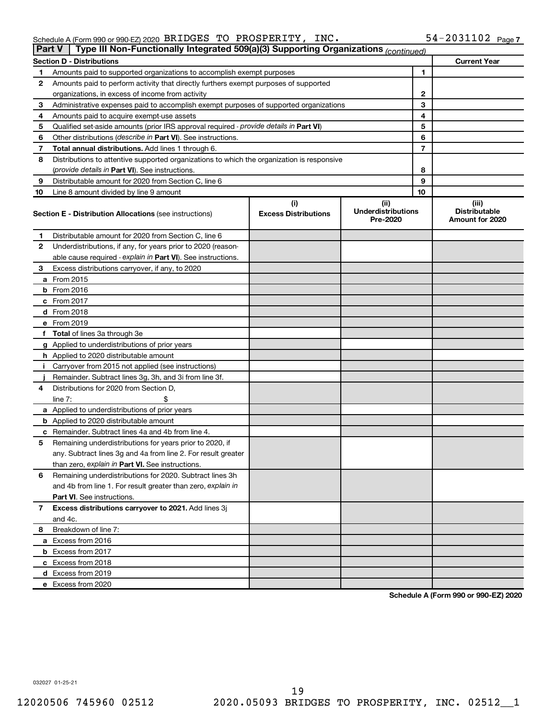| <b>Fail V</b> | Type in Non-Functionally integrated $303(a)(3)$ supporting Organizations $\langle$ continued) |                                    |                                               |    |                                                  |
|---------------|-----------------------------------------------------------------------------------------------|------------------------------------|-----------------------------------------------|----|--------------------------------------------------|
|               | <b>Section D - Distributions</b>                                                              |                                    |                                               |    | <b>Current Year</b>                              |
| 1             | Amounts paid to supported organizations to accomplish exempt purposes                         |                                    | 1                                             |    |                                                  |
| 2             | Amounts paid to perform activity that directly furthers exempt purposes of supported          |                                    |                                               |    |                                                  |
|               | organizations, in excess of income from activity                                              |                                    | 2                                             |    |                                                  |
| 3             | Administrative expenses paid to accomplish exempt purposes of supported organizations         |                                    | 3                                             |    |                                                  |
| 4             | Amounts paid to acquire exempt-use assets                                                     |                                    |                                               | 4  |                                                  |
| 5             | Qualified set-aside amounts (prior IRS approval required - provide details in Part VI)        |                                    |                                               | 5  |                                                  |
| 6             | Other distributions ( <i>describe in Part VI</i> ). See instructions.                         |                                    |                                               | 6  |                                                  |
| 7             | Total annual distributions. Add lines 1 through 6.                                            |                                    |                                               | 7  |                                                  |
| 8             | Distributions to attentive supported organizations to which the organization is responsive    |                                    |                                               |    |                                                  |
|               | (provide details in Part VI). See instructions.                                               |                                    |                                               | 8  |                                                  |
| 9             | Distributable amount for 2020 from Section C, line 6                                          |                                    |                                               | 9  |                                                  |
| 10            | Line 8 amount divided by line 9 amount                                                        |                                    |                                               | 10 |                                                  |
|               | <b>Section E - Distribution Allocations (see instructions)</b>                                | (i)<br><b>Excess Distributions</b> | (ii)<br><b>Underdistributions</b><br>Pre-2020 |    | (iii)<br><b>Distributable</b><br>Amount for 2020 |
| 1.            | Distributable amount for 2020 from Section C, line 6                                          |                                    |                                               |    |                                                  |
| $\mathbf{2}$  | Underdistributions, if any, for years prior to 2020 (reason-                                  |                                    |                                               |    |                                                  |
|               | able cause required - explain in Part VI). See instructions.                                  |                                    |                                               |    |                                                  |
| 3             | Excess distributions carryover, if any, to 2020                                               |                                    |                                               |    |                                                  |
|               | <b>a</b> From 2015                                                                            |                                    |                                               |    |                                                  |
|               | <b>b</b> From 2016                                                                            |                                    |                                               |    |                                                  |
|               | c From $2017$                                                                                 |                                    |                                               |    |                                                  |
|               | $d$ From 2018                                                                                 |                                    |                                               |    |                                                  |
|               | e From 2019                                                                                   |                                    |                                               |    |                                                  |
|               | f Total of lines 3a through 3e                                                                |                                    |                                               |    |                                                  |
|               | g Applied to underdistributions of prior years                                                |                                    |                                               |    |                                                  |
|               | <b>h</b> Applied to 2020 distributable amount                                                 |                                    |                                               |    |                                                  |
|               | i Carryover from 2015 not applied (see instructions)                                          |                                    |                                               |    |                                                  |
|               | Remainder. Subtract lines 3g, 3h, and 3i from line 3f.                                        |                                    |                                               |    |                                                  |
| 4             | Distributions for 2020 from Section D,                                                        |                                    |                                               |    |                                                  |
|               | \$<br>line $7:$                                                                               |                                    |                                               |    |                                                  |
|               | a Applied to underdistributions of prior years                                                |                                    |                                               |    |                                                  |
|               | <b>b</b> Applied to 2020 distributable amount                                                 |                                    |                                               |    |                                                  |
|               | <b>c</b> Remainder. Subtract lines 4a and 4b from line 4.                                     |                                    |                                               |    |                                                  |
| 5             | Remaining underdistributions for years prior to 2020, if                                      |                                    |                                               |    |                                                  |
|               | any. Subtract lines 3g and 4a from line 2. For result greater                                 |                                    |                                               |    |                                                  |
|               | than zero, explain in Part VI. See instructions.                                              |                                    |                                               |    |                                                  |
| 6             | Remaining underdistributions for 2020. Subtract lines 3h                                      |                                    |                                               |    |                                                  |
|               | and 4b from line 1. For result greater than zero, explain in                                  |                                    |                                               |    |                                                  |
|               | <b>Part VI.</b> See instructions.                                                             |                                    |                                               |    |                                                  |
| 7             | Excess distributions carryover to 2021. Add lines 3j                                          |                                    |                                               |    |                                                  |
|               | and 4c.                                                                                       |                                    |                                               |    |                                                  |
| 8             | Breakdown of line 7:                                                                          |                                    |                                               |    |                                                  |
|               | <b>a</b> Excess from 2016                                                                     |                                    |                                               |    |                                                  |
|               | <b>b</b> Excess from 2017                                                                     |                                    |                                               |    |                                                  |
|               | c Excess from 2018                                                                            |                                    |                                               |    |                                                  |
|               | <b>d</b> Excess from 2019                                                                     |                                    |                                               |    |                                                  |
|               | e Excess from 2020                                                                            |                                    |                                               |    |                                                  |

**Schedule A (Form 990 or 990-EZ) 2020**

032027 01-25-21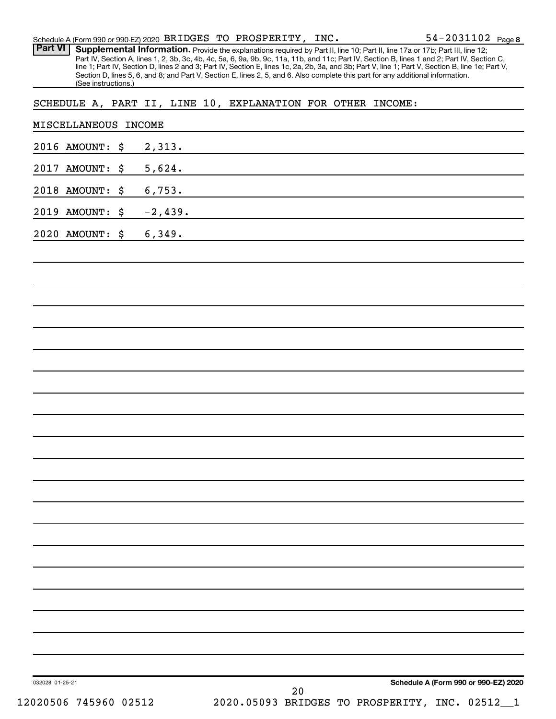| Schedule A (Form 990 or 990-EZ) 2020 BRIDGES TO PROSPERITY, INC. |                     |                 |  |    |  |                                                                                                                                                                                                                                                                                                                                                                                                                                                                                                                                                                      | 54-2031102 Page 8                    |
|------------------------------------------------------------------|---------------------|-----------------|--|----|--|----------------------------------------------------------------------------------------------------------------------------------------------------------------------------------------------------------------------------------------------------------------------------------------------------------------------------------------------------------------------------------------------------------------------------------------------------------------------------------------------------------------------------------------------------------------------|--------------------------------------|
| <b>Part VI</b>                                                   | (See instructions.) |                 |  |    |  | Supplemental Information. Provide the explanations required by Part II, line 10; Part II, line 17a or 17b; Part III, line 12;<br>Part IV, Section A, lines 1, 2, 3b, 3c, 4b, 4c, 5a, 6, 9a, 9b, 9c, 11a, 11b, and 11c; Part IV, Section B, lines 1 and 2; Part IV, Section C,<br>line 1; Part IV, Section D, lines 2 and 3; Part IV, Section E, lines 1c, 2a, 2b, 3a, and 3b; Part V, line 1; Part V, Section B, line 1e; Part V,<br>Section D, lines 5, 6, and 8; and Part V, Section E, lines 2, 5, and 6. Also complete this part for any additional information. |                                      |
| SCHEDULE A, PART II, LINE 10, EXPLANATION FOR OTHER INCOME:      |                     |                 |  |    |  |                                                                                                                                                                                                                                                                                                                                                                                                                                                                                                                                                                      |                                      |
| MISCELLANEOUS                                                    |                     | <b>INCOME</b>   |  |    |  |                                                                                                                                                                                                                                                                                                                                                                                                                                                                                                                                                                      |                                      |
| 2016 AMOUNT:                                                     |                     | \$<br>2,313.    |  |    |  |                                                                                                                                                                                                                                                                                                                                                                                                                                                                                                                                                                      |                                      |
| 2017 AMOUNT:                                                     |                     | \$<br>5,624.    |  |    |  |                                                                                                                                                                                                                                                                                                                                                                                                                                                                                                                                                                      |                                      |
| 2018 AMOUNT:                                                     |                     | \$<br>6,753.    |  |    |  |                                                                                                                                                                                                                                                                                                                                                                                                                                                                                                                                                                      |                                      |
| 2019 AMOUNT:                                                     |                     | \$<br>$-2,439.$ |  |    |  |                                                                                                                                                                                                                                                                                                                                                                                                                                                                                                                                                                      |                                      |
| 2020 AMOUNT:                                                     |                     | \$<br>6,349.    |  |    |  |                                                                                                                                                                                                                                                                                                                                                                                                                                                                                                                                                                      |                                      |
|                                                                  |                     |                 |  |    |  |                                                                                                                                                                                                                                                                                                                                                                                                                                                                                                                                                                      |                                      |
|                                                                  |                     |                 |  |    |  |                                                                                                                                                                                                                                                                                                                                                                                                                                                                                                                                                                      |                                      |
|                                                                  |                     |                 |  |    |  |                                                                                                                                                                                                                                                                                                                                                                                                                                                                                                                                                                      |                                      |
|                                                                  |                     |                 |  |    |  |                                                                                                                                                                                                                                                                                                                                                                                                                                                                                                                                                                      |                                      |
|                                                                  |                     |                 |  |    |  |                                                                                                                                                                                                                                                                                                                                                                                                                                                                                                                                                                      |                                      |
|                                                                  |                     |                 |  |    |  |                                                                                                                                                                                                                                                                                                                                                                                                                                                                                                                                                                      |                                      |
|                                                                  |                     |                 |  |    |  |                                                                                                                                                                                                                                                                                                                                                                                                                                                                                                                                                                      |                                      |
|                                                                  |                     |                 |  |    |  |                                                                                                                                                                                                                                                                                                                                                                                                                                                                                                                                                                      |                                      |
|                                                                  |                     |                 |  |    |  |                                                                                                                                                                                                                                                                                                                                                                                                                                                                                                                                                                      |                                      |
|                                                                  |                     |                 |  |    |  |                                                                                                                                                                                                                                                                                                                                                                                                                                                                                                                                                                      |                                      |
|                                                                  |                     |                 |  |    |  |                                                                                                                                                                                                                                                                                                                                                                                                                                                                                                                                                                      |                                      |
|                                                                  |                     |                 |  |    |  |                                                                                                                                                                                                                                                                                                                                                                                                                                                                                                                                                                      |                                      |
|                                                                  |                     |                 |  |    |  |                                                                                                                                                                                                                                                                                                                                                                                                                                                                                                                                                                      |                                      |
|                                                                  |                     |                 |  |    |  |                                                                                                                                                                                                                                                                                                                                                                                                                                                                                                                                                                      |                                      |
|                                                                  |                     |                 |  |    |  |                                                                                                                                                                                                                                                                                                                                                                                                                                                                                                                                                                      |                                      |
|                                                                  |                     |                 |  |    |  |                                                                                                                                                                                                                                                                                                                                                                                                                                                                                                                                                                      |                                      |
|                                                                  |                     |                 |  |    |  |                                                                                                                                                                                                                                                                                                                                                                                                                                                                                                                                                                      |                                      |
|                                                                  |                     |                 |  |    |  |                                                                                                                                                                                                                                                                                                                                                                                                                                                                                                                                                                      |                                      |
|                                                                  |                     |                 |  |    |  |                                                                                                                                                                                                                                                                                                                                                                                                                                                                                                                                                                      |                                      |
|                                                                  |                     |                 |  |    |  |                                                                                                                                                                                                                                                                                                                                                                                                                                                                                                                                                                      |                                      |
|                                                                  |                     |                 |  |    |  |                                                                                                                                                                                                                                                                                                                                                                                                                                                                                                                                                                      |                                      |
| 032028 01-25-21                                                  |                     |                 |  |    |  |                                                                                                                                                                                                                                                                                                                                                                                                                                                                                                                                                                      | Schedule A (Form 990 or 990-EZ) 2020 |
| 12020506 745960 02512                                            |                     |                 |  | 20 |  | 2020.05093 BRIDGES TO PROSPERITY, INC. 02512_1                                                                                                                                                                                                                                                                                                                                                                                                                                                                                                                       |                                      |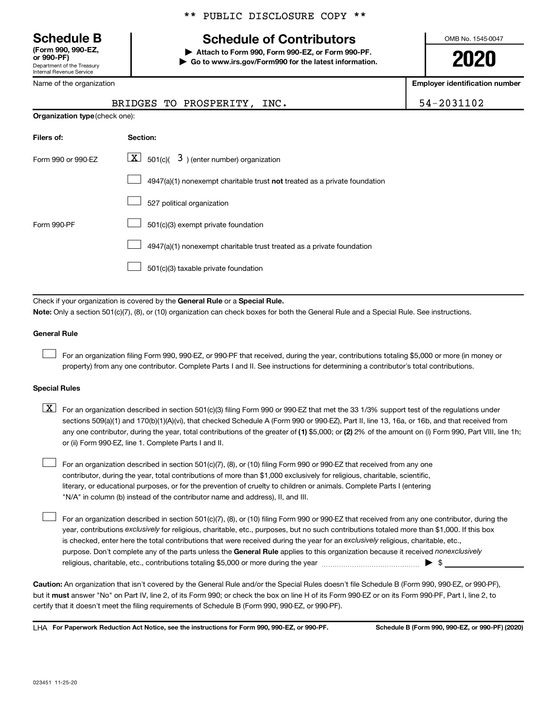Department of the Treasury Internal Revenue Service **(Form 990, 990-EZ,**

Name of the organization

# \*\* PUBLIC DISCLOSURE COPY \*\*

# **Schedule B Schedule of Contributors**

**or 990-PF) | Attach to Form 990, Form 990-EZ, or Form 990-PF. | Go to www.irs.gov/Form990 for the latest information.** OMB No. 1545-0047

**2020**

**Employer identification number**

| Name of the organization       |                                                                                                                                                                                                                                                                                                                                                                                                                                                                                                           | Employer identification number |  |  |  |  |  |
|--------------------------------|-----------------------------------------------------------------------------------------------------------------------------------------------------------------------------------------------------------------------------------------------------------------------------------------------------------------------------------------------------------------------------------------------------------------------------------------------------------------------------------------------------------|--------------------------------|--|--|--|--|--|
|                                | BRIDGES TO PROSPERITY, INC.                                                                                                                                                                                                                                                                                                                                                                                                                                                                               | 54-2031102                     |  |  |  |  |  |
| Organization type (check one): |                                                                                                                                                                                                                                                                                                                                                                                                                                                                                                           |                                |  |  |  |  |  |
| Filers of:                     | Section:                                                                                                                                                                                                                                                                                                                                                                                                                                                                                                  |                                |  |  |  |  |  |
| Form 990 or 990-EZ             | $\boxed{\mathbf{X}}$ 501(c)( 3) (enter number) organization                                                                                                                                                                                                                                                                                                                                                                                                                                               |                                |  |  |  |  |  |
|                                | $4947(a)(1)$ nonexempt charitable trust not treated as a private foundation                                                                                                                                                                                                                                                                                                                                                                                                                               |                                |  |  |  |  |  |
|                                | 527 political organization                                                                                                                                                                                                                                                                                                                                                                                                                                                                                |                                |  |  |  |  |  |
| Form 990-PF                    | 501(c)(3) exempt private foundation                                                                                                                                                                                                                                                                                                                                                                                                                                                                       |                                |  |  |  |  |  |
|                                | 4947(a)(1) nonexempt charitable trust treated as a private foundation                                                                                                                                                                                                                                                                                                                                                                                                                                     |                                |  |  |  |  |  |
|                                | 501(c)(3) taxable private foundation                                                                                                                                                                                                                                                                                                                                                                                                                                                                      |                                |  |  |  |  |  |
|                                |                                                                                                                                                                                                                                                                                                                                                                                                                                                                                                           |                                |  |  |  |  |  |
|                                | Check if your organization is covered by the General Rule or a Special Rule.<br>Note: Only a section 501(c)(7), (8), or (10) organization can check boxes for both the General Rule and a Special Rule. See instructions.                                                                                                                                                                                                                                                                                 |                                |  |  |  |  |  |
| <b>General Rule</b>            |                                                                                                                                                                                                                                                                                                                                                                                                                                                                                                           |                                |  |  |  |  |  |
|                                | For an organization filing Form 990, 990-EZ, or 990-PF that received, during the year, contributions totaling \$5,000 or more (in money or<br>property) from any one contributor. Complete Parts I and II. See instructions for determining a contributor's total contributions.                                                                                                                                                                                                                          |                                |  |  |  |  |  |
| <b>Special Rules</b>           |                                                                                                                                                                                                                                                                                                                                                                                                                                                                                                           |                                |  |  |  |  |  |
| $\lfloor x \rfloor$            | For an organization described in section 501(c)(3) filing Form 990 or 990-EZ that met the 33 1/3% support test of the regulations under<br>sections 509(a)(1) and 170(b)(1)(A)(vi), that checked Schedule A (Form 990 or 990-EZ), Part II, line 13, 16a, or 16b, and that received from<br>any one contributor, during the year, total contributions of the greater of (1) \$5,000; or (2) 2% of the amount on (i) Form 990, Part VIII, line 1h;<br>or (ii) Form 990-EZ, line 1. Complete Parts I and II. |                                |  |  |  |  |  |
|                                | For an organization described in section 501(c)(7), (8), or (10) filing Form 990 or 990-EZ that received from any one<br>contributor, during the year, total contributions of more than \$1,000 exclusively for religious, charitable, scientific,                                                                                                                                                                                                                                                        |                                |  |  |  |  |  |

literary, or educational purposes, or for the prevention of cruelty to children or animals. Complete Parts I (entering "N/A" in column (b) instead of the contributor name and address), II, and III.

purpose. Don't complete any of the parts unless the General Rule applies to this organization because it received nonexclusively year, contributions exclusively for religious, charitable, etc., purposes, but no such contributions totaled more than \$1,000. If this box is checked, enter here the total contributions that were received during the year for an exclusively religious, charitable, etc., For an organization described in section 501(c)(7), (8), or (10) filing Form 990 or 990-EZ that received from any one contributor, during the religious, charitable, etc., contributions totaling \$5,000 or more during the year  $~\ldots$  $~$   $\ldots$  $\ldots$  $\ldots$  $\ldots$  $\ldots$ 

**Caution:**  An organization that isn't covered by the General Rule and/or the Special Rules doesn't file Schedule B (Form 990, 990-EZ, or 990-PF),  **must** but it answer "No" on Part IV, line 2, of its Form 990; or check the box on line H of its Form 990-EZ or on its Form 990-PF, Part I, line 2, to certify that it doesn't meet the filing requirements of Schedule B (Form 990, 990-EZ, or 990-PF).

**For Paperwork Reduction Act Notice, see the instructions for Form 990, 990-EZ, or 990-PF. Schedule B (Form 990, 990-EZ, or 990-PF) (2020)** LHA

 $\Box$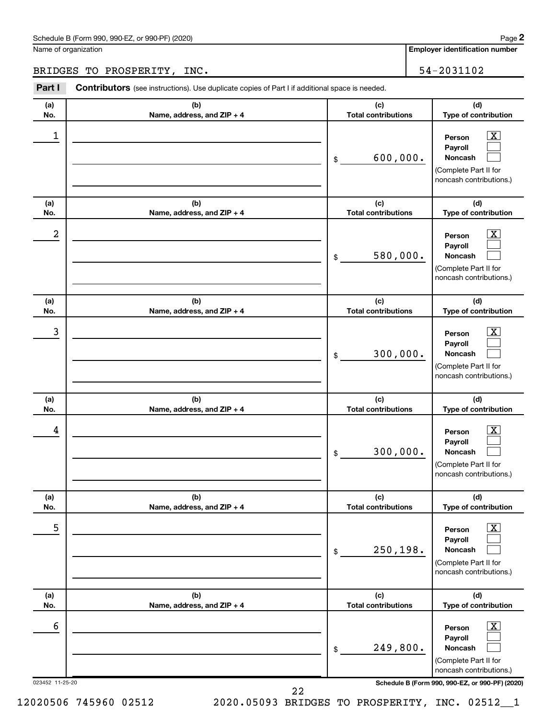## Schedule B (Form 990, 990-EZ, or 990-PF) (2020)

Name of organization

**Employer identification number**

BRIDGES TO PROSPERITY, INC. 54-2031102

| Part I               | <b>Contributors</b> (see instructions). Use duplicate copies of Part I if additional space is needed. |                                   |                                                                                                                                                     |  |  |  |  |  |
|----------------------|-------------------------------------------------------------------------------------------------------|-----------------------------------|-----------------------------------------------------------------------------------------------------------------------------------------------------|--|--|--|--|--|
| (a)<br>No.           | (b)<br>Name, address, and ZIP + 4                                                                     | (c)<br><b>Total contributions</b> | (d)<br>Type of contribution                                                                                                                         |  |  |  |  |  |
| 1                    |                                                                                                       | 600,000.<br>\$                    | $\boxed{\textbf{X}}$<br>Person<br>Payroll<br>Noncash<br>(Complete Part II for<br>noncash contributions.)                                            |  |  |  |  |  |
| (a)<br>No.           | (b)<br>Name, address, and ZIP + 4                                                                     | (c)<br><b>Total contributions</b> | (d)<br>Type of contribution                                                                                                                         |  |  |  |  |  |
| 2                    |                                                                                                       | 580,000.<br>\$                    | $\lfloor x \rfloor$<br>Person<br>Payroll<br>Noncash<br>(Complete Part II for<br>noncash contributions.)                                             |  |  |  |  |  |
| (a)<br>No.           | (b)<br>Name, address, and ZIP + 4                                                                     | (c)<br><b>Total contributions</b> | (d)<br>Type of contribution                                                                                                                         |  |  |  |  |  |
| 3                    |                                                                                                       | 300,000.<br>\$                    | $\boxed{\textbf{X}}$<br>Person<br>Payroll<br>Noncash<br>(Complete Part II for<br>noncash contributions.)                                            |  |  |  |  |  |
| (a)<br>No.           | (b)<br>Name, address, and ZIP + 4                                                                     | (c)<br><b>Total contributions</b> | (d)<br>Type of contribution                                                                                                                         |  |  |  |  |  |
| 4                    |                                                                                                       | 300,000.<br>\$                    | $\boxed{\textbf{X}}$<br>Person<br>Payroll<br>Noncash<br>(Complete Part II for<br>noncash contributions.)                                            |  |  |  |  |  |
| (a)<br>No.           | (b)<br>Name, address, and ZIP + 4                                                                     | (c)<br><b>Total contributions</b> | (d)<br>Type of contribution                                                                                                                         |  |  |  |  |  |
| 5                    |                                                                                                       | 250,198.<br>\$                    | $\boxed{\text{X}}$<br>Person<br>Payroll<br>Noncash<br>(Complete Part II for<br>noncash contributions.)                                              |  |  |  |  |  |
| (a)<br>No.           | (b)<br>Name, address, and ZIP + 4                                                                     | (c)<br><b>Total contributions</b> | (d)<br>Type of contribution                                                                                                                         |  |  |  |  |  |
| 6<br>023452 11-25-20 |                                                                                                       | 249,800.<br>\$                    | $\mathbf{X}$<br>Person<br>Payroll<br>Noncash<br>(Complete Part II for<br>noncash contributions.)<br>Schedule B (Form 990, 990-EZ, or 990-PF) (2020) |  |  |  |  |  |
|                      |                                                                                                       | 22                                |                                                                                                                                                     |  |  |  |  |  |

**2**

12020506 745960 02512 2020.05093 BRIDGES TO PROSPERITY, INC. 02512\_\_1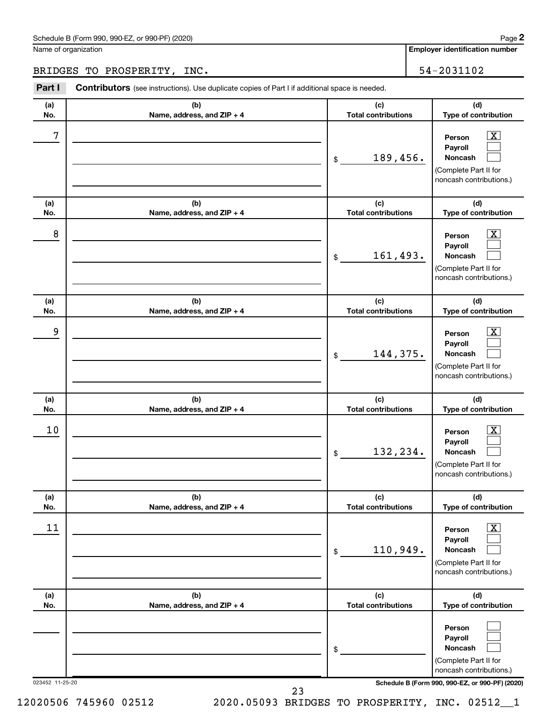## Schedule B (Form 990, 990-EZ, or 990-PF) (2020)

Name of organization

**Employer identification number**

BRIDGES TO PROSPERITY, INC. 54-2031102

| Part I          | <b>Contributors</b> (see instructions). Use duplicate copies of Part I if additional space is needed. |                                   |                                                                                                                                            |
|-----------------|-------------------------------------------------------------------------------------------------------|-----------------------------------|--------------------------------------------------------------------------------------------------------------------------------------------|
| (a)<br>No.      | (b)<br>Name, address, and ZIP + 4                                                                     | (c)<br><b>Total contributions</b> | (d)<br>Type of contribution                                                                                                                |
| 7               |                                                                                                       | 189,456.<br>\$                    | $\boxed{\text{X}}$<br>Person<br>Payroll<br>Noncash<br>(Complete Part II for<br>noncash contributions.)                                     |
| (a)<br>No.      | (b)<br>Name, address, and ZIP + 4                                                                     | (c)<br><b>Total contributions</b> | (d)<br>Type of contribution                                                                                                                |
| 8               |                                                                                                       | 161,493.<br>\$                    | $\boxed{\text{X}}$<br>Person<br>Payroll<br>Noncash<br>(Complete Part II for<br>noncash contributions.)                                     |
| (a)<br>No.      | (b)<br>Name, address, and ZIP + 4                                                                     | (c)<br><b>Total contributions</b> | (d)<br>Type of contribution                                                                                                                |
| 9               |                                                                                                       | 144,375.<br>\$                    | $\boxed{\text{X}}$<br>Person<br>Payroll<br>Noncash<br>(Complete Part II for<br>noncash contributions.)                                     |
| (a)<br>No.      | (b)<br>Name, address, and ZIP + 4                                                                     | (c)<br><b>Total contributions</b> | (d)<br>Type of contribution                                                                                                                |
| 10              |                                                                                                       | 132,234.<br>\$                    | $\boxed{\textbf{X}}$<br>Person<br>Payroll<br>Noncash<br>(Complete Part II for<br>noncash contributions.)                                   |
| (a)<br>No.      | (b)<br>Name, address, and ZIP + 4                                                                     | (c)<br><b>Total contributions</b> | (d)<br>Type of contribution                                                                                                                |
| 11              |                                                                                                       | 110,949.<br>\$                    | $\boxed{\textbf{X}}$<br>Person<br>Payroll<br>Noncash<br>(Complete Part II for<br>noncash contributions.)                                   |
| (a)<br>No.      | (b)<br>Name, address, and ZIP + 4                                                                     | (c)<br><b>Total contributions</b> | (d)<br>Type of contribution                                                                                                                |
| 023452 11-25-20 |                                                                                                       | \$                                | Person<br>Payroll<br><b>Noncash</b><br>(Complete Part II for<br>noncash contributions.)<br>Schedule B (Form 990, 990-EZ, or 990-PF) (2020) |
|                 |                                                                                                       | 23                                |                                                                                                                                            |

12020506 745960 02512 2020.05093 BRIDGES TO PROSPERITY, INC. 02512\_\_1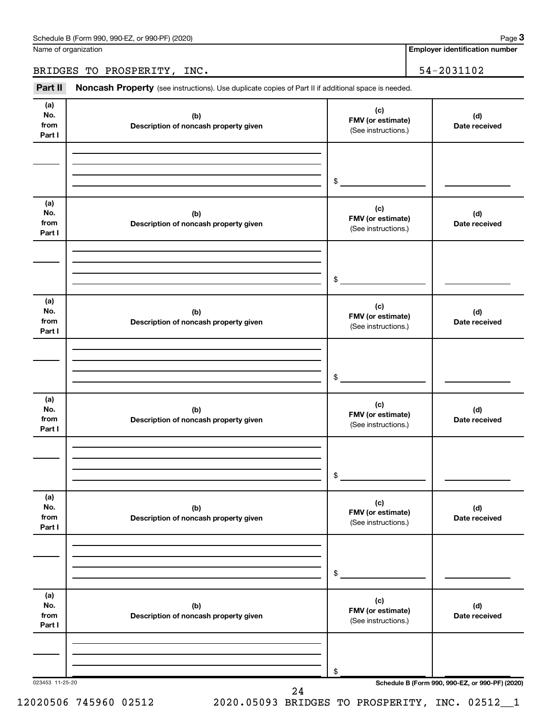Name of organization

# BRIDGES TO PROSPERITY, INC. 54-2031102

Part II Noncash Property (see instructions). Use duplicate copies of Part II if additional space is needed.

| (b)<br>Description of noncash property given<br>(b)<br>Description of noncash property given<br>(b)<br>Description of noncash property given | \$<br>(c)<br>FMV (or estimate)<br>(See instructions.)<br>\$<br>(c)<br>FMV (or estimate)<br>(See instructions.)<br>$\$\$<br>(c)<br>FMV (or estimate) | (d)<br>Date received<br>(d)<br>Date received<br>(d)<br>Date received |
|----------------------------------------------------------------------------------------------------------------------------------------------|-----------------------------------------------------------------------------------------------------------------------------------------------------|----------------------------------------------------------------------|
|                                                                                                                                              |                                                                                                                                                     |                                                                      |
|                                                                                                                                              |                                                                                                                                                     |                                                                      |
|                                                                                                                                              |                                                                                                                                                     |                                                                      |
|                                                                                                                                              |                                                                                                                                                     |                                                                      |
|                                                                                                                                              |                                                                                                                                                     |                                                                      |
|                                                                                                                                              |                                                                                                                                                     |                                                                      |
|                                                                                                                                              | (See instructions.)                                                                                                                                 |                                                                      |
|                                                                                                                                              | $\frac{1}{2}$                                                                                                                                       |                                                                      |
| (b)<br>Description of noncash property given                                                                                                 | (c)<br>FMV (or estimate)<br>(See instructions.)                                                                                                     | (d)<br>Date received                                                 |
|                                                                                                                                              | \$                                                                                                                                                  |                                                                      |
| (b)<br>Description of noncash property given                                                                                                 | (c)<br>FMV (or estimate)<br>(See instructions.)                                                                                                     | (d)<br>Date received                                                 |
|                                                                                                                                              | \$                                                                                                                                                  |                                                                      |
|                                                                                                                                              |                                                                                                                                                     | Schedule B (Form 990, 990-EZ, or 990-PF) (2020)<br>24                |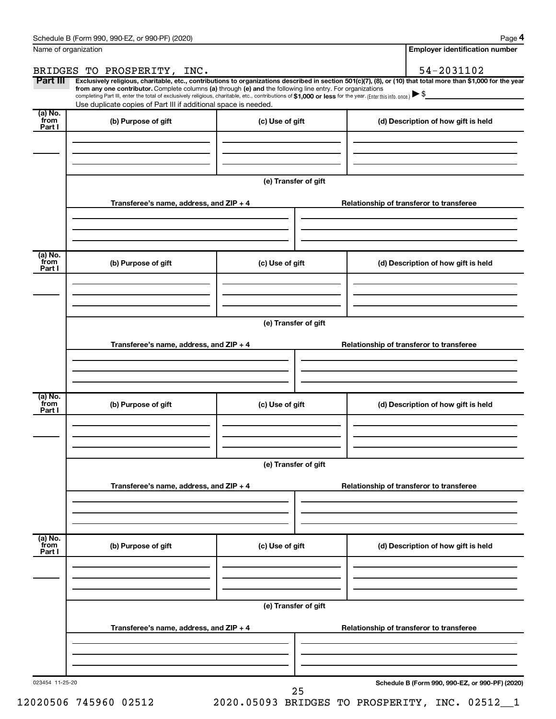**4**

| Name of organization      |                                                                                                                                                                                                                                                                                                                                                                                                                                                                                                             |                      |  | <b>Employer identification number</b>           |  |  |  |  |
|---------------------------|-------------------------------------------------------------------------------------------------------------------------------------------------------------------------------------------------------------------------------------------------------------------------------------------------------------------------------------------------------------------------------------------------------------------------------------------------------------------------------------------------------------|----------------------|--|-------------------------------------------------|--|--|--|--|
|                           | BRIDGES TO PROSPERITY, INC.                                                                                                                                                                                                                                                                                                                                                                                                                                                                                 |                      |  | 54-2031102                                      |  |  |  |  |
| Part III                  | Exclusively religious, charitable, etc., contributions to organizations described in section 501(c)(7), (8), or (10) that total more than \$1,000 for the year<br>from any one contributor. Complete columns (a) through (e) and the following line entry. For organizations<br>completing Part III, enter the total of exclusively religious, charitable, etc., contributions of \$1,000 or less for the year. (Enter this info. once.)<br>Use duplicate copies of Part III if additional space is needed. |                      |  |                                                 |  |  |  |  |
| (a) No.<br>from<br>Part I | (b) Purpose of gift                                                                                                                                                                                                                                                                                                                                                                                                                                                                                         | (c) Use of gift      |  | (d) Description of how gift is held             |  |  |  |  |
|                           |                                                                                                                                                                                                                                                                                                                                                                                                                                                                                                             |                      |  |                                                 |  |  |  |  |
|                           |                                                                                                                                                                                                                                                                                                                                                                                                                                                                                                             | (e) Transfer of gift |  |                                                 |  |  |  |  |
|                           | Transferee's name, address, and ZIP + 4                                                                                                                                                                                                                                                                                                                                                                                                                                                                     |                      |  | Relationship of transferor to transferee        |  |  |  |  |
|                           |                                                                                                                                                                                                                                                                                                                                                                                                                                                                                                             |                      |  |                                                 |  |  |  |  |
| (a) No.<br>from<br>Part I | (b) Purpose of gift                                                                                                                                                                                                                                                                                                                                                                                                                                                                                         | (c) Use of gift      |  | (d) Description of how gift is held             |  |  |  |  |
|                           |                                                                                                                                                                                                                                                                                                                                                                                                                                                                                                             |                      |  |                                                 |  |  |  |  |
|                           |                                                                                                                                                                                                                                                                                                                                                                                                                                                                                                             | (e) Transfer of gift |  |                                                 |  |  |  |  |
|                           | Transferee's name, address, and ZIP + 4                                                                                                                                                                                                                                                                                                                                                                                                                                                                     |                      |  | Relationship of transferor to transferee        |  |  |  |  |
|                           |                                                                                                                                                                                                                                                                                                                                                                                                                                                                                                             |                      |  |                                                 |  |  |  |  |
| (a) No.<br>from<br>Part I | (b) Purpose of gift                                                                                                                                                                                                                                                                                                                                                                                                                                                                                         | (c) Use of gift      |  | (d) Description of how gift is held             |  |  |  |  |
|                           |                                                                                                                                                                                                                                                                                                                                                                                                                                                                                                             |                      |  |                                                 |  |  |  |  |
|                           | Transferee's name, address, and ZIP + 4                                                                                                                                                                                                                                                                                                                                                                                                                                                                     | (e) Transfer of gift |  | Relationship of transferor to transferee        |  |  |  |  |
|                           |                                                                                                                                                                                                                                                                                                                                                                                                                                                                                                             |                      |  |                                                 |  |  |  |  |
| (a) No.<br>from<br>Part I | (b) Purpose of gift                                                                                                                                                                                                                                                                                                                                                                                                                                                                                         | (c) Use of gift      |  | (d) Description of how gift is held             |  |  |  |  |
|                           |                                                                                                                                                                                                                                                                                                                                                                                                                                                                                                             |                      |  |                                                 |  |  |  |  |
|                           | (e) Transfer of gift                                                                                                                                                                                                                                                                                                                                                                                                                                                                                        |                      |  |                                                 |  |  |  |  |
|                           | Transferee's name, address, and ZIP + 4                                                                                                                                                                                                                                                                                                                                                                                                                                                                     |                      |  | Relationship of transferor to transferee        |  |  |  |  |
|                           |                                                                                                                                                                                                                                                                                                                                                                                                                                                                                                             |                      |  |                                                 |  |  |  |  |
| 023454 11-25-20           |                                                                                                                                                                                                                                                                                                                                                                                                                                                                                                             | 25                   |  | Schedule B (Form 990, 990-EZ, or 990-PF) (2020) |  |  |  |  |

12020506 745960 02512 2020.05093 BRIDGES TO PROSPERITY, INC. 02512\_\_1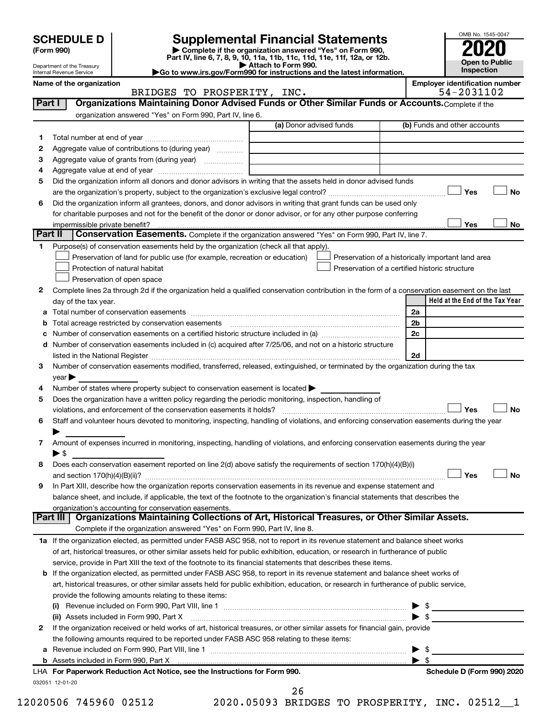SCHEDULE D<br>
Form 990)<br>
Part IV, line 6, 7, 8, 9, 10, 11a, 11b, 11c, 11d, 11e, 11f, 12a, or 12b.<br>
Part IV, line 6, 7, 8, 9, 10, 11a, 11b, 11c, 11d, 11e, 11f, 12a, or 12b.



Department of the Treasury Internal Revenue Service

| Attach to Form 990.                                                    |  |
|------------------------------------------------------------------------|--|
| Go to www.irs.gov/Form990 for instructions and the latest information. |  |

|         | Name of the organization<br>BRIDGES TO PROSPERITY, INC.                                                                                                                                                                        |                         |                         | <b>Employer identification number</b><br>54-2031102 |           |
|---------|--------------------------------------------------------------------------------------------------------------------------------------------------------------------------------------------------------------------------------|-------------------------|-------------------------|-----------------------------------------------------|-----------|
| Part I  | Organizations Maintaining Donor Advised Funds or Other Similar Funds or Accounts. Complete if the                                                                                                                              |                         |                         |                                                     |           |
|         | organization answered "Yes" on Form 990, Part IV, line 6.                                                                                                                                                                      |                         |                         |                                                     |           |
|         |                                                                                                                                                                                                                                | (a) Donor advised funds |                         | (b) Funds and other accounts                        |           |
| 1.      |                                                                                                                                                                                                                                |                         |                         |                                                     |           |
| 2       | Aggregate value of contributions to (during year)                                                                                                                                                                              |                         |                         |                                                     |           |
| з       |                                                                                                                                                                                                                                |                         |                         |                                                     |           |
| 4       |                                                                                                                                                                                                                                |                         |                         |                                                     |           |
| 5       | Did the organization inform all donors and donor advisors in writing that the assets held in donor advised funds                                                                                                               |                         |                         |                                                     |           |
|         |                                                                                                                                                                                                                                |                         |                         | Yes                                                 | No        |
| 6       | Did the organization inform all grantees, donors, and donor advisors in writing that grant funds can be used only                                                                                                              |                         |                         |                                                     |           |
|         | for charitable purposes and not for the benefit of the donor or donor advisor, or for any other purpose conferring                                                                                                             |                         |                         |                                                     |           |
|         | impermissible private benefit?                                                                                                                                                                                                 |                         |                         | Yes                                                 | No        |
| Part II | Conservation Easements. Complete if the organization answered "Yes" on Form 990, Part IV, line 7.                                                                                                                              |                         |                         |                                                     |           |
| 1       | Purpose(s) of conservation easements held by the organization (check all that apply).                                                                                                                                          |                         |                         |                                                     |           |
|         | Preservation of land for public use (for example, recreation or education)                                                                                                                                                     |                         |                         | Preservation of a historically important land area  |           |
|         | Protection of natural habitat                                                                                                                                                                                                  |                         |                         | Preservation of a certified historic structure      |           |
|         | Preservation of open space                                                                                                                                                                                                     |                         |                         |                                                     |           |
| 2       | Complete lines 2a through 2d if the organization held a qualified conservation contribution in the form of a conservation easement on the last                                                                                 |                         |                         |                                                     |           |
|         | day of the tax year.                                                                                                                                                                                                           |                         |                         | Held at the End of the Tax Year                     |           |
|         |                                                                                                                                                                                                                                |                         | 2a                      |                                                     |           |
| b       |                                                                                                                                                                                                                                |                         | 2b                      |                                                     |           |
| с       |                                                                                                                                                                                                                                |                         | 2c                      |                                                     |           |
|         | d Number of conservation easements included in (c) acquired after 7/25/06, and not on a historic structure                                                                                                                     |                         |                         |                                                     |           |
|         | listed in the National Register [111] [12] The Materian Control of the National Property of the National Register [11] [12] [12] The Material Australian Control of the National Register [11] [12] [12] The Material Australi |                         | 2d                      |                                                     |           |
| З       | Number of conservation easements modified, transferred, released, extinguished, or terminated by the organization during the tax                                                                                               |                         |                         |                                                     |           |
|         | year                                                                                                                                                                                                                           |                         |                         |                                                     |           |
| 4       | Number of states where property subject to conservation easement is located $\blacktriangleright$                                                                                                                              |                         |                         |                                                     |           |
| 5       | Does the organization have a written policy regarding the periodic monitoring, inspection, handling of                                                                                                                         |                         |                         |                                                     |           |
|         | violations, and enforcement of the conservation easements it holds?                                                                                                                                                            |                         |                         | Yes                                                 | <b>No</b> |
| 6       | Staff and volunteer hours devoted to monitoring, inspecting, handling of violations, and enforcing conservation easements during the year                                                                                      |                         |                         |                                                     |           |
|         |                                                                                                                                                                                                                                |                         |                         |                                                     |           |
| 7       | Amount of expenses incurred in monitoring, inspecting, handling of violations, and enforcing conservation easements during the year                                                                                            |                         |                         |                                                     |           |
|         | $\blacktriangleright$ \$                                                                                                                                                                                                       |                         |                         |                                                     |           |
| 8       | Does each conservation easement reported on line $2(d)$ above satisfy the requirements of section 170(h)(4)(B)(i)                                                                                                              |                         |                         |                                                     |           |
|         |                                                                                                                                                                                                                                |                         |                         | Yes                                                 | <b>No</b> |
|         | In Part XIII, describe how the organization reports conservation easements in its revenue and expense statement and                                                                                                            |                         |                         |                                                     |           |
|         | balance sheet, and include, if applicable, the text of the footnote to the organization's financial statements that describes the                                                                                              |                         |                         |                                                     |           |
|         | organization's accounting for conservation easements.                                                                                                                                                                          |                         |                         |                                                     |           |
|         | Organizations Maintaining Collections of Art, Historical Treasures, or Other Similar Assets.<br>Part III                                                                                                                       |                         |                         |                                                     |           |
|         | Complete if the organization answered "Yes" on Form 990, Part IV, line 8.                                                                                                                                                      |                         |                         |                                                     |           |
|         | 1a If the organization elected, as permitted under FASB ASC 958, not to report in its revenue statement and balance sheet works                                                                                                |                         |                         |                                                     |           |
|         | of art, historical treasures, or other similar assets held for public exhibition, education, or research in furtherance of public                                                                                              |                         |                         |                                                     |           |
|         | service, provide in Part XIII the text of the footnote to its financial statements that describes these items.                                                                                                                 |                         |                         |                                                     |           |
|         | <b>b</b> If the organization elected, as permitted under FASB ASC 958, to report in its revenue statement and balance sheet works of                                                                                           |                         |                         |                                                     |           |
|         | art, historical treasures, or other similar assets held for public exhibition, education, or research in furtherance of public service,                                                                                        |                         |                         |                                                     |           |
|         | provide the following amounts relating to these items:                                                                                                                                                                         |                         |                         |                                                     |           |
|         |                                                                                                                                                                                                                                |                         |                         | $\blacktriangleright$ \$                            |           |
|         | (ii) Assets included in Form 990, Part X                                                                                                                                                                                       |                         |                         | $\blacktriangleright$ \$                            |           |
| 2       | If the organization received or held works of art, historical treasures, or other similar assets for financial gain, provide                                                                                                   |                         |                         |                                                     |           |
|         | the following amounts required to be reported under FASB ASC 958 relating to these items:                                                                                                                                      |                         |                         |                                                     |           |
| а       |                                                                                                                                                                                                                                |                         | $\blacktriangleright$ s |                                                     |           |
|         |                                                                                                                                                                                                                                |                         | $\blacktriangleright$ s |                                                     |           |
|         | LHA For Paperwork Reduction Act Notice, see the Instructions for Form 990.                                                                                                                                                     |                         |                         | Schedule D (Form 990) 2020                          |           |
|         | 032051 12-01-20                                                                                                                                                                                                                |                         |                         |                                                     |           |

12020506 745960 02512 2020.05093 BRIDGES TO PROSPERITY, INC. 02512\_\_1

26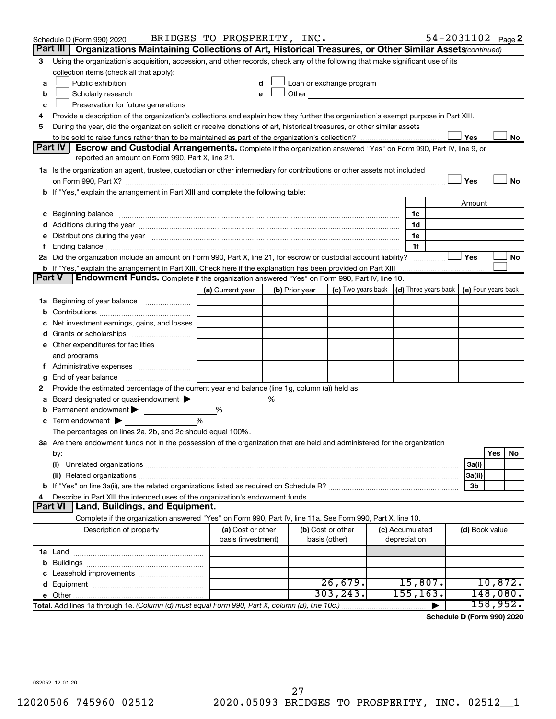|               | Schedule D (Form 990) 2020                                                                                                                                                                                                     | BRIDGES TO PROSPERITY, INC.             |   |                |                                                                                                                                                                                                                               |                                 | 54-2031102 Page 2                            |          |    |
|---------------|--------------------------------------------------------------------------------------------------------------------------------------------------------------------------------------------------------------------------------|-----------------------------------------|---|----------------|-------------------------------------------------------------------------------------------------------------------------------------------------------------------------------------------------------------------------------|---------------------------------|----------------------------------------------|----------|----|
|               | Organizations Maintaining Collections of Art, Historical Treasures, or Other Similar Assets (continued)<br>Part III                                                                                                            |                                         |   |                |                                                                                                                                                                                                                               |                                 |                                              |          |    |
| з             | Using the organization's acquisition, accession, and other records, check any of the following that make significant use of its                                                                                                |                                         |   |                |                                                                                                                                                                                                                               |                                 |                                              |          |    |
|               | collection items (check all that apply):                                                                                                                                                                                       |                                         |   |                |                                                                                                                                                                                                                               |                                 |                                              |          |    |
| a             | Public exhibition                                                                                                                                                                                                              |                                         | d |                | Loan or exchange program                                                                                                                                                                                                      |                                 |                                              |          |    |
| b             | Scholarly research                                                                                                                                                                                                             |                                         | е |                | Other and the contract of the contract of the contract of the contract of the contract of the contract of the contract of the contract of the contract of the contract of the contract of the contract of the contract of the |                                 |                                              |          |    |
| c             | Preservation for future generations                                                                                                                                                                                            |                                         |   |                |                                                                                                                                                                                                                               |                                 |                                              |          |    |
| 4             | Provide a description of the organization's collections and explain how they further the organization's exempt purpose in Part XIII.                                                                                           |                                         |   |                |                                                                                                                                                                                                                               |                                 |                                              |          |    |
| 5             | During the year, did the organization solicit or receive donations of art, historical treasures, or other similar assets                                                                                                       |                                         |   |                |                                                                                                                                                                                                                               |                                 |                                              |          |    |
|               |                                                                                                                                                                                                                                |                                         |   |                |                                                                                                                                                                                                                               |                                 | Yes                                          |          | No |
|               | Part IV<br><b>Escrow and Custodial Arrangements.</b> Complete if the organization answered "Yes" on Form 990, Part IV, line 9, or                                                                                              |                                         |   |                |                                                                                                                                                                                                                               |                                 |                                              |          |    |
|               | reported an amount on Form 990, Part X, line 21.                                                                                                                                                                               |                                         |   |                |                                                                                                                                                                                                                               |                                 |                                              |          |    |
|               | 1a Is the organization an agent, trustee, custodian or other intermediary for contributions or other assets not included                                                                                                       |                                         |   |                |                                                                                                                                                                                                                               |                                 |                                              |          |    |
|               |                                                                                                                                                                                                                                |                                         |   |                |                                                                                                                                                                                                                               |                                 | Yes                                          |          | No |
|               | b If "Yes," explain the arrangement in Part XIII and complete the following table:                                                                                                                                             |                                         |   |                |                                                                                                                                                                                                                               |                                 |                                              |          |    |
|               |                                                                                                                                                                                                                                |                                         |   |                |                                                                                                                                                                                                                               |                                 | Amount                                       |          |    |
|               | c Beginning balance measurements and the contract of the contract of the contract of the contract of the contract of the contract of the contract of the contract of the contract of the contract of the contract of the contr |                                         |   |                |                                                                                                                                                                                                                               | 1c                              |                                              |          |    |
|               |                                                                                                                                                                                                                                |                                         |   |                |                                                                                                                                                                                                                               | 1d                              |                                              |          |    |
| е             | Distributions during the year manufactured and an account of the year manufactured and the year manufactured and the year manufactured and the year manufactured and the year manufactured and the year manufactured and the y |                                         |   |                |                                                                                                                                                                                                                               | 1e                              |                                              |          |    |
| Ť.            |                                                                                                                                                                                                                                |                                         |   |                |                                                                                                                                                                                                                               | 1f                              |                                              |          |    |
|               | 2a Did the organization include an amount on Form 990, Part X, line 21, for escrow or custodial account liability?                                                                                                             |                                         |   |                |                                                                                                                                                                                                                               |                                 | <b>Yes</b>                                   |          | No |
|               | <b>b</b> If "Yes," explain the arrangement in Part XIII. Check here if the explanation has been provided on Part XIII                                                                                                          |                                         |   |                |                                                                                                                                                                                                                               |                                 |                                              |          |    |
| <b>Part V</b> | Endowment Funds. Complete if the organization answered "Yes" on Form 990, Part IV, line 10.                                                                                                                                    |                                         |   |                |                                                                                                                                                                                                                               |                                 |                                              |          |    |
|               |                                                                                                                                                                                                                                | (a) Current year                        |   | (b) Prior year | (c) Two years back                                                                                                                                                                                                            |                                 | (d) Three years back $ $ (e) Four years back |          |    |
|               | 1a Beginning of year balance                                                                                                                                                                                                   |                                         |   |                |                                                                                                                                                                                                                               |                                 |                                              |          |    |
| b             |                                                                                                                                                                                                                                |                                         |   |                |                                                                                                                                                                                                                               |                                 |                                              |          |    |
| с             | Net investment earnings, gains, and losses                                                                                                                                                                                     |                                         |   |                |                                                                                                                                                                                                                               |                                 |                                              |          |    |
| d             | Grants or scholarships                                                                                                                                                                                                         |                                         |   |                |                                                                                                                                                                                                                               |                                 |                                              |          |    |
|               | e Other expenditures for facilities                                                                                                                                                                                            |                                         |   |                |                                                                                                                                                                                                                               |                                 |                                              |          |    |
|               | and programs                                                                                                                                                                                                                   |                                         |   |                |                                                                                                                                                                                                                               |                                 |                                              |          |    |
|               | f Administrative expenses                                                                                                                                                                                                      |                                         |   |                |                                                                                                                                                                                                                               |                                 |                                              |          |    |
| g             |                                                                                                                                                                                                                                |                                         |   |                |                                                                                                                                                                                                                               |                                 |                                              |          |    |
| 2             | Provide the estimated percentage of the current year end balance (line 1g, column (a)) held as:                                                                                                                                |                                         |   |                |                                                                                                                                                                                                                               |                                 |                                              |          |    |
| а             | Board designated or quasi-endowment                                                                                                                                                                                            |                                         | % |                |                                                                                                                                                                                                                               |                                 |                                              |          |    |
| b             | Permanent endowment                                                                                                                                                                                                            | %                                       |   |                |                                                                                                                                                                                                                               |                                 |                                              |          |    |
| c             | Term endowment $\blacktriangleright$                                                                                                                                                                                           | %                                       |   |                |                                                                                                                                                                                                                               |                                 |                                              |          |    |
|               | The percentages on lines 2a, 2b, and 2c should equal 100%.                                                                                                                                                                     |                                         |   |                |                                                                                                                                                                                                                               |                                 |                                              |          |    |
|               | 3a Are there endowment funds not in the possession of the organization that are held and administered for the organization                                                                                                     |                                         |   |                |                                                                                                                                                                                                                               |                                 |                                              |          |    |
|               | by:                                                                                                                                                                                                                            |                                         |   |                |                                                                                                                                                                                                                               |                                 |                                              | Yes      | No |
|               | (i)                                                                                                                                                                                                                            |                                         |   |                |                                                                                                                                                                                                                               |                                 | 3a(i)                                        |          |    |
|               |                                                                                                                                                                                                                                |                                         |   |                |                                                                                                                                                                                                                               |                                 | 3a(ii)                                       |          |    |
|               |                                                                                                                                                                                                                                |                                         |   |                |                                                                                                                                                                                                                               |                                 | 3b                                           |          |    |
| 4             | Describe in Part XIII the intended uses of the organization's endowment funds.                                                                                                                                                 |                                         |   |                |                                                                                                                                                                                                                               |                                 |                                              |          |    |
|               | Land, Buildings, and Equipment.<br><b>Part VI</b>                                                                                                                                                                              |                                         |   |                |                                                                                                                                                                                                                               |                                 |                                              |          |    |
|               | Complete if the organization answered "Yes" on Form 990, Part IV, line 11a. See Form 990, Part X, line 10.                                                                                                                     |                                         |   |                |                                                                                                                                                                                                                               |                                 |                                              |          |    |
|               | Description of property                                                                                                                                                                                                        | (a) Cost or other<br>basis (investment) |   |                | (b) Cost or other<br>basis (other)                                                                                                                                                                                            | (c) Accumulated<br>depreciation | (d) Book value                               |          |    |
|               |                                                                                                                                                                                                                                |                                         |   |                |                                                                                                                                                                                                                               |                                 |                                              |          |    |
| b             |                                                                                                                                                                                                                                |                                         |   |                |                                                                                                                                                                                                                               |                                 |                                              |          |    |
|               |                                                                                                                                                                                                                                |                                         |   |                |                                                                                                                                                                                                                               |                                 |                                              |          |    |
|               |                                                                                                                                                                                                                                |                                         |   |                | 26,679.                                                                                                                                                                                                                       | 15,807.                         |                                              | 10,872.  |    |
|               |                                                                                                                                                                                                                                |                                         |   |                | 303, 243.                                                                                                                                                                                                                     | 155, 163.                       |                                              | 148,080. |    |
|               | Total. Add lines 1a through 1e. (Column (d) must equal Form 990, Part X, column (B), line 10c.)                                                                                                                                |                                         |   |                |                                                                                                                                                                                                                               |                                 |                                              | 158,952. |    |
|               |                                                                                                                                                                                                                                |                                         |   |                |                                                                                                                                                                                                                               |                                 |                                              |          |    |

**Schedule D (Form 990) 2020**

032052 12-01-20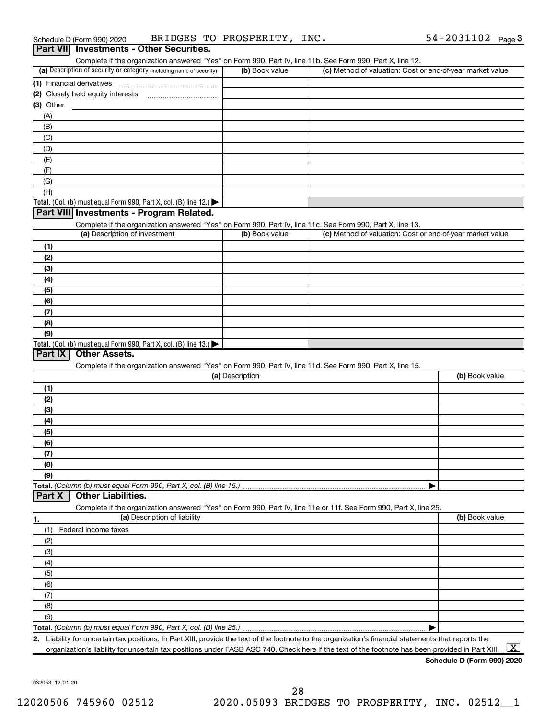| Schedule D (Form 990) 2020                      | BRIDGES TO PROSPERITY, | INC. | $54 - 2031102$ Page 3 |  |
|-------------------------------------------------|------------------------|------|-----------------------|--|
| <b>Part VII</b> Investments - Other Securities. |                        |      |                       |  |

| Complete if the organization answered "Yes" on Form 990, Part IV, line 11b. See Form 990, Part X, line 12.                                        |                 |                                                           |                |
|---------------------------------------------------------------------------------------------------------------------------------------------------|-----------------|-----------------------------------------------------------|----------------|
| (a) Description of security or category (including name of security)                                                                              | (b) Book value  | (c) Method of valuation: Cost or end-of-year market value |                |
|                                                                                                                                                   |                 |                                                           |                |
| (2)                                                                                                                                               |                 |                                                           |                |
| (3) Other                                                                                                                                         |                 |                                                           |                |
| (A)                                                                                                                                               |                 |                                                           |                |
| (B)                                                                                                                                               |                 |                                                           |                |
| (C)                                                                                                                                               |                 |                                                           |                |
| (D)                                                                                                                                               |                 |                                                           |                |
| (E)                                                                                                                                               |                 |                                                           |                |
|                                                                                                                                                   |                 |                                                           |                |
| (F)                                                                                                                                               |                 |                                                           |                |
| (G)                                                                                                                                               |                 |                                                           |                |
| (H)                                                                                                                                               |                 |                                                           |                |
| Total. (Col. (b) must equal Form 990, Part X, col. (B) line 12.) $\blacktriangleright$                                                            |                 |                                                           |                |
| Part VIII Investments - Program Related.                                                                                                          |                 |                                                           |                |
| Complete if the organization answered "Yes" on Form 990, Part IV, line 11c. See Form 990, Part X, line 13.                                        |                 |                                                           |                |
| (a) Description of investment                                                                                                                     | (b) Book value  | (c) Method of valuation: Cost or end-of-year market value |                |
| (1)                                                                                                                                               |                 |                                                           |                |
| (2)                                                                                                                                               |                 |                                                           |                |
| (3)                                                                                                                                               |                 |                                                           |                |
| (4)                                                                                                                                               |                 |                                                           |                |
| (5)                                                                                                                                               |                 |                                                           |                |
| (6)                                                                                                                                               |                 |                                                           |                |
| (7)                                                                                                                                               |                 |                                                           |                |
| (8)                                                                                                                                               |                 |                                                           |                |
| (9)                                                                                                                                               |                 |                                                           |                |
| Total. (Col. (b) must equal Form 990, Part X, col. (B) line 13.)                                                                                  |                 |                                                           |                |
|                                                                                                                                                   |                 |                                                           |                |
|                                                                                                                                                   |                 |                                                           |                |
| Part IX<br><b>Other Assets.</b>                                                                                                                   |                 |                                                           |                |
| Complete if the organization answered "Yes" on Form 990, Part IV, line 11d. See Form 990, Part X, line 15.                                        |                 |                                                           |                |
|                                                                                                                                                   | (a) Description |                                                           | (b) Book value |
| (1)                                                                                                                                               |                 |                                                           |                |
| (2)                                                                                                                                               |                 |                                                           |                |
| (3)                                                                                                                                               |                 |                                                           |                |
| (4)                                                                                                                                               |                 |                                                           |                |
| (5)                                                                                                                                               |                 |                                                           |                |
| (6)                                                                                                                                               |                 |                                                           |                |
| (7)                                                                                                                                               |                 |                                                           |                |
| (8)                                                                                                                                               |                 |                                                           |                |
| (9)                                                                                                                                               |                 |                                                           |                |
|                                                                                                                                                   |                 |                                                           |                |
| <b>Other Liabilities.</b><br>Part X                                                                                                               |                 |                                                           |                |
|                                                                                                                                                   |                 |                                                           |                |
| Complete if the organization answered "Yes" on Form 990, Part IV, line 11e or 11f. See Form 990, Part X, line 25.<br>(a) Description of liability |                 |                                                           | (b) Book value |
| 1.                                                                                                                                                |                 |                                                           |                |
| (1)<br>Federal income taxes                                                                                                                       |                 |                                                           |                |
| (2)                                                                                                                                               |                 |                                                           |                |
| (3)                                                                                                                                               |                 |                                                           |                |
| (4)                                                                                                                                               |                 |                                                           |                |
| (5)                                                                                                                                               |                 |                                                           |                |
| (6)                                                                                                                                               |                 |                                                           |                |
| (7)                                                                                                                                               |                 |                                                           |                |
| (8)                                                                                                                                               |                 |                                                           |                |
| (9)                                                                                                                                               |                 |                                                           |                |
|                                                                                                                                                   |                 |                                                           |                |

**2.** llity for uncertain tax positions. In Part XIII, provide the text of the footnote to the organization's financial statements that reports the organization's liability for uncertain tax positions under FASB ASC 740. Check here if the text of the footnote has been provided in Part XIII ...  $\fbox{\bf X}$ 

**Schedule D (Form 990) 2020**

032053 12-01-20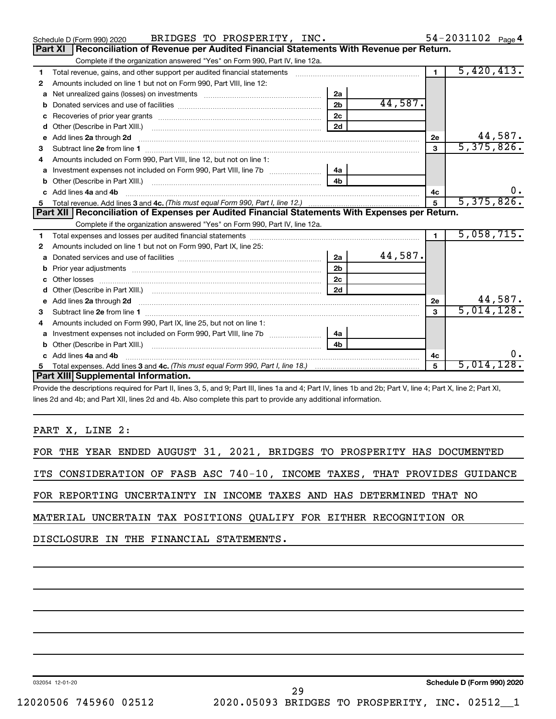|    | BRIDGES TO PROSPERITY, INC.<br>Schedule D (Form 990) 2020                                                                                                                                                                           |                |         |                | 54-2031102 Page 4 |
|----|-------------------------------------------------------------------------------------------------------------------------------------------------------------------------------------------------------------------------------------|----------------|---------|----------------|-------------------|
|    | Reconciliation of Revenue per Audited Financial Statements With Revenue per Return.<br><b>Part XI</b>                                                                                                                               |                |         |                |                   |
|    | Complete if the organization answered "Yes" on Form 990, Part IV, line 12a.                                                                                                                                                         |                |         |                |                   |
| 1. | Total revenue, gains, and other support per audited financial statements [[[[[[[[[[[[[[[[[[[[[[[[]]]]]]]]]]]]                                                                                                                       |                |         | $\blacksquare$ | 5,420,413.        |
| 2  | Amounts included on line 1 but not on Form 990, Part VIII, line 12:                                                                                                                                                                 |                |         |                |                   |
|    |                                                                                                                                                                                                                                     | 2a             |         |                |                   |
| b  |                                                                                                                                                                                                                                     | 2 <sub>b</sub> | 44,587. |                |                   |
| c  |                                                                                                                                                                                                                                     | 2c             |         |                |                   |
| d  | Other (Describe in Part XIII.) [100] [100] [100] [100] [100] [100] [100] [100] [100] [100] [100] [100] [100] [                                                                                                                      | 2d             |         |                |                   |
| e  | Add lines 2a through 2d <b>continuum continuum contracts</b> and an analysis of the contract of the contract of the contract of the contract of the contract of the contract of the contract of the contract of the contract of the |                |         | 2e             | 44,587.           |
| 3  |                                                                                                                                                                                                                                     |                |         | 3              | 5,375,826.        |
| 4  | Amounts included on Form 990. Part VIII. line 12, but not on line 1:                                                                                                                                                                |                |         |                |                   |
|    |                                                                                                                                                                                                                                     | 4a             |         |                |                   |
|    |                                                                                                                                                                                                                                     | 4h             |         |                |                   |
| c  | Add lines 4a and 4b                                                                                                                                                                                                                 |                |         | 4c             | υ.                |
| 5. |                                                                                                                                                                                                                                     |                |         | $\overline{5}$ | 5,375,826.        |
|    |                                                                                                                                                                                                                                     |                |         |                |                   |
|    | Part XII   Reconciliation of Expenses per Audited Financial Statements With Expenses per Return.                                                                                                                                    |                |         |                |                   |
|    | Complete if the organization answered "Yes" on Form 990, Part IV, line 12a.                                                                                                                                                         |                |         |                |                   |
| 1. |                                                                                                                                                                                                                                     |                |         | $\mathbf{1}$   | 5,058,715.        |
| 2  | Amounts included on line 1 but not on Form 990, Part IX, line 25:                                                                                                                                                                   |                |         |                |                   |
| a  |                                                                                                                                                                                                                                     | 2a             | 44,587. |                |                   |
|    | b Prior year adjustments [111] manufactured and prior year adjustments [11] manufactured and prior year adjustments                                                                                                                 | 2 <sub>b</sub> |         |                |                   |
| с  |                                                                                                                                                                                                                                     | 2 <sub>c</sub> |         |                |                   |
| d  |                                                                                                                                                                                                                                     | 2d             |         |                |                   |
|    | Add lines 2a through 2d <b>contained a contained a contained a contained a</b> contained a contained a contained a contained a contained a contained a contained a contained a contained a contained a contained a contained a cont |                |         | 2e             | 44,587.           |
| 3  |                                                                                                                                                                                                                                     |                |         | 3              | 5,014,128.        |
| 4  | Amounts included on Form 990, Part IX, line 25, but not on line 1:                                                                                                                                                                  |                |         |                |                   |
| a  |                                                                                                                                                                                                                                     | 4a             |         |                |                   |
|    |                                                                                                                                                                                                                                     | 4b             |         |                |                   |
| C. | Add lines 4a and 4b                                                                                                                                                                                                                 |                |         | 4c             | 0.                |
|    | Part XIII Supplemental Information.                                                                                                                                                                                                 |                |         | 5              | 5,014,128.        |

Provide the descriptions required for Part II, lines 3, 5, and 9; Part III, lines 1a and 4; Part IV, lines 1b and 2b; Part V, line 4; Part X, line 2; Part XI, lines 2d and 4b; and Part XII, lines 2d and 4b. Also complete this part to provide any additional information.

PART X, LINE 2:

|  |  |  |  |  |  |  |  |  |  |  | FOR THE YEAR ENDED AUGUST 31, 2021, BRIDGES TO PROSPERITY HAS DOCUMENTED |
|--|--|--|--|--|--|--|--|--|--|--|--------------------------------------------------------------------------|
|--|--|--|--|--|--|--|--|--|--|--|--------------------------------------------------------------------------|

ITS CONSIDERATION OF FASB ASC 740-10, INCOME TAXES, THAT PROVIDES GUIDANCE

FOR REPORTING UNCERTAINTY IN INCOME TAXES AND HAS DETERMINED THAT NO

MATERIAL UNCERTAIN TAX POSITIONS QUALIFY FOR EITHER RECOGNITION OR

DISCLOSURE IN THE FINANCIAL STATEMENTS.

032054 12-01-20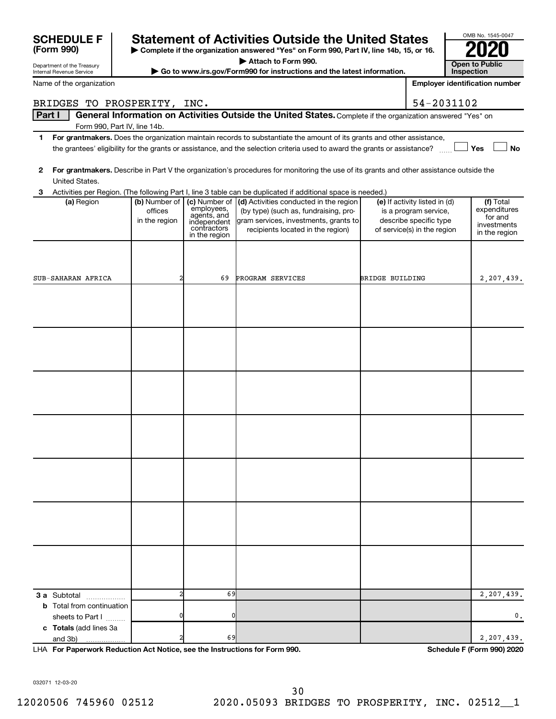| Department of the Treasury<br>Internal Revenue Service |                          |                              | Go to www.irs.gov/Form990 for instructions and the latest information.                                                                  |                 |                                                        | <b>Open to Public</b><br>Inspection   |
|--------------------------------------------------------|--------------------------|------------------------------|-----------------------------------------------------------------------------------------------------------------------------------------|-----------------|--------------------------------------------------------|---------------------------------------|
| Name of the organization                               |                          |                              |                                                                                                                                         |                 |                                                        | <b>Employer identification number</b> |
| BRIDGES TO PROSPERITY, INC.                            |                          |                              |                                                                                                                                         |                 | 54-2031102                                             |                                       |
| Part I                                                 |                          |                              | General Information on Activities Outside the United States. Complete if the organization answered "Yes" on                             |                 |                                                        |                                       |
| Form 990, Part IV, line 14b.                           |                          |                              |                                                                                                                                         |                 |                                                        |                                       |
| 1.                                                     |                          |                              | For grantmakers. Does the organization maintain records to substantiate the amount of its grants and other assistance,                  |                 |                                                        |                                       |
|                                                        |                          |                              | the grantees' eligibility for the grants or assistance, and the selection criteria used to award the grants or assistance?              |                 |                                                        | <b>No</b><br><b>Nes</b>               |
| 2                                                      |                          |                              | For grantmakers. Describe in Part V the organization's procedures for monitoring the use of its grants and other assistance outside the |                 |                                                        |                                       |
| United States.                                         |                          |                              |                                                                                                                                         |                 |                                                        |                                       |
| 3                                                      |                          |                              | Activities per Region. (The following Part I, line 3 table can be duplicated if additional space is needed.)                            |                 |                                                        |                                       |
| (a) Region                                             | (b) Number of<br>offices | (c) Number of<br>employees,  | (d) Activities conducted in the region<br>(by type) (such as, fundraising, pro-                                                         |                 | (e) If activity listed in (d)<br>is a program service, | (f) Total<br>expenditures             |
|                                                        | in the region            | agents, and<br>independent   | gram services, investments, grants to                                                                                                   |                 | describe specific type                                 | for and<br>investments                |
|                                                        |                          | contractors<br>in the region | recipients located in the region)                                                                                                       |                 | of service(s) in the region                            | in the region                         |
|                                                        |                          |                              |                                                                                                                                         |                 |                                                        |                                       |
|                                                        |                          |                              |                                                                                                                                         |                 |                                                        |                                       |
| SUB-SAHARAN AFRICA                                     |                          | 69                           | PROGRAM SERVICES                                                                                                                        | BRIDGE BUILDING |                                                        | 2,207,439.                            |
|                                                        |                          |                              |                                                                                                                                         |                 |                                                        |                                       |
|                                                        |                          |                              |                                                                                                                                         |                 |                                                        |                                       |
|                                                        |                          |                              |                                                                                                                                         |                 |                                                        |                                       |
|                                                        |                          |                              |                                                                                                                                         |                 |                                                        |                                       |
|                                                        |                          |                              |                                                                                                                                         |                 |                                                        |                                       |
|                                                        |                          |                              |                                                                                                                                         |                 |                                                        |                                       |
|                                                        |                          |                              |                                                                                                                                         |                 |                                                        |                                       |
|                                                        |                          |                              |                                                                                                                                         |                 |                                                        |                                       |
|                                                        |                          |                              |                                                                                                                                         |                 |                                                        |                                       |
|                                                        |                          |                              |                                                                                                                                         |                 |                                                        |                                       |
|                                                        |                          |                              |                                                                                                                                         |                 |                                                        |                                       |
|                                                        |                          |                              |                                                                                                                                         |                 |                                                        |                                       |
|                                                        |                          |                              |                                                                                                                                         |                 |                                                        |                                       |
|                                                        |                          |                              |                                                                                                                                         |                 |                                                        |                                       |
|                                                        |                          |                              |                                                                                                                                         |                 |                                                        |                                       |
|                                                        |                          |                              |                                                                                                                                         |                 |                                                        |                                       |
|                                                        |                          |                              |                                                                                                                                         |                 |                                                        |                                       |
|                                                        |                          |                              |                                                                                                                                         |                 |                                                        |                                       |
|                                                        |                          |                              |                                                                                                                                         |                 |                                                        |                                       |
|                                                        |                          |                              |                                                                                                                                         |                 |                                                        |                                       |
|                                                        |                          |                              |                                                                                                                                         |                 |                                                        |                                       |
|                                                        |                          |                              |                                                                                                                                         |                 |                                                        |                                       |
|                                                        |                          |                              |                                                                                                                                         |                 |                                                        |                                       |
| 3 a Subtotal                                           |                          | 69                           |                                                                                                                                         |                 |                                                        | 2,207,439.                            |
| <b>b</b> Total from continuation                       |                          |                              |                                                                                                                                         |                 |                                                        |                                       |
| sheets to Part I                                       |                          | 0                            |                                                                                                                                         |                 |                                                        | 0.                                    |
| c Totals (add lines 3a<br>and 3b)                      |                          | 69                           |                                                                                                                                         |                 |                                                        | 2,207,439.                            |
|                                                        |                          |                              |                                                                                                                                         |                 |                                                        |                                       |

**| Complete if the organization answered "Yes" on Form 990, Part IV, line 14b, 15, or 16. | Attach to Form 990.**

**SCHEDULE F Statement of Activities Outside the United States 2020**

**For Paperwork Reduction Act Notice, see the Instructions for Form 990. Schedule F (Form 990) 2020** LHA

OMB No. 1545-0047

**Open to Public** 

032071 12-03-20

**(Form 990)**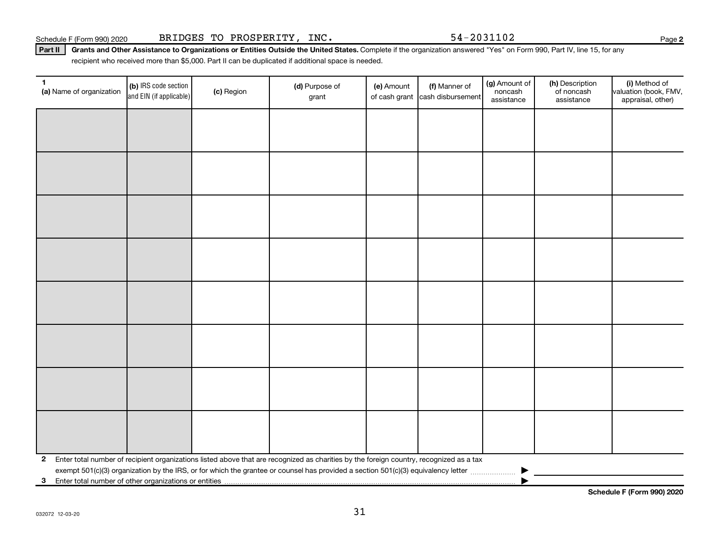Part II | Grants and Other Assistance to Organizations or Entities Outside the United States. Complete if the organization answered "Yes" on Form 990, Part IV, line 15, for any recipient who received more than \$5,000. Part II can be duplicated if additional space is needed.

| $\mathbf{1}$<br>(a) Name of organization | (b) IRS code section<br>and EIN (if applicable)                                                                                         | (c) Region | (d) Purpose of<br>grant | (e) Amount | (f) Manner of<br>of cash grant cash disbursement | (g) Amount of<br>noncash<br>assistance | (h) Description<br>of noncash<br>assistance | (i) Method of<br>valuation (book, FMV,<br>appraisal, other) |  |  |
|------------------------------------------|-----------------------------------------------------------------------------------------------------------------------------------------|------------|-------------------------|------------|--------------------------------------------------|----------------------------------------|---------------------------------------------|-------------------------------------------------------------|--|--|
|                                          |                                                                                                                                         |            |                         |            |                                                  |                                        |                                             |                                                             |  |  |
|                                          |                                                                                                                                         |            |                         |            |                                                  |                                        |                                             |                                                             |  |  |
|                                          |                                                                                                                                         |            |                         |            |                                                  |                                        |                                             |                                                             |  |  |
|                                          |                                                                                                                                         |            |                         |            |                                                  |                                        |                                             |                                                             |  |  |
|                                          |                                                                                                                                         |            |                         |            |                                                  |                                        |                                             |                                                             |  |  |
|                                          |                                                                                                                                         |            |                         |            |                                                  |                                        |                                             |                                                             |  |  |
|                                          |                                                                                                                                         |            |                         |            |                                                  |                                        |                                             |                                                             |  |  |
|                                          |                                                                                                                                         |            |                         |            |                                                  |                                        |                                             |                                                             |  |  |
|                                          |                                                                                                                                         |            |                         |            |                                                  |                                        |                                             |                                                             |  |  |
|                                          |                                                                                                                                         |            |                         |            |                                                  |                                        |                                             |                                                             |  |  |
|                                          |                                                                                                                                         |            |                         |            |                                                  |                                        |                                             |                                                             |  |  |
|                                          |                                                                                                                                         |            |                         |            |                                                  |                                        |                                             |                                                             |  |  |
|                                          |                                                                                                                                         |            |                         |            |                                                  |                                        |                                             |                                                             |  |  |
|                                          |                                                                                                                                         |            |                         |            |                                                  |                                        |                                             |                                                             |  |  |
|                                          |                                                                                                                                         |            |                         |            |                                                  |                                        |                                             |                                                             |  |  |
|                                          |                                                                                                                                         |            |                         |            |                                                  |                                        |                                             |                                                             |  |  |
| $\mathbf{2}$                             | Enter total number of recipient organizations listed above that are recognized as charities by the foreign country, recognized as a tax |            |                         |            |                                                  |                                        |                                             |                                                             |  |  |
| 3                                        | Enter total number of other organizations or entities                                                                                   |            |                         |            |                                                  |                                        |                                             |                                                             |  |  |

**Schedule F (Form 990) 2020**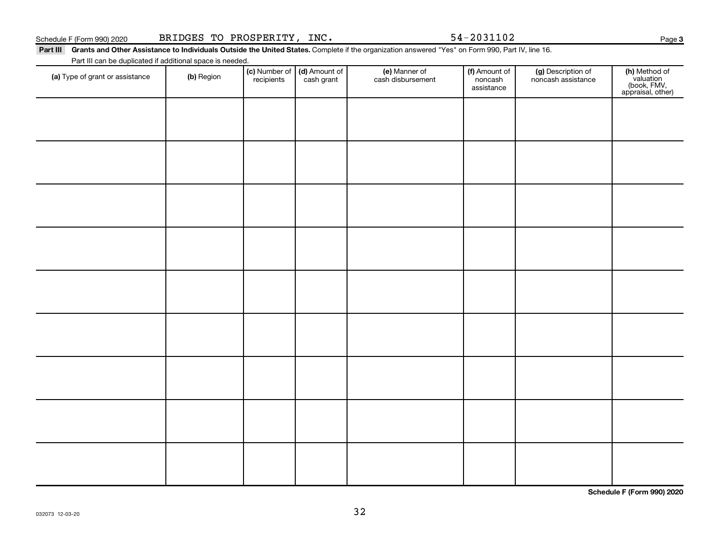|  |  | dooloidilue | appraisal, other)          |
|--|--|-------------|----------------------------|
|  |  |             |                            |
|  |  |             |                            |
|  |  |             |                            |
|  |  |             |                            |
|  |  |             |                            |
|  |  |             |                            |
|  |  |             |                            |
|  |  |             |                            |
|  |  |             |                            |
|  |  |             |                            |
|  |  |             |                            |
|  |  |             |                            |
|  |  |             |                            |
|  |  |             |                            |
|  |  |             |                            |
|  |  |             |                            |
|  |  |             |                            |
|  |  |             |                            |
|  |  |             |                            |
|  |  |             |                            |
|  |  |             |                            |
|  |  |             |                            |
|  |  |             |                            |
|  |  |             |                            |
|  |  |             |                            |
|  |  |             |                            |
|  |  |             | Schedule F (Form 990) 2020 |

Schedule F (Form 990) 2020 BRIDGES TO PROSPERITY, INC. 54-2031102

Part III Grants and Other Assistance to Individuals Outside the United States. Complete if the organization answered "Yes" on Form 990, Part IV, line 16.

**recipients** 

(a) Type of grant or assistance (b) Region (b) Region (c) Number of (d) Amount of (e) Manner of (f) Amount of (f)<br>Region (cash grant cash dishursement popcash noncash assistance v

(e) Manner of cash disbursement

(d) Amount of cash grant

Part III can be duplicated if additional space is needed. (c) Number of

(f) Amount of noncash assistance

(g) Description of noncash assistance **3**

**h)** Method of<br>valuation<br>(book, FMV,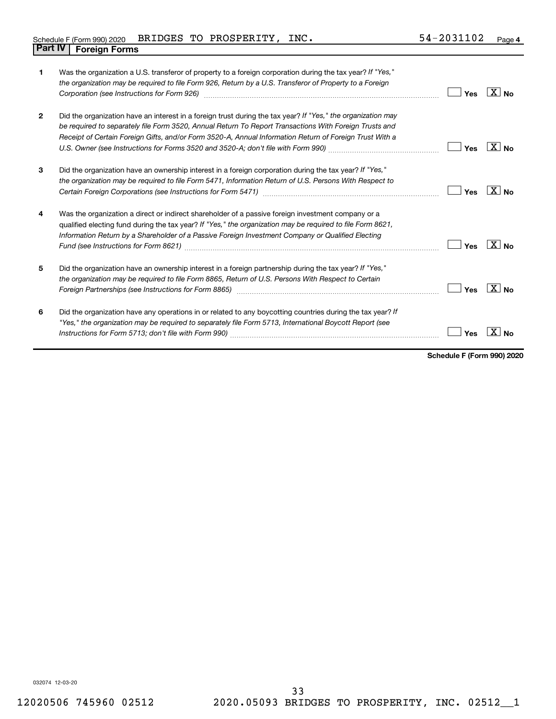| Schedule F (Form 990) 2020     | BRIDGES TO PROSPERITY, | INC. | 54-2031102 | Page 4 |
|--------------------------------|------------------------|------|------------|--------|
| <b>Part IV   Foreign Forms</b> |                        |      |            |        |

| 1              | Was the organization a U.S. transferor of property to a foreign corporation during the tax year? If "Yes,"<br>the organization may be required to file Form 926, Return by a U.S. Transferor of Property to a Foreign<br>Corporation (see Instructions for Form 926) manufactured controller controller to the control of the control of | Yes | $X $ No           |
|----------------|------------------------------------------------------------------------------------------------------------------------------------------------------------------------------------------------------------------------------------------------------------------------------------------------------------------------------------------|-----|-------------------|
| $\overline{2}$ | Did the organization have an interest in a foreign trust during the tax year? If "Yes," the organization may<br>be required to separately file Form 3520, Annual Return To Report Transactions With Foreign Trusts and<br>Receipt of Certain Foreign Gifts, and/or Form 3520-A, Annual Information Return of Foreign Trust With a        | Yes | $X _{N_{\Omega}}$ |
| 3              | Did the organization have an ownership interest in a foreign corporation during the tax year? If "Yes,"<br>the organization may be required to file Form 5471, Information Return of U.S. Persons With Respect to                                                                                                                        | Yes | $X $ No           |
| 4              | Was the organization a direct or indirect shareholder of a passive foreign investment company or a<br>qualified electing fund during the tax year? If "Yes," the organization may be required to file Form 8621,<br>Information Return by a Shareholder of a Passive Foreign Investment Company or Qualified Electing                    | Yes | $\overline{X}$ No |
| 5              | Did the organization have an ownership interest in a foreign partnership during the tax year? If "Yes,"<br>the organization may be required to file Form 8865, Return of U.S. Persons With Respect to Certain                                                                                                                            | Yes | $\overline{X}$ No |
| 6              | Did the organization have any operations in or related to any boycotting countries during the tax year? If<br>"Yes," the organization may be required to separately file Form 5713, International Boycott Report (see                                                                                                                    | Yes | <b>No</b>         |

**Schedule F (Form 990) 2020**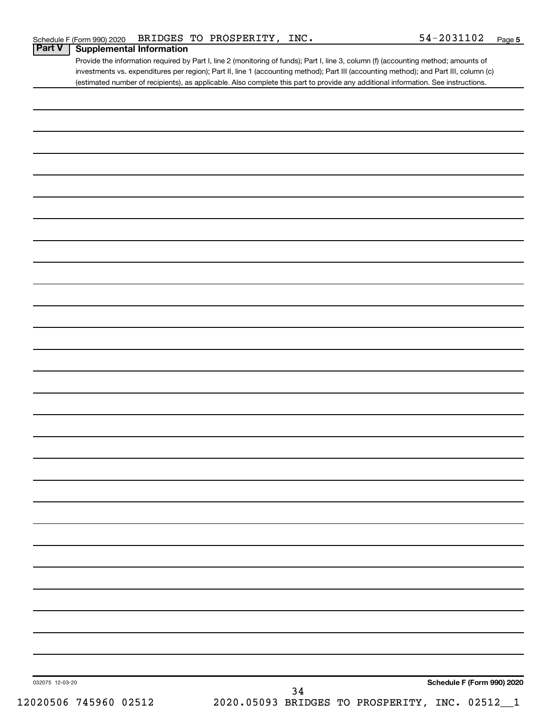Provide the information required by Part I, line 2 (monitoring of funds); Part I, line 3, column (f) (accounting method; amounts of investments vs. expenditures per region); Part II, line 1 (accounting method); Part III (accounting method); and Part III, column (c) (estimated number of recipients), as applicable. Also complete this part to provide any additional information. See instructions.

| 032075 12-03-20 |  | Schedule F (Form 990) 2020<br>34<br>2020.05093 BRIDGES TO PROSPERITY, INC. 02512_1 |
|-----------------|--|------------------------------------------------------------------------------------|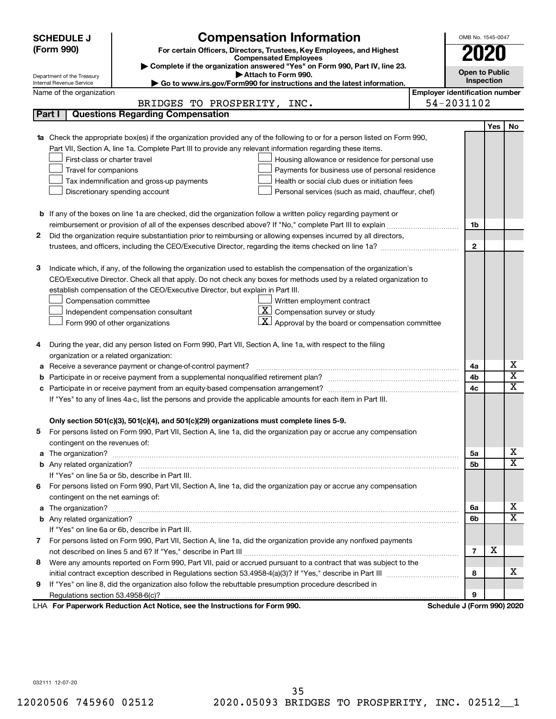|                                                                                                                      | <b>SCHEDULE J</b>                       | <b>Compensation Information</b>                                                                                        |                                       | OMB No. 1545-0047          |            |                         |  |
|----------------------------------------------------------------------------------------------------------------------|-----------------------------------------|------------------------------------------------------------------------------------------------------------------------|---------------------------------------|----------------------------|------------|-------------------------|--|
|                                                                                                                      | (Form 990)                              | For certain Officers, Directors, Trustees, Key Employees, and Highest                                                  |                                       | 2020                       |            |                         |  |
|                                                                                                                      |                                         | <b>Compensated Employees</b>                                                                                           |                                       |                            |            |                         |  |
|                                                                                                                      | Department of the Treasury              | Complete if the organization answered "Yes" on Form 990, Part IV, line 23.<br>Attach to Form 990.                      |                                       | <b>Open to Public</b>      |            |                         |  |
|                                                                                                                      | Internal Revenue Service                | Go to www.irs.gov/Form990 for instructions and the latest information.                                                 |                                       | Inspection                 |            |                         |  |
|                                                                                                                      | Name of the organization                |                                                                                                                        | <b>Employer identification number</b> |                            |            |                         |  |
|                                                                                                                      |                                         | BRIDGES TO PROSPERITY, INC.                                                                                            |                                       | 54-2031102                 |            |                         |  |
|                                                                                                                      | Part I                                  | <b>Questions Regarding Compensation</b>                                                                                |                                       |                            |            |                         |  |
|                                                                                                                      |                                         |                                                                                                                        |                                       |                            | <b>Yes</b> | No                      |  |
|                                                                                                                      |                                         | Check the appropriate box(es) if the organization provided any of the following to or for a person listed on Form 990, |                                       |                            |            |                         |  |
|                                                                                                                      |                                         | Part VII, Section A, line 1a. Complete Part III to provide any relevant information regarding these items.             |                                       |                            |            |                         |  |
|                                                                                                                      | First-class or charter travel           | Housing allowance or residence for personal use                                                                        |                                       |                            |            |                         |  |
|                                                                                                                      | Travel for companions                   | Payments for business use of personal residence                                                                        |                                       |                            |            |                         |  |
|                                                                                                                      |                                         | Health or social club dues or initiation fees<br>Tax indemnification and gross-up payments                             |                                       |                            |            |                         |  |
|                                                                                                                      |                                         | Discretionary spending account<br>Personal services (such as maid, chauffeur, chef)                                    |                                       |                            |            |                         |  |
|                                                                                                                      |                                         |                                                                                                                        |                                       |                            |            |                         |  |
|                                                                                                                      |                                         | <b>b</b> If any of the boxes on line 1a are checked, did the organization follow a written policy regarding payment or |                                       |                            |            |                         |  |
|                                                                                                                      |                                         |                                                                                                                        |                                       | 1b                         |            |                         |  |
| 2                                                                                                                    |                                         | Did the organization require substantiation prior to reimbursing or allowing expenses incurred by all directors,       |                                       | $\mathbf{2}$               |            |                         |  |
|                                                                                                                      |                                         |                                                                                                                        |                                       |                            |            |                         |  |
| з                                                                                                                    |                                         | Indicate which, if any, of the following the organization used to establish the compensation of the organization's     |                                       |                            |            |                         |  |
|                                                                                                                      |                                         | CEO/Executive Director. Check all that apply. Do not check any boxes for methods used by a related organization to     |                                       |                            |            |                         |  |
|                                                                                                                      |                                         | establish compensation of the CEO/Executive Director, but explain in Part III.                                         |                                       |                            |            |                         |  |
|                                                                                                                      | Compensation committee                  | Written employment contract                                                                                            |                                       |                            |            |                         |  |
|                                                                                                                      |                                         | $ \mathbf{X} $ Compensation survey or study<br>Independent compensation consultant                                     |                                       |                            |            |                         |  |
|                                                                                                                      |                                         | $ \mathbf{X} $ Approval by the board or compensation committee<br>Form 990 of other organizations                      |                                       |                            |            |                         |  |
|                                                                                                                      |                                         |                                                                                                                        |                                       |                            |            |                         |  |
| 4                                                                                                                    |                                         | During the year, did any person listed on Form 990, Part VII, Section A, line 1a, with respect to the filing           |                                       |                            |            |                         |  |
|                                                                                                                      | organization or a related organization: |                                                                                                                        |                                       |                            |            |                         |  |
| а                                                                                                                    |                                         | Receive a severance payment or change-of-control payment?                                                              |                                       | 4a                         |            | х                       |  |
| b                                                                                                                    |                                         |                                                                                                                        |                                       | 4b                         |            | $\overline{\textbf{x}}$ |  |
| с                                                                                                                    |                                         |                                                                                                                        |                                       | 4c                         |            | $\mathbf x$             |  |
|                                                                                                                      |                                         | If "Yes" to any of lines 4a-c, list the persons and provide the applicable amounts for each item in Part III.          |                                       |                            |            |                         |  |
|                                                                                                                      |                                         |                                                                                                                        |                                       |                            |            |                         |  |
|                                                                                                                      |                                         | Only section 501(c)(3), 501(c)(4), and 501(c)(29) organizations must complete lines 5-9.                               |                                       |                            |            |                         |  |
| b.                                                                                                                   |                                         | For persons listed on Form 990, Part VII, Section A, line 1a, did the organization pay or accrue any compensation      |                                       |                            |            |                         |  |
|                                                                                                                      | contingent on the revenues of:          |                                                                                                                        |                                       |                            |            |                         |  |
| a                                                                                                                    |                                         |                                                                                                                        |                                       | 5a                         |            | х                       |  |
|                                                                                                                      |                                         |                                                                                                                        |                                       | 5b                         |            | X                       |  |
|                                                                                                                      |                                         | If "Yes" on line 5a or 5b, describe in Part III.                                                                       |                                       |                            |            |                         |  |
| 6.                                                                                                                   |                                         | For persons listed on Form 990, Part VII, Section A, line 1a, did the organization pay or accrue any compensation      |                                       |                            |            |                         |  |
|                                                                                                                      | contingent on the net earnings of:      |                                                                                                                        |                                       |                            |            |                         |  |
| a                                                                                                                    |                                         |                                                                                                                        |                                       | 6a                         |            | х                       |  |
|                                                                                                                      |                                         |                                                                                                                        |                                       | 6b                         |            | X                       |  |
|                                                                                                                      |                                         | If "Yes" on line 6a or 6b, describe in Part III.                                                                       |                                       |                            |            |                         |  |
|                                                                                                                      |                                         | 7 For persons listed on Form 990, Part VII, Section A, line 1a, did the organization provide any nonfixed payments     |                                       |                            |            |                         |  |
|                                                                                                                      |                                         |                                                                                                                        |                                       |                            | X          |                         |  |
| Were any amounts reported on Form 990, Part VII, paid or accrued pursuant to a contract that was subject to the<br>8 |                                         |                                                                                                                        |                                       |                            |            |                         |  |
|                                                                                                                      |                                         |                                                                                                                        |                                       | 8                          |            | x.                      |  |
| If "Yes" on line 8, did the organization also follow the rebuttable presumption procedure described in<br>9          |                                         |                                                                                                                        |                                       |                            |            |                         |  |
|                                                                                                                      |                                         |                                                                                                                        |                                       | 9                          |            |                         |  |
|                                                                                                                      |                                         | LHA For Paperwork Reduction Act Notice, see the Instructions for Form 990.                                             |                                       | Schedule J (Form 990) 2020 |            |                         |  |

032111 12-07-20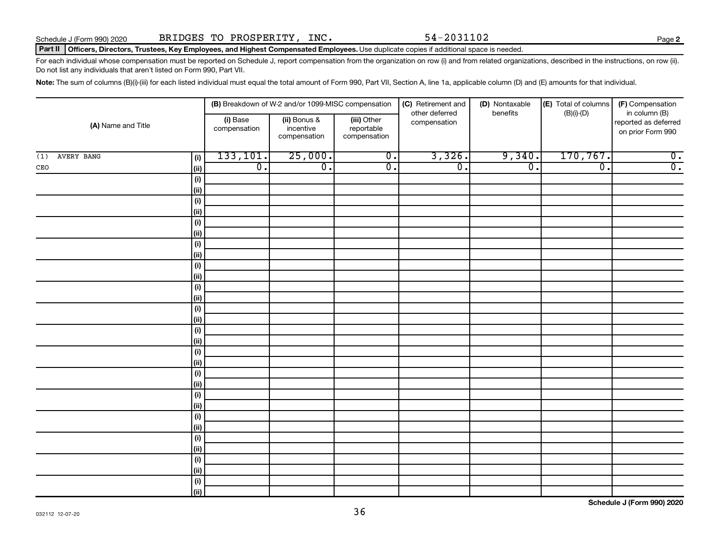**2**

### Part II | Officers, Directors, Trustees, Key Employees, and Highest Compensated Employees. Use duplicate copies if additional space is needed.

For each individual whose compensation must be reported on Schedule J, report compensation from the organization on row (i) and from related organizations, described in the instructions, on row (ii). Do not list any individuals that aren't listed on Form 990, Part VII.

Note: The sum of columns (B)(i)-(iii) for each listed individual must equal the total amount of Form 990, Part VII, Section A, line 1a, applicable column (D) and (E) amounts for that individual.

|                          | (B) Breakdown of W-2 and/or 1099-MISC compensation |                                           |                                           | (C) Retirement and<br>other deferred | (D) Nontaxable<br>benefits | (E) Total of columns<br>$(B)(i)-(D)$ | (F) Compensation<br>in column (B)         |
|--------------------------|----------------------------------------------------|-------------------------------------------|-------------------------------------------|--------------------------------------|----------------------------|--------------------------------------|-------------------------------------------|
| (A) Name and Title       | (i) Base<br>compensation                           | (ii) Bonus &<br>incentive<br>compensation | (iii) Other<br>reportable<br>compensation | compensation                         |                            |                                      | reported as deferred<br>on prior Form 990 |
| AVERY BANG<br>(i)<br>(1) | 133, 101.                                          | 25,000.                                   | $\overline{0}$ .                          | 3,326.                               | 9,340.                     | 170, 767.                            | $\overline{0}$ .                          |
| (ii)<br>$\mathtt{CEO}$   | $\overline{\mathfrak{o}}$ .                        | $\overline{0}$ .                          | $\overline{0}$ .                          | $\overline{0}$ .                     | $\overline{0}$ .           | $\overline{\mathfrak{o}}$ .          | $\overline{0}$ .                          |
| $(\sf{i})$               |                                                    |                                           |                                           |                                      |                            |                                      |                                           |
| (ii)                     |                                                    |                                           |                                           |                                      |                            |                                      |                                           |
| $(\sf{i})$               |                                                    |                                           |                                           |                                      |                            |                                      |                                           |
| (ii)                     |                                                    |                                           |                                           |                                      |                            |                                      |                                           |
| $(\sf{i})$               |                                                    |                                           |                                           |                                      |                            |                                      |                                           |
| (ii)                     |                                                    |                                           |                                           |                                      |                            |                                      |                                           |
| $(\sf{i})$               |                                                    |                                           |                                           |                                      |                            |                                      |                                           |
| (ii)                     |                                                    |                                           |                                           |                                      |                            |                                      |                                           |
| $(\sf{i})$               |                                                    |                                           |                                           |                                      |                            |                                      |                                           |
| (ii)                     |                                                    |                                           |                                           |                                      |                            |                                      |                                           |
| $(\sf{i})$               |                                                    |                                           |                                           |                                      |                            |                                      |                                           |
| (ii)                     |                                                    |                                           |                                           |                                      |                            |                                      |                                           |
| $(\sf{i})$               |                                                    |                                           |                                           |                                      |                            |                                      |                                           |
| (ii)                     |                                                    |                                           |                                           |                                      |                            |                                      |                                           |
| $(\sf{i})$<br>(ii)       |                                                    |                                           |                                           |                                      |                            |                                      |                                           |
| $(\sf{i})$               |                                                    |                                           |                                           |                                      |                            |                                      |                                           |
| (ii)                     |                                                    |                                           |                                           |                                      |                            |                                      |                                           |
| $(\sf{i})$               |                                                    |                                           |                                           |                                      |                            |                                      |                                           |
| (ii)                     |                                                    |                                           |                                           |                                      |                            |                                      |                                           |
| $(\sf{i})$               |                                                    |                                           |                                           |                                      |                            |                                      |                                           |
| (ii)                     |                                                    |                                           |                                           |                                      |                            |                                      |                                           |
| $(\sf{i})$               |                                                    |                                           |                                           |                                      |                            |                                      |                                           |
| (ii)                     |                                                    |                                           |                                           |                                      |                            |                                      |                                           |
| $(\sf{i})$               |                                                    |                                           |                                           |                                      |                            |                                      |                                           |
| (ii)                     |                                                    |                                           |                                           |                                      |                            |                                      |                                           |
| $(\sf{i})$               |                                                    |                                           |                                           |                                      |                            |                                      |                                           |
| (ii)                     |                                                    |                                           |                                           |                                      |                            |                                      |                                           |
| $(\sf{i})$               |                                                    |                                           |                                           |                                      |                            |                                      |                                           |
| (ii)                     |                                                    |                                           |                                           |                                      |                            |                                      |                                           |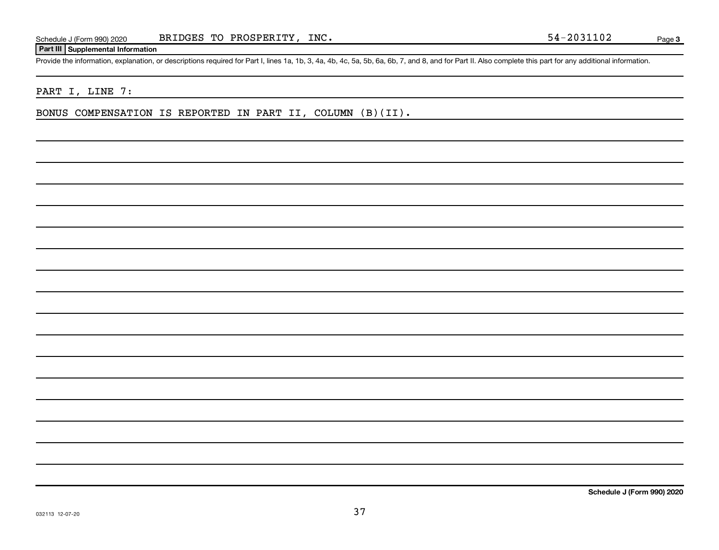## **Part III Supplemental Information**

Provide the information, explanation, or descriptions required for Part I, lines 1a, 1b, 3, 4a, 4b, 4c, 5a, 5b, 6a, 6b, 7, and 8, and for Part II. Also complete this part for any additional information.

# PART I, LINE 7:

BONUS COMPENSATION IS REPORTED IN PART II, COLUMN (B)(II).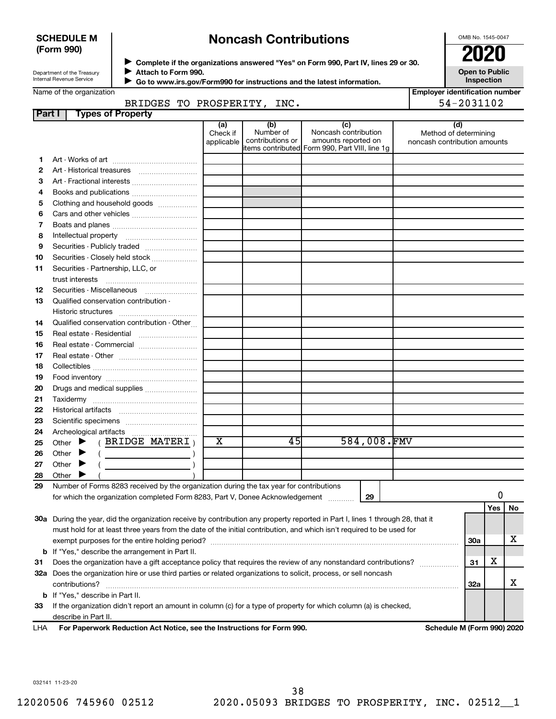## **SCHEDULE M (Form 990)**

# **Noncash Contributions**

OMB No. 1545-0047

| Department of the Treasury |
|----------------------------|
| Internal Revenue Service   |

◆ Complete if the organizations answered "Yes" on Form 990, Part IV, lines 29 or 30.<br>● Complete if the organizations answered "Yes" on Form 990, Part IV, lines 29 or 30.  $\blacktriangleright$ 

|              | Attach to Form 990.<br>Department of the Treasury<br>Internal Revenue Service                                                     |                               |                                      |                                                                                                      |             |  | <b>Open to Public</b><br>Inspection                          |     |    |
|--------------|-----------------------------------------------------------------------------------------------------------------------------------|-------------------------------|--------------------------------------|------------------------------------------------------------------------------------------------------|-------------|--|--------------------------------------------------------------|-----|----|
|              | Go to www.irs.gov/Form990 for instructions and the latest information.<br>Name of the organization<br>BRIDGES TO PROSPERITY, INC. |                               |                                      |                                                                                                      |             |  | <b>Employer identification number</b><br>54-2031102          |     |    |
| Part I       | <b>Types of Property</b>                                                                                                          |                               |                                      |                                                                                                      |             |  |                                                              |     |    |
|              |                                                                                                                                   | (a)<br>Check if<br>applicable | (b)<br>Number of<br>contributions or | (c)<br>Noncash contribution<br>amounts reported on<br>items contributed Form 990, Part VIII, line 1g |             |  | (d)<br>Method of determining<br>noncash contribution amounts |     |    |
| 1            |                                                                                                                                   |                               |                                      |                                                                                                      |             |  |                                                              |     |    |
| $\mathbf{2}$ |                                                                                                                                   |                               |                                      |                                                                                                      |             |  |                                                              |     |    |
| 3            | Art - Fractional interests                                                                                                        |                               |                                      |                                                                                                      |             |  |                                                              |     |    |
| 4            | Books and publications                                                                                                            |                               |                                      |                                                                                                      |             |  |                                                              |     |    |
| 5            | Clothing and household goods                                                                                                      |                               |                                      |                                                                                                      |             |  |                                                              |     |    |
| 6            | Cars and other vehicles                                                                                                           |                               |                                      |                                                                                                      |             |  |                                                              |     |    |
| 7            |                                                                                                                                   |                               |                                      |                                                                                                      |             |  |                                                              |     |    |
| 8            |                                                                                                                                   |                               |                                      |                                                                                                      |             |  |                                                              |     |    |
| 9            | Securities - Publicly traded                                                                                                      |                               |                                      |                                                                                                      |             |  |                                                              |     |    |
| 10           | Securities - Closely held stock                                                                                                   |                               |                                      |                                                                                                      |             |  |                                                              |     |    |
| 11           | Securities - Partnership, LLC, or                                                                                                 |                               |                                      |                                                                                                      |             |  |                                                              |     |    |
|              | trust interests                                                                                                                   |                               |                                      |                                                                                                      |             |  |                                                              |     |    |
| 12           | Securities - Miscellaneous                                                                                                        |                               |                                      |                                                                                                      |             |  |                                                              |     |    |
| 13           | Qualified conservation contribution -                                                                                             |                               |                                      |                                                                                                      |             |  |                                                              |     |    |
|              |                                                                                                                                   |                               |                                      |                                                                                                      |             |  |                                                              |     |    |
| 14           | Qualified conservation contribution - Other                                                                                       |                               |                                      |                                                                                                      |             |  |                                                              |     |    |
| 15           | Real estate - Residential                                                                                                         |                               |                                      |                                                                                                      |             |  |                                                              |     |    |
| 16           | Real estate - Commercial                                                                                                          |                               |                                      |                                                                                                      |             |  |                                                              |     |    |
| 17           |                                                                                                                                   |                               |                                      |                                                                                                      |             |  |                                                              |     |    |
| 18           |                                                                                                                                   |                               |                                      |                                                                                                      |             |  |                                                              |     |    |
| 19           |                                                                                                                                   |                               |                                      |                                                                                                      |             |  |                                                              |     |    |
| 20           | Drugs and medical supplies                                                                                                        |                               |                                      |                                                                                                      |             |  |                                                              |     |    |
| 21           |                                                                                                                                   |                               |                                      |                                                                                                      |             |  |                                                              |     |    |
| 22           |                                                                                                                                   |                               |                                      |                                                                                                      |             |  |                                                              |     |    |
|              |                                                                                                                                   |                               |                                      |                                                                                                      |             |  |                                                              |     |    |
| 23           |                                                                                                                                   |                               |                                      |                                                                                                      |             |  |                                                              |     |    |
| 24           | $($ BRIDGE MATERI $)$<br>Other $\blacktriangleright$                                                                              | х                             | 45                                   |                                                                                                      | 584,008.FMV |  |                                                              |     |    |
| 25           |                                                                                                                                   |                               |                                      |                                                                                                      |             |  |                                                              |     |    |
| 26           | Other<br>▸                                                                                                                        |                               |                                      |                                                                                                      |             |  |                                                              |     |    |
| 27           | Other                                                                                                                             |                               |                                      |                                                                                                      |             |  |                                                              |     |    |
| 28           | Other                                                                                                                             |                               |                                      |                                                                                                      |             |  |                                                              |     |    |
| 29           | Number of Forms 8283 received by the organization during the tax year for contributions                                           |                               |                                      |                                                                                                      |             |  |                                                              |     |    |
|              | for which the organization completed Form 8283, Part V, Donee Acknowledgement                                                     |                               |                                      | 29                                                                                                   |             |  |                                                              | 0   |    |
|              |                                                                                                                                   |                               |                                      |                                                                                                      |             |  |                                                              | Yes | No |
|              | 30a During the year, did the organization receive by contribution any property reported in Part I, lines 1 through 28, that it    |                               |                                      |                                                                                                      |             |  |                                                              |     |    |
|              | must hold for at least three years from the date of the initial contribution, and which isn't required to be used for             |                               |                                      |                                                                                                      |             |  |                                                              |     |    |
|              |                                                                                                                                   |                               |                                      |                                                                                                      |             |  | 30a                                                          |     | х  |
|              | <b>b</b> If "Yes," describe the arrangement in Part II.                                                                           |                               |                                      |                                                                                                      |             |  |                                                              |     |    |
| 31           | Does the organization have a gift acceptance policy that requires the review of any nonstandard contributions?                    |                               |                                      |                                                                                                      |             |  | 31                                                           | х   |    |
| 32a          | Does the organization hire or use third parties or related organizations to solicit, process, or sell noncash<br>contributions?   |                               |                                      |                                                                                                      |             |  | 32a                                                          |     | х  |
|              |                                                                                                                                   |                               |                                      |                                                                                                      |             |  |                                                              |     |    |

**33** If the organization didn't report an amount in column (c) for a type of property for which column (a) is checked, describe in Part II.

**For Paperwork Reduction Act Notice, see the Instructions for Form 990. Schedule M (Form 990) 2020** LHA

032141 11-23-20

**b** If "Yes," describe in Part II.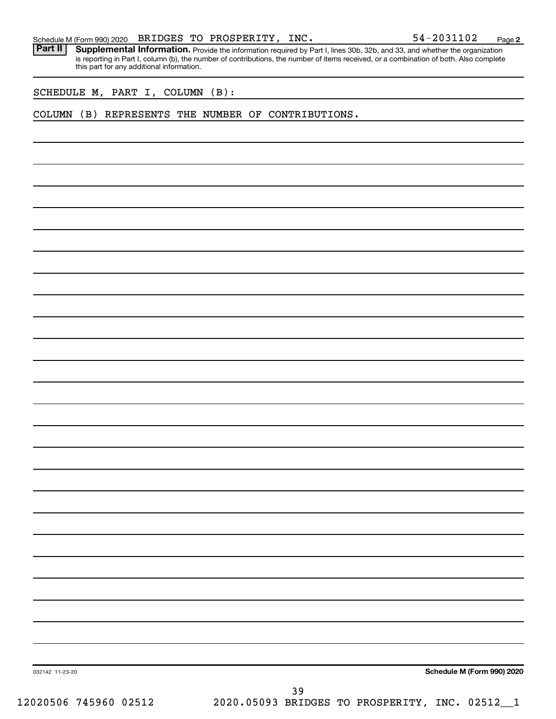Part II | Supplemental Information. Provide the information required by Part I, lines 30b, 32b, and 33, and whether the organization is reporting in Part I, column (b), the number of contributions, the number of items received, or a combination of both. Also complete this part for any additional information.

SCHEDULE M, PART I, COLUMN (B):

### COLUMN (B) REPRESENTS THE NUMBER OF CONTRIBUTIONS.

**Schedule M (Form 990) 2020**

032142 11-23-20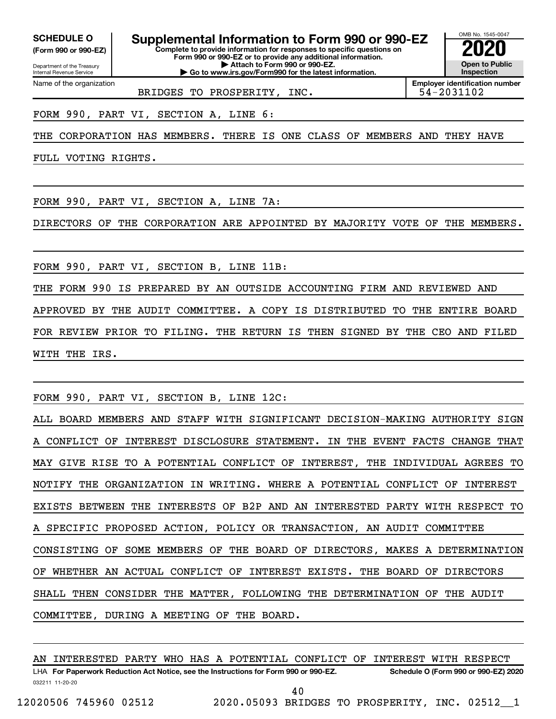Department of the Treasury **(Form 990 or 990-EZ)**

Name of the organization

Internal Revenue Service

**Complete to provide information for responses to specific questions on SCHEDULE O Supplemental Information to Form 990 or 990-EZ 2020**<br>(Form 990 or 990-EZ) Complete to provide information for responses to specific questions on

**Form 990 or 990-EZ or to provide any additional information. | Attach to Form 990 or 990-EZ. | Go to www.irs.gov/Form990 for the latest information.**

**Open to Public Inspection**

OMB No. 1545-0047

BRIDGES TO PROSPERITY, INC.  $\vert$  54-2031102

**Employer identification number**

FORM 990, PART VI, SECTION A, LINE 6:

THE CORPORATION HAS MEMBERS. THERE IS ONE CLASS OF MEMBERS AND THEY HAVE

FULL VOTING RIGHTS.

FORM 990, PART VI, SECTION A, LINE 7A:

DIRECTORS OF THE CORPORATION ARE APPOINTED BY MAJORITY VOTE OF THE MEMBERS.

FORM 990, PART VI, SECTION B, LINE 11B:

THE FORM 990 IS PREPARED BY AN OUTSIDE ACCOUNTING FIRM AND REVIEWED AND APPROVED BY THE AUDIT COMMITTEE. A COPY IS DISTRIBUTED TO THE ENTIRE BOARD FOR REVIEW PRIOR TO FILING. THE RETURN IS THEN SIGNED BY THE CEO AND FILED WITH THE IRS.

FORM 990, PART VI, SECTION B, LINE 12C:

ALL BOARD MEMBERS AND STAFF WITH SIGNIFICANT DECISION-MAKING AUTHORITY SIGN A CONFLICT OF INTEREST DISCLOSURE STATEMENT. IN THE EVENT FACTS CHANGE THAT MAY GIVE RISE TO A POTENTIAL CONFLICT OF INTEREST, THE INDIVIDUAL AGREES TO NOTIFY THE ORGANIZATION IN WRITING. WHERE A POTENTIAL CONFLICT OF INTEREST EXISTS BETWEEN THE INTERESTS OF B2P AND AN INTERESTED PARTY WITH RESPECT TO SPECIFIC PROPOSED ACTION, POLICY OR TRANSACTION, AN AUDIT COMMITTEE CONSISTING OF SOME MEMBERS OF THE BOARD OF DIRECTORS, MAKES A DETERMINATION OF WHETHER AN ACTUAL CONFLICT OF INTEREST EXISTS. THE BOARD OF DIRECTORS SHALL THEN CONSIDER THE MATTER, FOLLOWING THE DETERMINATION OF THE AUDIT COMMITTEE, DURING A MEETING OF THE BOARD.

032211 11-20-20 **For Paperwork Reduction Act Notice, see the Instructions for Form 990 or 990-EZ. Schedule O (Form 990 or 990-EZ) 2020** LHA AN INTERESTED PARTY WHO HAS A POTENTIAL CONFLICT OF INTEREST WITH RESPECT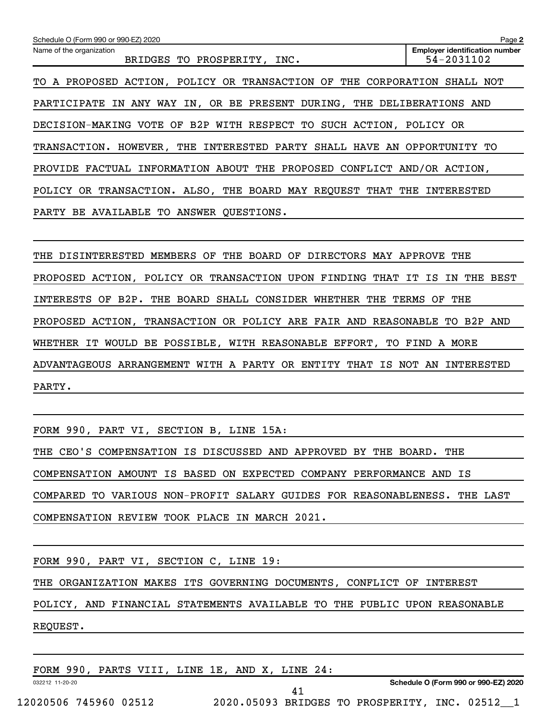| Schedule O (Form 990 or 990-EZ) 2020                                               | Page 2                                              |
|------------------------------------------------------------------------------------|-----------------------------------------------------|
| Name of the organization<br><b>BRIDGES</b><br>TO PROSPERITY, INC.                  | <b>Employer identification number</b><br>54-2031102 |
| A PROPOSED ACTION, POLICY OR TRANSACTION OF THE CORPORATION<br>TO.                 | SHALL NOT                                           |
| IN ANY WAY IN, OR BE PRESENT DURING, THE DELIBERATIONS AND<br>PARTICIPATE          |                                                     |
| DECISION-MAKING VOTE OF B2P WITH RESPECT TO SUCH ACTION, POLICY OR                 |                                                     |
| THE<br>INTERESTED<br>PARTY SHALL HAVE<br>AN<br>TRANSACTION. HOWEVER,               | OPPORTUNITY<br>TО                                   |
| FACTUAL INFORMATION ABOUT THE PROPOSED CONFLICT AND/OR ACTION,<br>PROVIDE          |                                                     |
| POLICY OR TRANSACTION. ALSO, THE BOARD MAY REQUEST THAT THE                        | INTERESTED                                          |
| PARTY BE AVAILABLE TO ANSWER QUESTIONS.                                            |                                                     |
|                                                                                    |                                                     |
| OF<br>THE BOARD<br>DIRECTORS MAY APPROVE THE<br>DISINTERESTED MEMBERS<br>OF<br>THE |                                                     |
|                                                                                    |                                                     |

PROPOSED ACTION, POLICY OR TRANSACTION UPON FINDING THAT IT IS IN THE BEST INTERESTS OF B2P. THE BOARD SHALL CONSIDER WHETHER THE TERMS OF THE PROPOSED ACTION, TRANSACTION OR POLICY ARE FAIR AND REASONABLE TO B2P AND WHETHER IT WOULD BE POSSIBLE, WITH REASONABLE EFFORT, TO FIND A MORE ADVANTAGEOUS ARRANGEMENT WITH A PARTY OR ENTITY THAT IS NOT AN INTERESTED PARTY.

FORM 990, PART VI, SECTION B, LINE 15A:

THE CEO'S COMPENSATION IS DISCUSSED AND APPROVED BY THE BOARD. THE COMPENSATION AMOUNT IS BASED ON EXPECTED COMPANY PERFORMANCE AND IS COMPARED TO VARIOUS NON-PROFIT SALARY GUIDES FOR REASONABLENESS. THE LAST COMPENSATION REVIEW TOOK PLACE IN MARCH 2021.

FORM 990, PART VI, SECTION C, LINE 19:

THE ORGANIZATION MAKES ITS GOVERNING DOCUMENTS, CONFLICT OF INTEREST

POLICY, AND FINANCIAL STATEMENTS AVAILABLE TO THE PUBLIC UPON REASONABLE

REQUEST.

FORM 990, PARTS VIII, LINE 1E, AND X, LINE 24:

032212 11-20-20

**Schedule O (Form 990 or 990-EZ) 2020**

41